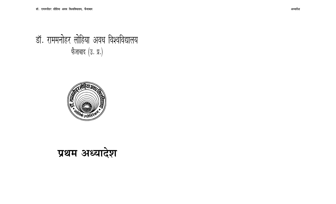# डॉ. राममनोहर लोहिया अवध विश्वविद्यालय फेजाबाद  $($ उ. प्र. $)$



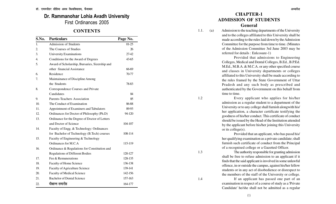### **Dr. Rammanohar Lohia Avadh University** First Ordinances 2005

### **CONTENTS**

| S.No.          | <b>Particulars</b>                             | Page No. |
|----------------|------------------------------------------------|----------|
| 1.             | <b>Admission of Students</b>                   | $01-25$  |
| $\overline{2}$ | The Courses of Studies                         | 26       |
| 3.             | <b>University Examinations</b>                 | 27-42    |
| 4.             | Conditions for the Award of Degrees            | 43-65    |
| 5.             | Award of Scholarship, Bursaries, Sizership and |          |
|                | other financial Assistance                     | 66-69    |
| 6.             | Residence                                      | 70-77    |
| 7.             | Maintainance of Discipline Among               |          |
|                | the Students                                   | 78-83    |
| 8.             | Correspondence Courses and Private             |          |
|                | Candidates                                     | 84       |
| 9.             | Parents-Teachers Association                   | 85       |
| 10.            | The Conduct of Examination                     | 86-88    |
| 11.            | Appointment of Examiners and Tabulators        | 89-93    |
| 12.            | Ordinances for Doctor of Philosophy (Ph.D)     | 94-120   |
| 13.            | Ordinance for the Degree of Doctor of Letters  |          |
|                | and Doctor of Science                          | 104-107  |
| 14.            | Faculty of Engg. & Technology: Ordinances      |          |
|                | for Bachelor of Technology (B.Tech) courses    | 108-114  |
| 15.            | Faculty of Engineering & Technology            |          |
|                | Ordinances for M.C.A                           | 115-119  |
| 16.            | Ordinance & Regulations for Constitution and   |          |
|                | <b>Regulations of Different Bodies</b>         | 120-127  |
| 17.            | Fee & Remunerations                            | 128-135  |
| 18.            | Faculty of Home Science                        | 136-138  |
| 19.            | Faculty of Agriculture Science                 | 139-141  |
| 20.            | Faculty of Medical Science                     | 142-156  |
| 21.            | <b>Bachelor of Dental Science</b>              | 157-163  |
| 22.            | दीक्षान्त समारोह                               | 164-177  |

### **CHAPTER-1 ADMISSION OF STUDENTS General**

1.1. (a) Admission to the teaching departments of the University and to the colleges affiliated to this University shall be made according to the rules laid down by the Admission Committee for the purpose from time to time. (Minutes of the Admission Committee 3rd June 2003 may be referred for details : Enlcosure-1)

> Provided that admissions to Engineering Colleges, Medical and Dental Colleges, B.Ed., B.P.Ed. M.Ed., M.B.A. & M.C.A. or any other specified course and classes in University departments or colleges affiliated to this University shall be made according to the rules framed by the State Govermment of Uttar Pradesh and any such body as prescribed and authenticated by the Govermment on this behalf from time to time.

1.2 Every applicant who applies for his/her admission as a regular student to a department of the University or to any college shall furnish alongwith his/ her application, a character certificate testifying the goodness of his/her conduct. This certificate of conduct should be issued by the Head of the Institution attended by the applicant before his/her joining this University or its college(s).

> Provided that an applicant, who has passd his/ her qualifying examination as a private candidate; shall furnish such certificate of conduct from the Principal of a recognised college or a Gazetted Officer.

1.3 The authority responsible for granting admission shall be free to refuse admission to an applicant if it finds that the said applicant is involved in some unlawful offence, in or outside the campus, against his/her fellow students or in any act of disobedience or disrespect to the members of the staff of the University or college.

1.4 If an applicant has passed one part of an examination in respect of a course of study as a 'Private Candidate' he/she shall not be admitted as a regular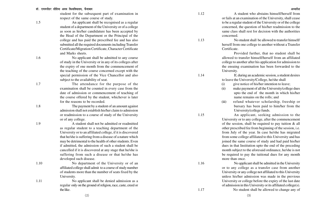student for the subsequent part of examination in respect of the same course of study.

1.5 An applicant shall be recognised as a regular student of a department of the University or of a college as soon as his/her candidature has been accepted by the Head of the Department or the Principal of the college and has paid the prescribed fee and has also submitted all the required documents including Transfer Certificate/Migration Certificate, Character Certificate and Marks sheets.

1.6 No applicant shall be admitted to any course of study in the University or in any of its colleges after the expiry of one month from the commencement of the teaching of the course concerned except with the special permission of the Vice Chancellor and also subject to the availability of seat.

1.7 The attendance for the purpose of the examination shall be counted in every case from the date of admission or commencement of teaching of the course offered by the student, whichever is later for the reasons to be recorded.

1.8 The payment by a student of an amount against admission shall not establish his/her claim to admission or readmission to a course of study of the University or of any college.

1.9 A student shall not be admitted or readmitted as regular student to a teaching department of the University or to an affiliated college, if it is discovered that he/she is suffering from a disease of a nature which may be detrimental to the health of other students. Even if admitted, the admission of such a student shall be cancelled if it is discovered at any stage that he/she is suffering from such a disease or that he/she has developed such disease.

1.10 No department of the University or of an affiliated college shall admit to a course of study number of students more than the number of seats fixed by the University.

1.11 No applicant shall be denied admission as a regular only on the ground of religion, race, caste, creed or the like.

1.12 A student who abstains himself/herself from or fails at an examination of the University, shall cease to be a regular student of the University or of the college concerned, the question of his/her readmission to the same class shall rest for decision with the authorities concerned.

1.13 No student shall be allowed to transfer himself/ herself from one college to another without a Transfer Certificate.

> Provided further, that no student shall be allowed to transfer himself/herself from an affiliated college to another after his application for admission to the ensuing examination has been forwarded to the University.

1.14 If, during an academic session, a student desires to leave the University/College, he/she shall

(i) give notice of his/her intention to leave;

- (ii) make payment of all the University/college dues upto the end of the month in which his/her name remains on the rolls; and
- (iii) refund whatever scholarship, freeship or bursary has been paid to him/her from the University/college funds.

1.15 An applicant, seeking admission to the University or to any college, after the commencement of the session, shall be required to pay tuition & all other prescribed fee from beginning of the session, i.e. from July of the year. In case he/she has migrated from some college affiliated to this University and has joined the same course of study and had paid his/her dues in that Institution upto the end of the preceding month subject to the aforesaid ordinance, he/she is not be required to pay the tuitional dues for any month more than once.

1.16 No applicant shall be admitted in the University or to any college as a transfer case from another University or any college not affiliated to this University unless his/her admission was made in the previous University or college before the expiry of the last date of admission in this University or its affiliated college(s).

1.17 No student shall be allowed to change any of

(3)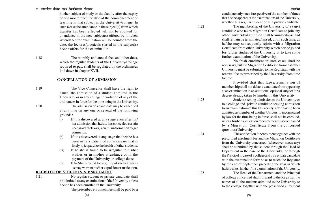#### डॉ. राममनोहर लोहिया अवध विश्वविघालय. फैजाबाद <del>कार कारकार कार्यकार कार्यकार कार्यकार कार्यकार कार्यकार अध्यादेश</del>

his/her subject of study or the faculty after the expiry of one month from the date of the commencement of teaching in that subject in the University/college. In such a case the attendance in the subject(s) from which transfer has been effected will not be counted for attendance in the new subject(s) offered by him/her. Attendance for examination will be counted from the date, the lectures/practicals started in the subject(s) he/she offers for the examination.

1.18 The monthly and annual fees and other dues, which the regular students of the University/College required to pay, shall be regulated by the ordinances laid down in chapter XVII.

#### **CANCELLATION OF ADMISSION**

1.19 The Vice Chancellor shall have the right to cancel the admission of a student admitted in the University or in any college in violation of any of the ordinances in force for the time being in the University. 1.20 The admission of a candidate may be cancelled

at any time on any one or several of the following grounds :

- (i) If it is discovered at any stage even after his/ her admission that he/she has concealed certain necessary facts or given misinformation to get admission.
- (ii) If it is discovered at any stage that he/she has been or is a patient of some disease that is likely to jeopardize the health of other students.
- (iii) If he/she is found to be irregular in his/her studies or in his/her attendance or in the payment of the University or college dues;
- (iv) If he/she is found to be guilty of such offences as may warrant his/her expulsion or rustication.

#### **REGISTER OF STUDENTS & ENROLMENT**

1.21

No regular student or private candidate shall be admitted to any examination of the University unless he/she has been enrolled in the University.

The prescribed enrolment fee shall be paid by a

candidate only once irrespective of the number of times that he/she appears at the examinations of the University, whether as a regular student or as a private candidate.

1.22 The membership of the University of a (any) candidate who takes Migration Certificate to join any other University/Institution shall terminate/lapse and shall remain be terminated/lapsed, untill such time, as he/she may subsequently rejoin with a Migration Certificate from other University which he/she joined for further studies of the University or to take some further examination of the University.

No fresh enrolment in such cases shall be necessary, but the Migration Certificate from that other University must be submitted to the Registrar, with the renewal fee as prescribed by the University from time to time.

Provided that this lapse/termination of membership shall not debar a candidate from appearing at an examination in an additional optional subject for a degree already taken by him/her in this University.

1.23 Student seeking admission to the University or to a college and private candidate seeking admission to an examination of this University, after having been admitted as member of another University incorporated by law for the time being in force, shall not be enrolled, unless his/her application for enrolment is accompanied by a Migration Certificate from the concerned (previous) University.

1.24 The application for enrolment together with the prescribed enrolment fee and the Migration Certificate from the University concerned (whereever necessary) shall be submitted by the student through the Head of Department in the case of the University, or through the Principal in case of a college and by a private candidate with the examination form so as to reach the Registrar by the end of September preceding the year in which he/she takes his/her first examination of the University.

1.25 The Head of the Department and the Principal of college concerned shall forward to the Registrar the names of all the students admitted to the University or to the college together with the prescribed enrolment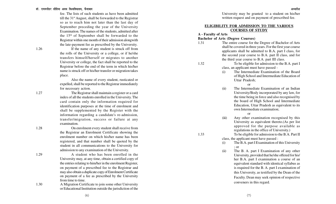fee. The lists of such students as have been admitted till the  $31<sup>st</sup>$  August, shall be forwarded to the Registrar so as to reach him not later than the last day of September preceding the year of the University Examination. The names of the students, admitted after the 15th of September shall be forwarded to the Registrar within one month of their admission alongwith the late-payment fee as prescribed by the University.

1.26 If the name of any student is struck off from the rolls of the University or a college, or if he/she transfers himself/herself or migrates to another University or college, the fact shall be reported to the Registrar before the end of the term in which his/her name is struck off or his/her transfer or migration takes place.

> Also the name of every student, rusticated or expelled, shall be reported to the Registrar immediately for necessary action.

1.27 The Registrar shall maintain a register or a card index of all the students enrolled in the University. The card contain only the information required for identification purposes at the time of enrolment and shall be supplemented by the Register with the information regarding a candidate's re-admission, transfer/migration, success or failure at any examination.

1.28 On enrolment every student shall receive from the Registrar an Enrolment Certificate showing the enrolment number on which his/her name has been registered, and that number shall be quoted by the student in all communications to the University for admission to any examination of the University.

1.29 A student who has been enrolled in the University may, at any time, obtain a certified copy of the entries relating to him/her in the enrolment Register, on payment of a prescribed fee to the Registrar and may also obtain a duplicate copy of Enrolment Certificate on payment of a fee as prescribed by the University from time to time.

1.30 A Migration Certificate to join some other University or Educational Institution outside the jurisdiction of the

University may be granted to a student on his/her written request and on payment of prescribed fee.

#### **ELIGIBILITY FOR ADMISSION TO THE VARIOUS COURSES OF STUDY**

#### **A - Faculty of Arts**

1.32

1.33

#### **Bachelor of Arts (Degree Courses)**

- 1.31 The entire course for the Degree of Bachelor of Arts shall be covered in three years. For the first year course applicants shall be admitted to B.A. part I class, for the second year course to B.A. part II class, and for the third year course to B.A. part III class.
	- To be eligible for admission to the B.A. part I class, an applicant must have passed -
		- (i) The Intermediate Examination of the Board of High School and Intermediate Education of Uttar Pradesh;

or

(ii) The Intermediate Examination of an Indian University/Body incorporated by any law, for the time being in force and also recognised by the board of High School and Intermediate Education, Uttar Pradesh as equivalent to its own Intermediate examination;

or

- (iii) Any other examination recognised by this University as equivalent thereto.(As per list approved for the purpose available as regulations in the office of University.)
- To be eligible for admission to the B.A. Part II class, the applicant must have passed :
- (i) The B.A. part I Examination of this University ; or
- (ii) The B. A. part I Examination of any other University, provided that he/she offered for his/ her B.A. part I examination a course of an equivalent standard with identical syllabus as is required for the B. A. part I examination of this University, as testified by the Dean of the Faculty. Dean may seek opinion of respective conveners in this regard.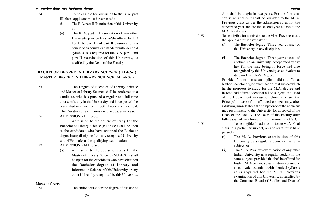1.34

To be eligible for admission to the B. A. part III class, applicant must have passed :

- (i) The B.A. part II Examination of this University ; or
- (ii) The B. A. part II Examination of any other University, provided that he/she offered for his/ her B.A. part I and part II examinations a course of an equivalent standard with identical syllabus as is required for the B. A. part I and part II examination of this University, as testified by the Dean of the Faculty.

#### **BACHELOR DEGREE IN LIBRARY SCIENCE (B.Lib.Sc.) MASTER DEGREE IN LIBRARY SCIENCE (M.Lib.Sc.)**

- 1.35 The Degree of Bachelor of Library Science and Master of Library Science shall be conferred to a candidate, who has pursued a regular and full time course of study in the University and have passed the prescribed examination in both theory and practical. The Duration of each course is one academic year.
- 1.36 ADMISSION B.Lib.Sc.

Admission to the course of study for the Bachelor of Library Science (B.Lib.Sc.) shall be open to the candidates who have obtained the Bachelor degree in any discipline from any recognised University with 45% marks at the qualifying examination.

- 1.37 ADMISSION M.Lib.Sc.
	- (a) Admission to the course of study for the Master of Library Science (M.Lib.Sc.) shall be open for the candidates who have obtained the Bachelor degree of Library and Information Science of this University or any other University recognised by this University.

#### **Master of Arts -**

1.38 The entire course for the degree of Master of

Arts shall be taught in two years. For the first year course an applicant shall be admitted to the M. A. Previous class as per the admission rules for the concerned year and for the second year course to the M.A. Final class.

To be eligible for admission to the M.A. Previous class, the applicant must have taken :

(i) The Bachelor degree (Three year course) of this University in any discipline.

or

1.39

1.40

(ii) The Bachelor degree (Three year course) of another Indian University incorporated by any law for the time being in force and also recognised by this University as equivalent to its own Bachelor's Degree.

Provided further in case an applicant did not offer, at his/her Bachelor degree examination, that subject which he/she proposes to study for the M.A. degree and instead had offered identical allied subject, the Head of the Department in case of University and the Principal in case of an affiliated college, may, after satisfying himself about the competence of the applicant may recommend to the University for approval of the Dean of the Faculty. The Dean of the Faculty after fully satisfied may forward it for permission of V. C.

To be eligible for admission to the M. A. Final class in a particular subject, an applicant must have passed -

- (i) The M. A. Previous examination of this University as a regular student in the same subject; or
- (ii) The M. A. Previous examination of any other Indian University as a regular student in the same subject, provided that he/she offered for his/her M. A previous examination a course of an equivalent standard with identical syllabus as is required for the M. A. Previous examination of this University, as testified by the Convener Board of Studies and Dean of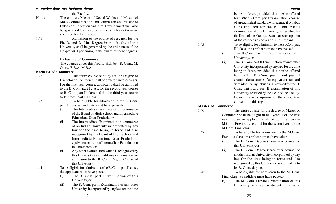the Faculty.

Note : The courses, Master of Social Works and Master of Mass Communication and Journalism and Master of Extension Education and Rural Development shall also be governed by these ordinances unless otherwise specified for the purpose.

1.41 Admission to the course of research for the Ph. D. and D. Litt. Degree in this faculty of this University shall be governed by the ordinances of the Chapter-XII pertaining to the award of these degrees.

#### **B- Faculty of Commerce**

The courses under this faculty shall be : B. Com., M. Com., B.B.A.,M.B.A.,

#### **Bachelor of Commerce**

1.42 The entire course of study for the Degree of Bachelor of Commerce shall be covered in three years. For the first year course, applicants shall be admitted to the B. Com. part I class, for the second year course to B. Com. part II class and for the third year course to B. Com. part III class.

1.43

1.44

To be eligible for admission to the B. Com. part I class, a candidate must have passed-

- (i) The Intermediate Examination in commerce of the Board of High School and Intermediate Education, Uttar Pradesh, or
- (ii) The Intermediate Examination in commerce of an Indian University incorporated by any law for the time being in force and also recognised by the Board of High School and Intermediate Education, Uttar Pradesh as equivalent to its own Intermediate Examination in Commerce, or
- (ii) Any other examination which is recognised by this University as a qualifying examination for admission to the B. Com. Degree Course of this University.
- To be eligible for admission to the B. Com. part II class, the applicant must have passed -
	- (i) The B. Com. part I Examination of this University, or
	- (ii) The B. Com. part I Examination of any other University, incorporated by any law for the time

being in force, provided that he/she offered for his/her B. Com. part I examination a course of an equivalent standard with identical syllabus as is required for the B. Com. part I examination of this University, as testified by the Dean of the Faculty. Dean may seek opinion of the respective convenor in this regard. To be eligible for admission to the B. Com.part III class, the applicant must have passed -

- (i) The B.Com. part II Examination of this University, or
- (ii) The B. Com. part II Examination of any other University, incorporated by any law for the time being in force, provided that he/she offered for his/her B. Com. part I and part II examination a course of an equivalent standard with identical syllabus as is required for the B. Com. part I and part II examination of this University, testified by the Dean of the Faculty. Dean may seek opinion of the respective convenor in this regard.

#### **Master of Commerce**

1.47

1.48

1.45

1.46 The entire course for the degree of Master of Commerce shall be taught in two years. For the first year course an applicant shall be admitted to the M.Com. Previous class and for the second year to the M.Com. Final class.

> To be eligible for admission to the M.Com. Previous class, an applicant must have taken -

- (i) The B. Com. Degree (three year course) of this University, or
- (ii) The B. Com. Degree (three year course) of another Indian University incorporated by any law for the time being in force and also recognised by this University as equivalent to its B. Com. degree.
- To be eligible for admission to the M. Com. Final class, a candidate must have passed-
- (i) The M. Com. Previous examination of this University, as a regular student in the same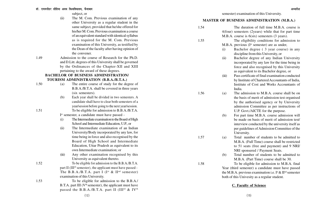subject, or

(ii) The M. Com. Previous examination of any other University as a regular student in the same subject, provided that he/she offered for his/her M. Com. Previous examination a course of an equivalent standard with identical syllabus as is required for the M. Com. Previous examination of this University, as testified by the Dean of the faculty after having opinion of the convener.

1.49 Admission to the course of Research for the Ph.D. and D.Litt. degrees of this University shall be governed by the Ordinances of the Chapter-XII and XIII pertaining to the award of these degrees.

#### **BACHELOR OF BUSINESS ADMINISTRATION/ TOURISM ADMINISTRATION (B.B.A./B.T.A.)**

1.51

1.52

1.53

- 1.50 (a) The entire course of study for the degree of B.B.A./B.T.A. shall be covered in three years (six semesters).
	- (b) Each year shall be divided in two semesters. A candidate shall have to clear both semesters of a year/session before going to the next year/session. To be eligible for admission to B.B.A./B.T.A.
	- I<sup>st</sup> semester, a candidate must have passed -
	- (i) The Intermediate examination to the Board of High School and Intermediate Education, U.P., or
	- (ii) The Intermediate examination of an Indian University/Body incorporated by any law, for time being in force and also recognised by the Board of High School and Intermediate Education, Uttar Pradesh as equivalent to its own Intermediate examination; or
	- (iii) Any other examination recognised by this University as equivalent thereto.

To be eligible for admission to the B.B.A./B.T.A. part II (IIIrd semester), the applicant must have passed - The B.B.A./B.T.A. part I ( $I<sup>st</sup> \& II<sup>nd</sup>$  semester) examination of this University.

To be eligible for admission to the B.B.A./ B.T.A. part III ( $V<sup>th</sup>$  semester), the applicant must have passed the B.B.A./B.T.A. part II (III<sup>rd</sup> & IV<sup>th</sup> semester) examination of this University.

#### **MASTER OF BUSINESS ADMINISTRATION (M.B.A.)**

1.54 The duration of full time M.B.A. course is 4(four) semesters (2years) while that for part time M.B.A. course is 6(six) semesters (3 years). 1.55 The eligibility conditions for admission to  $M.B.A.$  previous ( $I<sup>st</sup>$  semester) are as under, (i) Bachelor degree ( 3 year course) in any discipline from this University, or (ii) Bachelor degree of any Indian University incorporated by any law for the time being in force and also recognised by this University as equivalent to its Bachelor degree, or (iii) Pass certificate of final examination conducted by Institute of Chartered Accountants of India, Institute of Cost and Works Accountants of India. 1.56 (a) The admission to M.B.A. course shall be on the basis of merit of admission test organised by the authorised agency or by University admission Committee as per instructions of U.P. Govt./AICTE for the purpose. (b) For part time M.B.A. course admission will be made on basis of merit of admission test/ interview conducted by the university itself as per guidelines of Admission Committee of the University. 1.57 (a) Total number of students to be admitted to M.B.A. (Full Time) course shall be restricted to 51 seats (free and payment) and 9 NRI/ NRI sponsered / Payment Seats. (b) Total number of students to be admitted to M.B.A. (Part Time) course shall be 30. 1.58 To be eligible for admission to M.B.A. final Year (third semester) a candidate must have passed the M.B.A. previous examination i.e.  $I^{st} \& II^{nd}$  semester both of this Univesity as a regular student.

#### **C. Faculty of Science**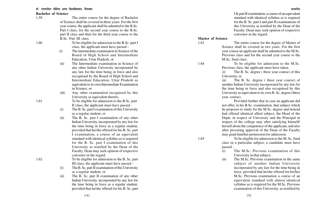#### **Bachelor of Science**

1.59 The entire course for the degree of Bachelor of Science shall be covered in three years. For the first year course, the applicant shall be admitted to the B.Sc. Part I class, for the second year course to the B.Sc. part II class and then for the third year course to the B.Sc. Part III class. To be eligible for admission to the B.Sc. part I class, the applicant must have passed - (i) The intermediate examination in Science of the Board of High School and Intermediate Education, Uttar Pradesh, or (ii) The Intermediate examination in Science of any other Indian University incorporated by any law for the time being in force and also recognised by the Board of High School and Intermediate Education, Uttar Pradesh as equivalent to its own Intermediate Examination in Science, or (iii) Any other examination recognised by this University as equivalent thereto. To be eligible for admission to the B.Sc. part II class, the applicant must have passed - (i) The B. Sc. part I examination of this University as a regular student, or (ii) The B. Sc. part I examination of any other Indian University, incorporated by any law for the time being in force as a regular student, provided that he/she offered for his B. Sc. part I examination, a course of an equivalent standard with identical syllabus as is required for the B. Sc. part I examination of this University as testified by the Dean of the Faculty. Dean may seek opinion of respective convenor in the regard. To be eligible for admission to the B. Sc. part III class, the applicant must have passed - (i) The B. Sc. part II examination of this University as a regular student, or (ii) The B. Sc. part II examination of any other Indian University, incorporated by any law for the time being in force as a regular student, provided that he/she offered for his B. Sc. part

I & part II examination, a course of an equivalent standard with identical syllabus as is required for the B. Sc. part I and part II examinations of this University as testified by the Dean of the Faculty. Dean may seek opinion of respective convenor in the regard.

#### **Master of Science**

1.64

1.65

1.63 The entire course for the degree of Master of Science shall be covered in two years. For the first year course an applicant shall be admitted to the M.Sc. Previous class and for the second year course to the M.Sc. final class.

> To be eligible for admission to the M.Sc. Previous class, the applicant must have taken.

> (i) The B. Sc. degree ( three year course) of this University, or

> (ii) The B. Sc. degree ( three year course) of another Indian University incorporated by any law for the time being in force and also recognised by this University as equivalent to its own B. Sc. degree (three year course).

> Provided further that in case an applicant did not offer, in his B.Sc. examination, that subject which he proposes to study for the M.Sc. degree and instead had offered identical allied subject, the Head of the Deptt, in respect of University and the Principal in respect of the college may after satisfying himself/ herself about the competence of the applicant, and also after procuring approval of the Dean of the Faculty may grant him/her permission for admission.

> To be eligible for admission to the M. Sc. final class in a particular subject, a candidate must have passed :

- (i) The M.Sc. Previous examination of this University in that subject;
- (ii) The M.Sc. Previous examination in the same subject of another Indian University incorporated by any law for the time being in force, provided that he/she offered for his/her M.Sc. Previous examination a course of an equivalent standard with almost identical syllabus as is required for the M.Sc. Previous examination of this University, as testified by

 $(14)$ 

1.60

1.61

1.62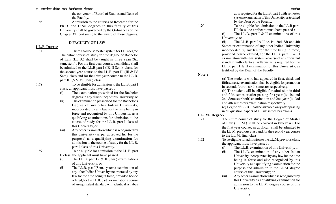the convenor of Board of Studies and Dean of the Faculty.

1.66 Admission to the courses of Research for the Ph.D. and D.Sc. degrees in this faculty of this University shall be governed by the Ordinances of the Chapter XII pertaining to the award of these degrees.

#### **D.FACULTY OF LAW**

**LL.B Degree**

1.67 There shall be semester system for LLB degree The entire course of study for the degree of Bachelor of Law (LL.B.) shall be taught in three years(Six semesters) . For the first year course, a candidate shall be admitted to the LL.B part I (I& II Sem) class, for the second year course to the LL.B. part II, (III & IV Sem) class and for the third year course to the LL.B. part III (V& VI Sem.) class.

1.68

1.69

To be eligible for admission to the LL.B. part I class, an applicant must have passed :

- (i) The examination prescribed for the Bachelor degree (in any discipline) of this University, or
- (ii) The examination prescribed for the Bachelor's Degree of any other Indian University, incorporated by any law for the time being in force and recognised by this University, as a qualifying examinations for admission to the course of study for the LL.B. part I class of this University, or
- (iii) Any other examination which is recognised by this University (as per approved lisr for the purpose) as a qualifying examination for admission to the course of study for the LL.B. part I class of this University.

To be eligible for admission to the LL.B. part II class, the applicant must have passed :

- (i) The LL.B. part I (I& II Sem.) examinations of this University; or
- (ii) The LL.B. part I(Sem. system) examination of any other Indian University incorporated by any law for the time being in force, provided he/she offered, for the LL.B. part I examination a course of an equivalent standard with identical syllabus

as is required for the LL.B. part I with semester syste m examination of this University, as testified by the Dean of the Faculty.

To be eligible for admission to the LL.B part III class, the applicant must have passed :

(i) The LL.B. part I & II examinations of this University; or

(ii) The LL.B. part I  $&$  II ie. Ist, 2nd, 3dr and 4th Semester examination of any other Indian University incorporated by any law for the time being in force, provided he/she offered, for the LL.B. part I & II examination with sem. system a course of an equivalent standard with identical syllabus as is required for the LL.B. part I & II examination of this University, as testified by the Dean of the Faculty.

**Note :**

(a) The students who has appeared in first, third, and fifth semester examination shall be eligible for promotion in second, fourth, sixth semester respectively. (b) The student will be eligible for admission in third and fifth semester after passing first year (ie. 1st and 2nd Semester both) examination and 2nd year (ie. 3rd and 4th semester) examination respectively. (c) Degree of LL.B. Shall be awarded only after passing in all question papers of all six semesters exams.

#### **LL. M. Degree-**

1.72

- 1.71 The entire course of study for the Degree of Master of Law (L.L.M.) shall be covered in two years. For the first year course, an applicant shall be admitted to the LL.M. previous class and for the second year course to the LL.M. final class.
	- To be eligible for admission to the LL.M. previous class, the applicant must have passed :
		- (i) The LL.B. examination of this University, or
		- (ii) The LL.B. examination of any other Indian University incorporated by any law for the time being in force and also recognised by this University as a qualifying examination for the purpose and admission to the LL.M. degree course of this University; or
		- (iii) Any other examination which is recognised by this University as a qualifying examination for admission to the LL.M. degree course of this University.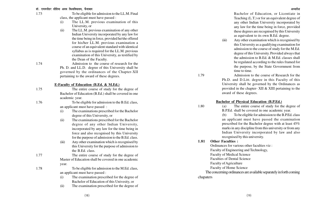- 1.73 To be eligible for admission to the LL.M. Final class, the applicant must have passed :
	- (i) The LL.M. previous examination of this University, or
	- (ii) The LL.M. previous examination of any other Indian University incorporated by any law for the time being in force, provided he/she offered for his/her LL.M. previous examination a course of an equivalent standard with identical syllabus as is required for the LL.M. previous examination of this University, as testified by the Dean of the Faculty.

1.76

1.74 Admission to the course of research for the Ph. D. and LL.D. degree of this University shall be governed by the ordinances of the Chapter-XII pertaining to the award of these degrees.

**E-Faculty of Education (B.Ed. & M.Ed.)**

1.75 The entire course of study for the degree of Bachelor of Education (B.Ed.) shall be covered in one academic year.

To be eligible for admission to the B.Ed. class, an applicant must have passed :

- (i) The examinations prescribed for the Bachelor degree of this University, or
- (ii) The examinations prescribed for the Bachelor degree of any other Indian University, incorporated by any law for the time being in force and also recognised by this University for the purpose of admission to the B.Ed. class.
- (iii) Any other examination which is recognised by this University for the purpose of admission to the B.Ed. class.

1.77 The entire course of study for the degree of Master of Education shall be covered in one academic year.

1.78

To be eligible for admission to the M.Ed. class, an applicant must have passed :

- (i) The examination prescribed for the degree of Bachelor of Education of this Univesity, or
- (ii) The examination prescribed for the degree of

Bachelor of Education, or Licentiate in Teaching (L.T.) or for an equivalent degree of any other Indian University incorporated by any law for the time being in force, provided these degrees are recognised by this University as equivalent to its own B.Ed. degree.

(iii) Any other examination which is recognised by this University as a qualifying examination for admission to the course of study for the M.Ed. degree of this University. Provided always that the admission to B.Ed. & M.Ed. classes shall be regulated according to the rules framed for the purpose, by the State Government from time to time.

1.79 Admission to the course of Research for the Ph.D. and D.Litt. degree in this Faculty of this University shall be governed by the Ordinances as provided in the chapter- XII & XIII pertaining to the award of these degrees.

#### **Bachelor of Physical Education (B.P.Ed.)**

1.80 (a) The entire course of study for the degree of B.P.Ed. shall be covered in one academic year.

> (b) To be eligible for admission to the B.P.Ed. class an applicant must have passed the examination prescribed for the Bachelor degree with at least 45% marks in any discipline from this university or from any Indian University incorporated by law and also recognised by this university.

### **1.81 Other Faculties :**

Ordinances for various other faculties viz : Faculty of Engineering and Technology, Faculty of Medical Science Faculties of Dental Science Faculty of Agriculture Faculty of Home Science The concerning ordinances are available separately in forth coming

chapaters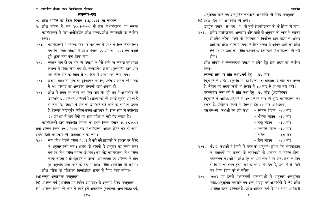डॉ. राममनोहर लोहिया अवध विश्वविघालय. फैजाबाद <del>कार कारकार कार्यकार कार्यकार कार्यकार कार्यकार कार्यकार अध्यादेश</del>

#### **सलग्नंक-एक**

- 1. प्रवेश समिति की बैठक दिनांक ३.६.२००३ का कार्यवृत्त।
- २. प्रवेश समिति ने, सत्र २००३-२००४ के लिए विश्वविद्यालय एवं सम्बद्ध महाविद्यालयां के लिए अधोलिखित प्रवेश मानक/प्रवेश नियमावली का निर्धारण किया।
- २/१. महाविद्यालयों में स्नातक स्तर पर भाग एक में प्रवेश के लिए निर्णय लिया गया कि, उक्त कक्षाओं में प्रवेश दिनांक २० अगस्त, २००३ तक कराते हुये शुल्क जमा करा लिया जाय।
- २/२. स्नातक भाग दो एवं तीन की कक्षाओं के ऐसे छात्रों का जिनका परीक्षाफल बिलम्ब से प्रेषित किया गया हो, उनकाप्रवेश प्राचार्य /कुलसचिव द्वारा अंक पत्र निर्गत होने की तिथि से १५ दिन के अन्दर कर लिया जाय।
- २/३. प्राचार्य, सावधानी पूर्वक वह सुनिश्चित करे कि, प्रत्येक प्राध्यापक को सप्ताह में २४ पीरियड का अध्यापन सम्बन्धी कार्य अवश्य हो।
- २/४. प्रवेश के समय यह स्पष्ट कर दिया जाय कि, पूरे सत्र में अभ्यर्थियां की उपस्थिति ७५ प्रतिशत अनिवार्य है। प्राध्यापको को इसकी सूचना अवश्य दे दी जाय कि, कक्षाओं में छात्र की उपस्थिति दर्ज करने का दायिध्त्व उनका है, जिसका निष्ठापूर्वक निर्वहन करना आवश्यक है। जिस छात्र की उपस्थिति ७५ प्रतिशत से कम होगी वह छात्र परीक्षा में नहीं बैठ सकता है।

महाविद्यालयों द्वारा उपस्थिति विवरण की प्रथम किस्त दिनांक ३०.११.२००३ तथा अन्तिम किस्त १५.२.२००४ तक विश्वविद्यालय अवश्य प्रेषित कर दी जाय। इसमें किसी भी प्रकार की शिथिलता न की जाय।

२/५. सभी प्रवेश पिछली परीक्षा २००३ में पाये गये प्राप्तांकों के आधार पर मेरिट के अनुसार किये जाय। शासन की नीतियों के अनुसार यह निर्णय लिया गया कि प्रवेश परीक्षा समाप्त की जाय। यदि कोई महाविद्यालय प्रवेश परीक्षा करना चाहता है तो कूलपति से उसकी आवश्यकता एवं औचित्य के साथ पूर्व अनुमति प्राप्त करने के बाद ही प्रवेश परीक्षा आयोजित की जायेगी। प्रवेश परीक्षा का परीक्षाफल निम्नलिखित प्रकार से तैयार किया जायेगा-

(अ) सम्पूर्ण अनुक्रमांक क्रमानुसार।

(ब) आरक्षण वर्ग (आरक्षित एवं विशेष आरक्षित) के अनुसार मेरिट क्रमानुसार। (स) आरक्षण नियमों को ध्यान में रखते हुये अनारक्षित (सामान्य), अन्य पिछड़ा वर्ग, अनुसूचित जाति एवं अनुसूचित जनजाति अभ्यर्थियों की मेरिट क्रमानुसार।

(द) प्रवेश किये गये अभ्यर्थियों की सूची।

उपर्युक्त क्रमांक ''स'' एवं ''द'' की सूची विश्वविद्यालय को भी प्रेषित की जाय।

२/६. प्रत्येक महाविद्यालय, अध्यापक और छात्रों के अनुपात को ध्यान में रखकर ही प्रवेश करेगा। किसी भी परिस्थिति में निर्धारित छात्र संख्या से अधिक छात्रों का प्रवेश न किया जाय, निर्धारित संख्या से अधिक छात्रों का प्रवेश लेने पर उन छात्रों की परीक्षा करवाने की जिम्मेदारी विश्वविद्यालय की नहीं होगी।

प्रवेश समिति ने निम्नलिखित कक्षाओं में प्रवेश हेतु छात्र संख्या का निर्धारण किया-

**स्नातक स्तर पर प्रति कक्षा ⁄ वर्ग हेतु ६० सीट** 

(कुलपति के आदेश/अनुमति से महाविद्यालय १५ प्रतिशत की वृद्धि कर सकता है, लेकिन वह संख्या किसी भी स्थिति में co सीट से अधिक नहीं होगी।) परास्नातक कला वर्ग में प्रति कक्षा हेतु ६० सीट (अप्रयोगिक) (कुलपति के आदेश/अनुमति से १५ प्रतिशत सीट की वृद्धि महाविद्यालय कर सकता है, प्रोयोगिक विषयों में प्रतिकक्षा हेतु ४० सीट अधिकतम।)

एस.एस-सी. कक्षाओं हेतु प्रति कक्षा कि रसायन विज्ञान क्षेत्र सीट

- भौतिक विज्ञान -३० सीट
- जन्तु विज्ञान -३० सीट
- वनस्पति विज्ञान -३० सीट
- गणित -६० सीट

– सैन्य विज्ञान –४० सीट

- २/७. बी. ए. कक्षाओं में विषयों के चयन की अनुमति/सुविधा देना महाविद्यालय के संसाधनों एवं सारणी की व्यवस्थाओं के अन्तर्गत ही सीमित होगा। परास्नातक कक्षाओं में प्रवेश हेतु यह आवश्यक है कि छात्र/छात्रा के जिन दो विषयों का चयन तृतीय वर्ष की परीक्षा में किया है, उन्हीं में से किसी एक विषय विषय को ले सकेगा।
- २/८. १६६४ एवं इसके पश्चातवर्ती शासनादेशों के अनुसार अनुसूचित जाति/अनुसूचित जनजाति एवं अन्य पिछड़ा वर्ग अभ्यर्थियों के लिए प्रवेश आरक्षित करना अनिवार्य है। प्रवेश आवेदन फार्म के साथ सक्षम अधिकारी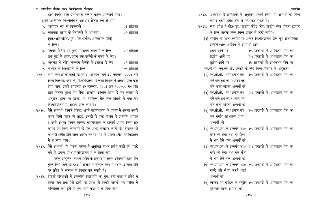हारा निर्गत उक्त प्रमाण-पत्र संलग्न करना अनिवार्य होगा। इसके अतिरिक्त निम्नलिखित आरक्षण क्षैतिज रूप से होगे-

- 1- 'kkjhfjd :i ls fodykaxksa 03 izfr'kr
- 2- Lora=rk laxzke ds lsukfu;ksa ds vkfJrksa 02 izfr'kr  $\langle$ पुत्र/अविवाहित/पुत्री/पौत्र/प्रपौत्र/अविवाहित प्रोत्री) के लिए।
- ३. भूतपूर्व सैनिक एवं युद्ध में अपंग रक्षाकर्मी के लिए वर प्रतिशत तथा युद्ध में शहीद⁄अपंग रक्षा कर्मियों के पाल्यों के लिए।
- $8.$  कारगिल में शहीद विकलांग सैनिकों के आश्रित के लिए  $\qquad$  ०२ प्रतिशत
- ५. कश्मीर के विस्थापितों के लिए तरह कर से उनके 9 प्रतिशत
- २/९. सभी कक्षाओं के छात्रों का परीक्षा आवेदन फार्म ३० नवम्बर, २००३ तक (बना बिलम्बह दण्ड के) विश्वविद्यालय के लेखा विभाग में अवश्य प्राप्त करा विया जाय। इसके उपरानत १५ दिसम्बर, २००३ तक १००-०० रु० प्रति छात्र बिलम्ब शुल्क देय होगा। प्राचार्य, अन्तिम तिथि के एक सप्ताह के अनुसार शुल्क का ड्राफ्ट एवं नामिनल रोल तीन प्रतियों में बना कर विश्वविद्यालय में अवश्य प्राप्त करा दें।
- २/१०. ऐसे अभ्यर्थी, जिनके विरूद्ध अपने महाविद्यालय के प्रांगण में अथवा उसके बाहर किसी प्रकार की लडाई, झगडों के दण्ड विधान के अन्तर्गत अपराध <u>ा करने अथवा जिनके विरूद्ध महाविद्यालय के प्राचार्य अथवा किसी प्राध</u> यापक एवं किसी कर्मचारी के प्रति अभद्र व्यवहार करने की शिकायत हो या सही प्रतीत होने वाला आरोप लगाया गया हो उसका प्रवेश महाविद्यालय में न लिया जाय।
- २/११. ऐसे अभ्यर्थी, जो पिछली परीक्षा में अनुचित साधन प्रयोग करते हुये पकड़े गये हो उनका प्रवेश महाविद्यालय में न लिया जाय।

परन्तु अनुचित साधन प्रयोग के प्रकरण में सक्षम अधिकारी द्वारा दोष मुक्त किये जाने की दशा में प्राचार्य सम्बन्धित कक्षा में स्थान उपलब्ध होने पर प्रवेश के सम्बन्ध में विचार कर सकते हैं।

२/१२. पिछली परिक्षाओं में अनुत्तीर्ण विद्यार्थियों का पुनः उसी कक्षा में प्रवेश न किया जाय तथा ऐसे छात्रों का प्रवेश जो किन्ही कारणों वस परीक्षा में सम्मिलित नहीं हुये हो पुनः उसी कक्षा में न किया जाय।

|                                                           |                                                                                 |  |                                  | अध्यादेश |
|-----------------------------------------------------------|---------------------------------------------------------------------------------|--|----------------------------------|----------|
|                                                           | २/१३. अध्यादेश के प्राविधानों के अनुसार प्राचार्य किसी भी अभ्यर्थी को बिना      |  |                                  |          |
|                                                           | कारण बताये प्रवेश देने से मना कर सकते है।                                       |  |                                  |          |
|                                                           | २/१४. सभी प्रवेश में खेल-कूद, राष्ट्रीय कैडेट कोर, राष्ट्रीय सेवा योजना इत्यादि |  |                                  |          |
|                                                           | के लिए भारांक निम्न निम्न प्रकार से दिखे जायेगे-                                |  |                                  |          |
|                                                           | (१) राष्ट्रीय या राज्य स्तरीय या अन्तर विश्वविद्यालय खेल कूद प्रतियोगिता।       |  |                                  |          |
|                                                           | इन्डिविज़ुअल आईटम में अभ्यार्थी द्वारा-                                         |  |                                  |          |
|                                                           | प्रथम आने पर                                                                    |  | ३% प्राप्तांकों के अधिकतम योग का |          |
|                                                           | द्वितीय आने पर                                                                  |  | २% प्राप्तांकों के अधिकतम योग का |          |
|                                                           | तृतीय आने पर                                                                    |  | १% प्राप्तांकों के अधिकतम योग का |          |
| एन.सी.सी, एन.एस.सी. इत्यादि के लिए निम्न विवरण के अनुसार- |                                                                                 |  |                                  |          |
|                                                           | (२) एन.सी.सी. ''सी'' प्रमाण पत्र   ३% प्राप्तांकों के अधिकतम योग का             |  |                                  |          |
|                                                           | पाने वाले तथा जी-२ प्रमाण पत्र                                                  |  |                                  |          |
|                                                           | पाने वाली महिला अभ्यर्थी को                                                     |  |                                  |          |
|                                                           | (३) एन.सी.सी. ''सी'' प्रमाण पत्र   २% प्राप्तांकों के अधिकतम योग का             |  |                                  |          |
|                                                           | पाने वाले तथा जी-१ प्रमाण पत्र                                                  |  |                                  |          |
|                                                           | पाने वाली महिला अभ्यर्थी को                                                     |  |                                  |          |
|                                                           | (४) एन.सी.सी. ''सी'' प्रमाण पत्र    १% प्राप्तांकों के अधिकतम योग का            |  |                                  |          |
|                                                           | एक वर्षीय प्रशिक्षण प्राप्त                                                     |  |                                  |          |
|                                                           | अभ्यर्थी को                                                                     |  |                                  |          |
|                                                           | (५) एन.एस.एस. के अन्तर्गत २४०  ३% प्राप्तांकों के अधिकतम योग का                 |  |                                  |          |
|                                                           | घण्टे की सेवा तथा दो कैम्प                                                      |  |                                  |          |
|                                                           | में भाग लेने वाले अभ्यर्थी को                                                   |  |                                  |          |
|                                                           | (६) एन.एस.एस. के अन्तर्गत २४०  २% प्राप्तांकों के अधिकतम योग का                 |  |                                  |          |
|                                                           | घण्टे की सेवा तथा एक कैम्प                                                      |  |                                  |          |
|                                                           | में भाग लेने वाले अभ्यर्थी को                                                   |  |                                  |          |
|                                                           | (७) एन.एस.एस. के अन्तर्गत २४०  १% प्राप्तांकों के अधिकतम योग का                 |  |                                  |          |
|                                                           | घण्टे की सेवा करने वाले                                                         |  |                                  |          |
|                                                           | अभ्यर्थी को                                                                     |  |                                  |          |
|                                                           | (८) स्काउट एवं गाईडॅस के राष्ट्रीय ३% प्राप्तांकों के अधिकतम योग का             |  |                                  |          |
|                                                           | पुरस्कार प्राप्त अभ्यर्थी को                                                    |  |                                  |          |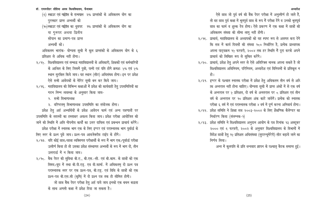#### डॉ. राममनोहर लोहिया अवध विश्वविघालय. फैजाबाद <del>कार का सामना का सामना का सामना का सामना का सामनोहर लोहिया अवधा के अध्यादेश</del>

- $(\epsilon)$  स्काउट एवं गाईडॅस के राज्यपाल २% प्राप्तांकों के अधिकतम योग का पुरस्कार प्राप्त अभ्यर्थी को
- (१०)स्काउट एवं गाईडॅस का धुवपद 9% प्राप्तांकों के अधिकतम योग का या गुरूपद अथवा द्वितीय
	-
	- सोपान का प्रमाण-पत्र प्राप्त
	- अभ्यर्थी को।
- अधिकतम भारांक- योग्यता सूची में कूल प्राप्तांकों के अधिकतम योग के ६ प्रतिशत से अधिक नहीं होगा।
- २/१५. विश्वविद्यालय एवं सम्बद्ध महाविद्यालयों के अधिकारी, शिक्षकों एवं कर्मचारियों के आश्रित के लिए जिसमें पुत्री, पत्नी एवं पति होगे क्रमशः ५% एवं ५% .<br>स्थान सुरक्षित किये जाय। यह स्थान (सीट) अधिसंख्य होगा। इन पर प्रवेश ऐसे सभी आवेदकों के मेरिट सूची बन कर किये जाय।
- २/१६. महाविद्यालय की विभिन्न कक्षाओं में प्रवेश की कार्यवाही हेतु उपसमितियों का गठन निम्न व्यवस्था के अनुसार किया जाय-
	- १. सभी विभागाध्यक्ष
	- २. वरिष्टतम् विभागाध्यक्ष उपसमिति का संयोजक होगा।

प्रवेश हेतु अर्ह अभ्यर्थियों के प्रवेश आवेदन फार्म एवं अन्य पत्रणातों पर उपसमिति के सदस्यों का हस्ताक्षर अवश्य किया जाय। प्रवेश परीक्षा आयोजित की जाने की स्थिति में अति गोपनीय कार्यों का उत्तर दायित्व एवं प्रबन्धन प्राचार्य करेंगे।

प्रवेश परीक्षा में स्नातक भाग एक के लिए इण्टर एवं परास्नातक भाग प्रवर्ष्डि के लिए स्तर के प्रश्न पूछे जाय। प्रश्न-पत्र आवजेक्टीव टाईप के होंगे।

- २/१७. यदि कोई छात्र/छात्रा व्यक्तिगत परीक्षार्थी के रूप में भाग एक/पूर्वार्द्ध परीक्षा उत्तीर्ण किया हो तो उसका प्रवेश संस्थागत अभ्यर्थी के रूप में भाग दो, तीन उत्तरार्द्ध में न किया जाय।
- २/१८. बैक पेपर की सुविधा बी.ए., बी.एस.-सी. एवं बी.काम. के छात्रों को एक विषय /ग्रुप में तथा बी.पी.एड्. एव वी.फार्मा. में अधिकतम् दो प्रश्न पत्र परास्नातक स्तर पर एक प्रश्न-पत्र, बी.एड्. एवं विधि के छात्रों को एक प्रश्न-पत्र बी.एस.सी (कृषि) में दो प्रश्न पत्र तक ही सीमित होगी।

जो छात्र बैंक पेपर परीक्षा हेतु अर्ह पाये जाय इनको एक बचन बद्धता के साथ अगली कक्षा में प्रवेश दिया जा सकता है।

- ऐसे छात्र जो पूर्व वर्ष की बैंक पेपर परीक्षा में अनुत्तीर्ण हो जाते हैं, तो वह छात्र पूर्व कक्षा में भूतपूर्व छात्र के रूप में परीक्षा देंगे व उनको भूतपूर्व छात्र का फार्म व शुल्क देय होगा। ऐसे प्रकरण में एक कक्षा में छात्रों की अधिकतम संख्या की सीमा लागू नहीं होगी।
- २/१६. प्राचार्य, महाविद्यालय के अध्यापकों को यह स्पष्ट रूप से अवगत करा देगे कि सत्र में कार्य दिवसों की संख्या १८० निर्धारित है, प्रत्येक प्राध्यापक अपना पाट्यक्रम १५ फरवरी, २००४ तक हर स्थिति में पूरा करके अपने प्राचार्य को लिखित रूप से सूचित करेंगे।
- २/२०. प्राचार्य, प्रवेश हेतु अपने स्तर से ऐसे अतिरिक्त मानक अपना सकते है जो विश्वविद्यालय अधिनियम, परिनियम, अध्यादेश एवं विनियमों के प्रतिकूल न हो ।
- २/२१. इण्टर के पश्चात स्नातक परीक्षा में प्रवेश हेतु अधिकतम तीन वर्ष से अधि ाक अन्तराल नहीं होना चाहिए। योग्यता सूची में प्राप्त अंकों में से एक वर्ष के अन्तराल पर ५ प्रतिशत, दो वर्ष के अनतराल पर ८ प्रतिशत एवं तीन वर्ष के अन्तराल पर १० प्रतिशत अंक काटे जायेगें। प्रत्येक को स्नातक परीक्षा ६ वर्ष में एवं परास्नातक परीक्षा ४ वर्ष में पूर्ण करना अनिवार्य होगा।
- २/२२. प्रवेश समिति ने शिक्षा सत्र २००३-२००४ के लिए शैक्षणिक कैलेण्डर का निर्धारण किया (संलग्नक-9)
- २/२३. प्रवेश समिति ने विश्वविद्यालय अनुदान आयोग के पत्र दिनांक १३ अक्टूबर २००० एवं ६ फरवरी, २००२ के अनुसार विश्वविद्यालय के विभागों में विदेश छात्रों हेतु १५ प्रतिशत अधिसंख्या (सुपरन्यूमेरेरी) सीट बढ़ाये जाने का निर्णय लिया।

अन्त में कुलपति के प्रति धन्यवाद ज्ञापन के पश्चात् बैठक समाप्त हुई।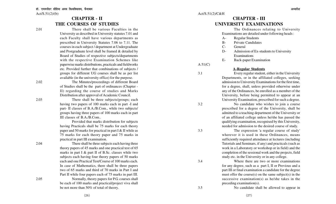### **CHAPTER - II THE COURSES OF STUDIES**

2.01 There shall be various Faculties in the University as described in University statutes 7.01 and each Faculty shall have various departments as prescribed in University Statutes 7.06 to 7.11. The courses in each subject / department at Undergraduate and Postgraduate level shall be framed & detailed by Board of Studies of respective subjects/departments with the respective Examination Schemes like paperwise marks distributions, practicals and fieldworks etc. Provided further that combinations of subjects / groups for different UG courses shall be as per list available (in the university office) for the purpose.

2.02 The Minutes/proceedings of different Board of Studies shall be the part of ordinances (Chapter - II) regarding the course of studies and Marks Distribution after approval of Academic Council.

2.03 There shall be three subjects/groups; each having two papers of 100 marks each in part -I and part- II classes of B.A./B.Com., while two subjects/ groups having three papers of 100 marks each in part

III classes of B.A./B.Com..

Provided that marks distribution for subjects having Practicals shall be 75 marks for each theory paper and 50 marks for practical in part I & II while as 75 marks for each theory paper and 75 marks in practical in part III examination.

2.04 There shall be three subjects each having three theory papers of 45 marks and one practical test of 65 marks in part I & part II of B.Sc. classes while two subjects each having four theory papers of 50 marks each and one Practical Test/Course of 100 marks each. In case of Mathematics, there shall be three papers two of 65 marks and third of 70 marks in Part I and Part II while four papers each of 75 marks in part III. 2.05 Normally, theory papers for P.G. courses shall be each of 100 marks and practical/project viva shall be not more than 50% of total of theory.

## **CHAPTER - III UNIVERSITY EXAMINATIONS**

The Ordinances relating to University Examinations are detailed under following heads :

- A- Regular Students
- B- Private Candidates
- C- General
- D- Admission of Ex-students to University **Examinations**
- E- Back-paper Examination

### A 51(C)

#### **A-Regular Students**

3.1 Every regular student, either in the University Departments, or in the affiliated colleges, seeking admission to University Examinations for the first time, for a degree, shall, unless provided otherwise under any of the Ordinances, be enrolled as a member of the University, before being permitted to appear at an University Examination, prescribed for such a degree.

3.2 No candidate who wishes to join a course prescribed for a degree of the University, shall be admitted to a teaching department of the University or of an affiliated college unless he/she has passed the qualifying examination, recognised by this University, needed for admission to the desired course of study.

3.3 The expression 'a regular course of study' wherever it is used in these Ordinances, means sufficiently required attendance at lectures (including Tutorials and Seminars, if any) and practicals (such as work in a Laboratory or workshop or in field) and the completion of the sessional work and the projects, field study etc. in the University or in any college.

3.4 Where there are two or more examinations for any degree, such as a part I, II or Previous and a part III or final examination a candidate for the degree must offer the course $(s)$  on the same subject $(s)$  in the successive examination(s) as he/she takes in the preceding examination(s).

3.5 No candidate shall be allowed to appear in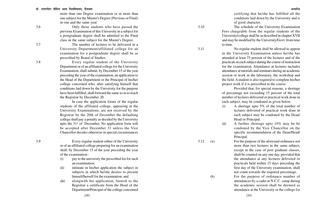more than one Degree examination or in more than one subject for the Master's Degree (Previous or Final) in one and the same year.

3.6 Only those students who have passed the previous Examination of this University in a subject for a postgraduate degree shall be admitted to the Final class in the same subject for the Master's Degree.

3.7 The number of lectures to be delivered in a University Department/affiliated college for an examination for a postgraduate degree shall be as prescribed by Board of Studies.

3.8 Every regular student of the University Department or of an affiliated college for the University Examination, shall submit, by December 15 of the year preceding the year of the examination, an application to the Head of the Department or the Principal of his/her college concerned who, after satisfying himself that conditions laid down by the University for the purpose have been fulfilled, shall forward the same so as to reach the Registrar by December 20.

In case the application forms of the regular students of the affiliated college, appearing at the University Examinations, are not received by the Registrar by the 20th of December the defaulting college shall pay a penalty as decided by the University upto the  $31<sup>st</sup>$  of December. No application form will be accepted after December 31 unless the Vice Chancellor decides otherwise in special circumstances

.

3.9 Every regular student either of the University or of an affiliated college preparing for an examination shall, by December 15 of the year preceding the year of the examination :

- (i) pay to the university the prescribed fee for such an examination;
- (ii) intimate in his/her application the subject or subjects in which he/she desires to present himself/herself for the examination; and
- (iii) alongwith his application, furnish to the Registrar a certificate from the Head of the Department/Principal of the college concerned

certifying that he/she has fulfilled all the conditions laid down by the University and is of good character.

3.10 The schedule of the University Examination Fees chargeable from the regular students of the University/college shall be as described in chapter XVII and may be modified by the University/Govt. from time to time.

3.11 No regular student shall be allowed to appear in the University Examination unless he/she has attended at least 75 percent of the lectures and of the practicals in each subject during the course of instruction for the examination. Attendance at lectures includes attendance at tutorials and seminars during an academic session or work in the laboratory, the workshop and the field. A student is also required to complete his/her project work if it is prescribed in the course.

> Provided that, for special reasons, a shortage of percentage not exceeding 15 percent of the total number of lectures delivered or practical work done in each subject, may be condoned as given below.

- (i) A shortage upto 5% of the total number of lectures delivered of practical work done in each subject may be condoned by the Dean/ Head or Principal.
- (ii) A further shortage upto 10% may be be condoned by the Vice Chancellor on the specific recommendation of the Dean/Head/ Principal.
- 3.12 (a) For the purpose of the aforesaid ordinance not more than two lectures in the same subject, except in the case of post graduate classes, shall be counted on any one day, provided that the attendance at any lectures delivered or practicals held within 15 days preceding the first day of the University examination, shall not count towards the required percentage.
	- (b) For the purpose of ordinance number of attendances by a cadet at N.C.C. camp during the academic session shall be deemed as attendance at the University or the college for

(29)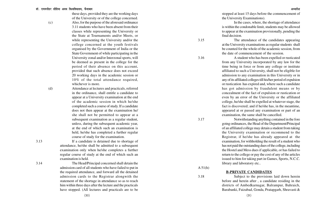of the University or of the college concerned. (c) Also, for the purpose of the aforesaid ordinance 3.11 students who have been absent from their classes while representing the University or the State at Tournaments and/or Meets, or while representing the University and/or the college concerned at the youth festivals organised by the Government of India or the State Government of while participating in the University zonal and/or Interzonal sports, will be deemed as present in the college for the period of their absence on this account, provided that such absence does not exceed 20 working days in the academic session or 10% of the total attendance required, whichever is more.

these days, provided they are the working days

(d) Attendance at lectures and practicals, referred in the ordinance, shall entitle a candidate to appear at a University examination at the end of the academic session in which he/she completed such a course of study. If a candidate does not then appear at the examination he/ she shall not be permitted to appear at a subsequent examination as a regular student, unless, during the subsequent academic year, at the end of which such an examination is held, he/she has completed a further regular course of study for the examination.

3.13 If a candidate is detained due to shortage of attendance, he/she shall be admitted to a subsequent examination only when he/she completes a further regular course of study at the end of which such an examination is held.

3.14 The Head/Principal concerned shall detain the admission card of all students who have failed to put in the required attendance, and forward all the detained admission cards to the Registrar alongwith the statement of the shortage in attendance so as to reach him within three days after the lecture and the practicals have stopped. (All lectures and practicals are to be stopped at least 15 days before the commencement of

In the cases, where, the shortage of attendance is within the condonable limit, students may be allowed to appear at the examination provisionally, pending the final decision.

3.15 The attendance of the candidates appearing at the University examinations as regular students shall be counted for the whole of the academic session, from the date of commencement of the session.

3.16 A student who has been expelled or rusticated from any University incorporated by any law for the time being in force or from any college or institute affiliated to such a University, shall not be eligible for admission to any examination in this University or in any of its affiliated colleges till his/her period of expulsion or rustication has expired and, where such a candidate has got admission by fraudulent means or by concealment of the fact of expulsion or rustication or even by an error of the University or the affiliated college, he/she shall be expelled at whatever stage, the fact is discovered; and if he/she has, in the meantime, appeared at or passed any examination or part of an examination, the same shall be cancelled.

3.17 Notwithstanding anything contained in the fore going ordinances, the Head of the Department/Principal of an affiliated college may detain a student from taking the University examination or recommend to the Registrar, if he/she has already appeared at the examination, for withholding the result of a student who has not paid the outstanding dues of the college, including the Hostel and Mess dues if applicable, or has failed to return to the college or pay the cost of any of the articles issued to him for taking part in Games, Sports, N.C.C. library and laboratory etc..

 $A 51(h)$ 

#### **B-PRIVATE CANDIDATES**

3.18 Subject to the provisions laid down herein before and herein after , a candidate residing in the districts of Ambedkarnagar, Balrampur, Bahraich, Barabanki, Faizabad, Gonda, Pratapgarh, Shravasti &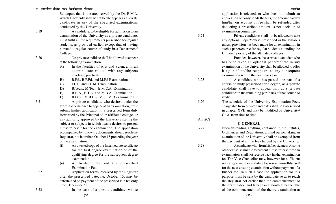Sultanpur, that is the area served by the Dr. R.M.L. Avadh University shall be entitled to appear as a private candidate in any of the specified examinations conducted by this University.

3.19 A candidate, to be eligible for admission to an examination of the University as a private candidate, must fulfil all the requirements prescribed for regular students, as provided earlier, except that of having pursued a regular course of study in a Department/ College.

3.20 No private candidate shall be allowed to appear at the following examination :

- A) In the faculties of Arts and Science, in all examinations related with any subjects involving practicals.
- B) B.Ed., B.P.Ed. and M.Ed Examination.
- C) LL.B. and LL.M. Examination.
- D) B.Tech., M.Tech & M.C.A. Examination.
- E) B.B.A., B.T.A. and M.B.A. Examination.
- F) B.D.S., M.B.B.S, M.S., M.D examination

3.21 A private candidate, who desires, under the aforesaid ordinance to appear at an examination, must submit his/her application in a prescribed form duly forwarded by the Principal of an affiliated college, or any authority approved by the University stating the subject or subjects in which he/she desires to present himself/herself for the examination. The application accompanied by following documents, should reach the Registrar, not later than October 15 preceding the year of the examination :

- (i) An attested copy of the Intermediate certificate for the first degree examination or of the qualifying degree for the subsequent degree examination.
- (ii) Application Fee and the prescribed Examination Fee.

3.22 Application forms, received by the Registrar after the prescribed date, i.e. October 15, may be entertained on payment of the prescribed late fee only upto December 31.

application is rejected, or who does not submit an application but only sends the fees, the amount paid by him/her on account of fee shall be refunded after deducting a prescribed amount as per decision of examination committee.

3.24 Private candidates shall not be allowed to take any optional paper/course prescribed in the syllabus unless provision has been made for an examination in such a paper/course for regular students attending the University or any of the affiliated colleges.

> Provided, however, that a private candidate who has once taken an optional paper/course in any examination of the University shall be allowed to offer it again if he/she reappears at any subsequent examination within the next two years.

3.25 A candidate who has passed one part of a course of study prescribed for a degree, as a 'private candidate' shall have to appear only as a 'private candidate' in the remaining part/parts of that course of study.

3.26 The schedule of the University Examination Fees, chargeable from private candidates shall be as described in chapter XVII and may be modified by University/ Govt. from time to time.

#### **C-GENERAL**

 $A 51(C)$ 

3.27 Notwithstanding anything contained in the Statutes, Ordinances and Regulations, a blind person taking an examination of the University shall be exempted from the payment of all the fee charged by the University.

3.28 A candidate who, from his/her sickness or some other cause, is unable to present himself/herself for an examination, shall not receive back his/her examination fee The Vice Chancellor may, however for sufficient reasons, permit the candidate to present himself/herself for the next ensuing examination without payment of a further fee. In such a case the application for this purpose must be sent by the candidate so as to reach the Registrar not earlier than the commencement of the examination and later than a month after the date of the commencement of the theory examination at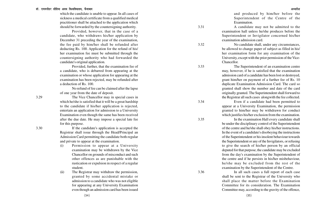#### डॉ. राममनोहर लोहिया अवध विश्वविघालय. फैजाबाद

which the candidate is unable to appear. In all cases of sickness a medical certificate from a qualified medical practitioner shall be attached to the application which should be forwarded by the countersigning authority.

Provided, however, that in the case of a candidate, who withdraws his/her application by December 31 preceding the year of the examination, the fee paid by him/her shall be refunded after deducting Rs. 100. Application for the refund of his/ her examination fee must be submitted through the countersigning authority who had forwarded the candidate's original application.

Provided, further, that the examination fee of a candidate, who is debarred from appearing at the examination or whose application for appearing at the examination has been rejected, may be refunded after a deduction of Rs. 100.

No refund of fee can be claimed after the lapse of one year from the date of deposit.

3.29 The Vice Chancellor may in special cases in which he/she is satisfied that it will be a great hardship to the candidate if his/her application is rejected, entertain an application for admission to a University Examination even though the same has been received after the due date. He may impose a special late fee for this purpose.

3.30 If the candidate's application is accepted the Registrar shall issue through the Head/Principal an Admission Card permitting the candidate both regular and private to appear at the examination.

- (i) Permission to appear at a University examination may be withdrawn by the Vice Chancellor on grounds of misconduct and such other offences as are punishable with the rustication or expulsion in respect of a regular student.
- (ii) The Registrar may withdraw the permission, granted by some accidental mistake or admission to a candidate who was not eligible for appearing at any University Examination even though an admission card has been issued

and produced by him/her before the Superintendent of the Centre of the Examination.

3.31 A candidate may not be admitted to the examination hall unless he/she produces before the Superintendent or Invigilator concerned his/her examination admission card.

3.32 No candidate shall, under any circumstances, be allowed to change paper of subject as filled in his/ her examination form for any examination of the University, except with the prior permission of the Vice-Chancellor.

3.33 The Superintendent of an examination centre may, however, if he is satisfied that the examination admission card of a candidate has been lost or destroyed, grant him/her on payment of a further fee of Rs. 10 duplicate Examination Admission Card. The card so granted shall show the number and date of the card originally granted. The Superintendent shall forward to the Registrar all such cases alongwith the fee collected.

3.34 Even if a candidate had been permitted to appear at a University Examination, the permission granted to him/her may be withdrawn for conduct which justifies his/her exclusion from the examination.

3.35 In the examination Hall every candidate shall be under the disciplinary control of the Superintendent of the centre and he/she shall obey his/her instructions. In the event of a candidate's disobeying the instructions of the Superintendent or his insolent behaviour towards the Superintendent or any of the Invigilators, or refusing to give the search of his/her person by an official deputed for that purpose, the candidate may be excluded from the day's examination by the Superintendent of the centre and if he persists in his/her misbehaviour, he/she may be excluded from the rest of the examination by the Superintendent of the Centre.

3.36 In all such cases a full report of each case shall be sent to the Registrar of the University who shall place the matter before the Examination Committee for its consideration. The Examination Committee may, according to the gravity of the offence,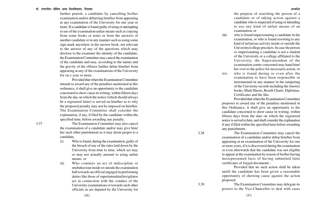further punish, a candidate by cancelling his/her examination and/or debarring him/her from appearing at any examination of the University for one year or more. If a candidate is found guilty of using or attempting to use of the examination unfair means such as copying from some books or notes or from the answers of another candidate or in any manner such as using some sign mark anywhere in the answer book, not relevant to the answer of any of the questions which may disclose to the examiner the identity of the candidate, the Examination Committee may cancel the examination of the candidate and may, according to the nature and the gravity of the offence further debar him/her from appearing at any of the examinations of the University for on e year or more.

Provided that when the Examination Committee intends to award any of the penalties mentioned in this ordinance, it shall give an opportunity to the candidate concerned to show cause in writing, within fifteen days from the day on which the notice (which should always be a registered letter) is served on him/her as to why the proposed penalty may not be imposed on him/her. The Examination Committee shall consider the explanation, if any, if filed by the candidate within the specified time, before awarding any penalty.

3.37 The Examination Committee may also cancel the examination of a candidate and/or may give him/ her such other punishment as it may deem proper to a candidate,

- (i) Who is found, during the examination, guilty of the breach of any of the rules laid down by the University from time to time, which act may or may not actually amount to using unfair means; or
- (ii) Who commits an act of indiscipline or misbehaviour inside or outside the examination hall towards an official engaged in performing duties like those of superintendent/invigilator act in connection with the conduct of the University examinations or towards such other officials as are deputed by the University for

the purpose of searching the person of a candidate or of taking action against a candidate who is suspected of using or intending to use any kind of unfair means of an examination; or

- (iii) who is found impersonating a candidate in the examination, or who is found resorting to any kind of nefarious activity inside or outside the University/college precincts. In case the person so impersonating a candidate is not a student of the University or a college affiliated to the University, the Superintendent of the examination centre concerned may hand him/ her over to the police for necessaria action, or
- (iv) who is found during or even after the examination to have been responsible or instrumental in any manner in the tampering of the University records including the Answer books, Mark Sheets, Result Charts, Diplomas, Certificates and the like.

Provided that when the Examination Committee proposes to award any of the penalties mentioned in this Ordinance, it shall give an opportunity to the candidate concerned to show cause in writing, within fifteen days from the date on which the registered notice is served to him, and shall consider the explanation if any if filed within the specified time before awarding any punishment.

3.38 The Examination Committee may cancel the examination of a candidate and/or debar him/her from appearing at an examination of the University for one or more years, if it is discovered during the examination or even afterwards that the candidate was not eligible to appear at the examination by reason of his/her having misrepresented facts of having submitted false certificates of forged documents :

> Provided that no such action shall be taken untill the candidate has been given a reasonable opportunity of showing cause against the action proposed.

3.39 The Examination Committee may delegate its powers to the Vice-Chancellor to deal with cases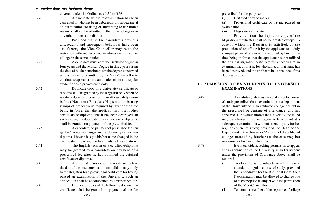covered under the Ordinances 3.36 to 3.38.

3.40 A candidate whose re-examination has been cancelled or who has been debarred from appearing at an examination for using or attempting to use unfair means, shall not be admitted in the same college or in any other in the same district.

> Provided that if the candidate's previous antecedents and subsequent behaviour have been satisfactory, the Vice Chancellor may relax the restriction in the matter of his/her admission in any other college in the same district.

3.41 A candidate must earn the Bachelor degree in four years and the Master Degree in three years from the date of his/her enrolment for the degree concerned unless specially permitted by the Vice-Chancellor to continue to appear at the examination either as a regular student or as a private candidate.

3.42 Duplicate copy of a University certificate or diploma shall be granted by the Registrar only when he is satisfied, on the production of an affidavit duly sworn before a Notary of a First class Magistrate, on bearing stamps of proper value required by law for the time being in force, that the applicant has lost his/her certificate or diploma, that it has been destroyed. In such a case, the duplicate of a certificate or diploma, shall be granted on payment of the prescribed fee.

3.43 A candidate, on payment of prescribed fee can get his/her name changed in the Univesity certificate/ diploma if he/she has got his/her name changed in the certificate for passing the Intermediate Examination.

3.44 The English version of a certificate/diploma may be granted to a candidate on payment of a prescribed fee after he has obtained the original certificate or diploma.

3.45 After the declaration of the result and before the date of the next convocation a candidate may apply to the Registrar for a provisional certificate for having passed an examination of the University. Such an application shall be accompanied by a prescribed fee. 3.46 Duplicate copies of the following documents/

certificates shall be granted on payment of the fee

prescribed for the purpose.

(i) Certified copy of marks.

(ii) Provisional certificate of having passed an examination.

(iii) Migration certificate.

Provided that the duplicate copy of the Migration Certificates shall not be granted except in a case in which the Registrar is satisfied, on the production of an affidavit by the applicant on a duly stamped paper of proper value required by law for the time being in force, that the applicant has not utilised the original migration certificate for appearing at an examination, or that he lost the same, or that same has been destroyed, and the applicant has a real need for a duplicate copy.

#### **D- ADMISSION OF EX-STUDENTS TO UNIVERSITY EXAMINATIONS**

3.47 A candidate, who has attended a regular course of study prescribed for an examination in a department of the University or in an affiliated college has put in the prescribed percentage of attendance, and has appeared at an examination of the University and failed may be allowed to appear again as Ex-student at a subsequent examination without attending any further regular course of study; provided the Head of the Department of the University/Principal of the affiliated college attended by him/her (as the case may be) recommends his/her application.

3.48 Every candidate, seeking permission to appear at an examination of the University as an Ex-student under the provisions of Ordinance above, shall be required -

(i) To offer the same subjects in which he/she attended a regular course of study, provided that a candidate for the B.A. or B.Com. (part I) examination may be allowed to change one of his/her optional subject with the permission of the Vice-Chancellor.

(ii) To remain a member of the department/college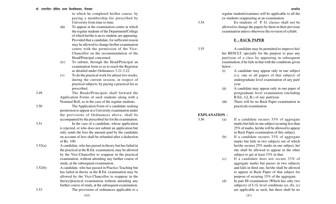#### डॉ. राममनोहर लोहिया अवध विश्वविघालय. फैजाबाद

in which he completed his/her course, by paying a membership fee prescribed by University from time to time.

- (iii) To appear at the examination centre at which the regular students of the Department/College of which he/she is an ex-student, are appearing. Provided that a candidate, for sufficient reason may be allowed to change his/her examination centre with the permission of the Vice-Chancellor on the recommendation of the Head/Principal concerned.
- $(iv)$ To submit, through the Head/Principal an examination form so as to reach the Registrar as detailed under Ordinances 3.21-3.22.
- (v) To do the practical work for atleast two weeks, during the current session, in respect of practical subjects, by paying a practical fee as prescribed.

3.49 The Heads/Principals shall forward the Application Forms of such students along with a Nominal Roll, as in the case of the regular students.

3.50 The Application Form of a candidate seeking

- 
- permission to appear at a University examination under the provisions of Ordinances above, shall be accompanied by the prescribed fee for the examination. 3.51 In the case of a candidate, whose application is rejected, or who does not submit an application but only sends the fees the amount paid by the candidate on account of fees shall be refunded after a deduction of Rs. 100.
- 3.52(a) A candidate, who has passed in theory but has failed in the practical at the B.Ed. examination, may be allowed by the Vice-Chancellor to reappear in the practical examination, without attending any further course of study, at the subsequent examination.
- 3.52(b) A candidate, who has passed in Practice Teaching but has failed in theory at the B.Ed. examination may be allowed by the Vice-Chancellor to reappear in the theory/practical examination without attending any further course of study, at the subsequent examination. 3.53 The provisions of ordinances applicable to a

3.54 Ex-students of P. G. classes shall not be allowed to change the papers by them in their previous examination unless otherwise the revision of syllabi.

#### **E - BACK PAPER**

3.55 A candidate may be permitted to improve his/ her RESULT, specially for the purpose to pass any part/year of a class by appearing in subsequent examination, if he fails in that with the conditions given below :

- (i) A candidate may appear only in one subject (i.e. one or all papers of that subject) of undergraduate level examination of any part/ year.
- (ii) A candidate may appear only in one paper of postgraduate level examination (including B.Ed., LL.B.) of any part/year.
- (iii) There will be no Back Paper examination in practicals examination.

#### **EXPLANATION -**

- 3.56 (a) If a candidate secures 33% of aggregate marks but fails in one subject securing less than 25% of marks, he/she will be allowed to appear in Back Paper examination of this subject.
	- (b) If a candidate secures 33% of aggregate marks but fails in two subjects out of which he/she secures 25% marks in one subject, he/ she shall be allowed to appear in the other subject to get at least 33% in that.
	- (c) If a candidate does not secure 33% of aggregate marks but passes in two subjects and fails in third one, he/she shall be allowed to appear in Back Paper of that subject for purpose of securing 33% of the aggregate.
	- (d) In part III examination (Which has only two subjects) of U.G. level conditions (a), (b), (c) are applicable as such, but there shall be no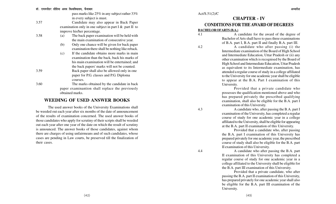pass marks like 25% in any subject rather 33% in every subject is must.

3.57 Candidate may also appear in Back Paper examination only in one subject in part I & part II to improve his/her percentage.

- 3.58 (a) The back paper examination will be held with the main examination of consecutive year.
	- (b) Only one chance will be given for back paper examination there shall be nothing like reback.
	- (c) If the candidate obtains more marks in main examination than the back, back his marks of his main examination will be entertained; and the back papers' marks will not be counted.
- 3.59 Back paper shall also be allowed only in one paper for P.G. classes and P.G. Diploma courses.
- 3.60 The marks obtained by the candidate in back paper examinantion shall replace the previously obtained marks.

### **WEEDING OF USED ANSWER BOOKS**

The used answer books of the University Examinations shall be weeded out each year after six months of the date of announcement of the results of examination concerned. The used answer books of those candidates who apply for scrutiny of their scripts shall be weeded out each year after one year of the date on which the result of scrutiny is announced. The answer books of those candidates, against whom there are charges of using unfairmeans and of such candidates, whose cases are pending in Law courts, be preserved till the finalization of their cases.

#### Act/S.51(2)/C

# **CHAPTER - IV CONDITIONS FOR THE AWARD OF DEGREES**

#### **BACHELOR OFARTS (B.A.)**

4.1 A candidate for the award of the degree of Bachelor of Arts shall have to pass three examinations of B.A. part I, B.A. part II and finally B.A. part III.

4.2 A candidate who after passing (i) the Intermediate examination of the Board of High School and Intermediate Education, Uttar Pradesh or (ii) any other examination which is recognised by the Board of High School and Intermediate Education, Uttar Pradesh as equivalent to its Intermediate examination, has attended a regular course of study in a college affiliated to the University for one academic year shall be eligible to appear at the B.A. Part I examination of this University.

Provided that a private candidate who possesses the qualification mentioned above and who has prepared privately the prescribed qualifying examination, shall also be eligible for the B.A. part I examination of this University.

4.3 A candidate who, after passing the B.A. part I examination of the University, has completed a regular course of study for one academic year in a college affiliated to the University, shall be eligible for appearing at the B.A. part II examination of this University.

Provided that a candidate who, after passing the B.A. part I examination of this University has prepared privately for one academic year, the prescribed course of study shall also be eligible for the B.A. part II examination of this University.

4.4 A candidate who after passing the B.A. part II examination of this University has completed a regular course of study for one academic year in a college affiliated to the University shall be eligible for the B.A. part III examination of this University.

> Provided that a private candidate, who after passing the B.A. part II examination of this University, has prepared privately for one academic year shall also be eligible for the B.A. part III examination of the University.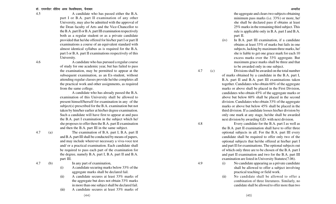4.5 A candidate who has passed either the B.A. part I or B.A. part II examination of any other University, may also be admitted with the approval of the Dean faculty of Arts and the Vice-Chancellor to the B.A. part II or B.A. part III examination respectively both as a regular student or as a private candidate provided that he/she offered for his/her part I or part II examinations a course of an equivalent standard with almost identical syllabus as is required for the B.A. part I or B.A. part II examinations respectively of this University.

4.6 A candidate who has pursued a regular course of study for one academic year, but has failed to pass the examination, may be permitted to appear at the subsequent examination, as an Ex-student, without attending regular classes provide he/she completes all the practical work and other assignments, as required from the same college.

A candidate who has already passed the B.A. examination of this University shall be allowed to present himself/herself for examination in any of the subject(s) prescribed for the B.A. examination but not taken by him/her earlier at his/her degree examination. Such a candidate will have first to appear at and pass the B.A. part I examination in the subject which he/ she proposes to offer then the B.A. part II examination and then the B.A. part III in the same subject.

4.7 (a) The examination of B.A. part I, B.A. part II and B.A. part III shall be conducted by means of papers, and may include wherever necessary a viva-voce test and/ or a practical examination. Each candidate shall be required to pass each part of the examination for the degree, namely B.A. part I, B.A. part II and B.A. part III.

> (i) A candidate securing marks below 33% of the aggregate marks shall be declared fail.

> > the aggregate but does not obtain 33% marks

4.7 (b) In any part of examination,

the aggregate and clears two subjects obtaining minimum pass marks (i.e. 33%) or more, he/ she shall be declared pass if obtains at least 25% marks in the remaining third subject. This rule is applicable only in B.A. part I and B.A. part II.

(iv) In B.A. part III examination, if a candidate obtains at least 33% of marks but fails in one subjects, lacking by maximum three marks, he/ she is liable to get one grace mark for each 10 excess marks over the 33% aggregate. But maximum grace marks shall be three and that to be awarded only in one subject.

4.7 (c) Divisions shall be awarded on the total number of marks obtained by a candidate in the B.A. part I, B.A. part II and B.A. part III examinations taken together. Candidates who obtain 60% of the aggregate marks or above shall be placed in the First Division, candidates who obtain 45% of the aggregate marks or above but below 60% shall be placed in the second division. Candidates who obtain 33% of the aggregate marks or above but below 45% shall be placed in the third division. If a candidate looses his/her division by only one mark at any stage, he/she shall be awarded next division by awarding G.D. with next division.

4.8 Every candidate for the B.A. part I as well as the B.A. part II examination shall have to offer three optional subjects in all. For the B.A. part III every candidate shall be required to offer only two of the optional subjects that he/she offered at his/her part I and part II for examinations. The optional subjects out of which only three are to be chosen of the B.A. part I and part II examination and two for the B.A. part III examination are listed in University Statutes(7.06).

- 4.9 (i) No candidate appearing as a private candidate shall be allowed to offer a subject involving practical teaching or field work.
	- (ii) No candidate shall be allowed to offer a combination of three literatures. Similarly, no candidate shall be allowed to offer more than two

(ii) A candidate secures at least 33% marks of

in more than one subject shall be declared fail. (iii) A candidate secures at least 33% marks of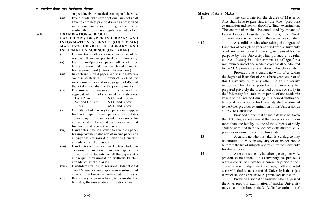subjects involving practical teaching or field work.

(iii) Ex-students, who offer optional subject shall have to complete practical work as prescribed in the course in the same college where he/she studied the subject as a regular student earlier.

#### .4.10 **EXAMINATION & RESULT: BACHELOR'S DEGREE IN LIBRARY AND INFORMATION SCIENCE (ONE YEAR) MASTER'S DEGREE IN LIBRARY AND INFORMATION SCIENCE (ONE YEAR)**

- (i) Examination shall be conducted in the end of the session in theory and practical by the University.
- (ii) Each theory/practical paper will be of three hours duration of 80 marks each and 20 marks for sessional work(Internal Assessment).
- (iii) In each individual paper and sessional/Viva-Voce separately, a minimum of 36% of the maximum marks and in aggregate of 45% of the total marks shall be the passing marks.
- (iv) Division will be awarded on the basis of the aggregate of the marks obtained by the students. First Division 60% and above Second Division 50% and above Pass 45% and above
- (v) Candidates failed in any two papers may appear for Back -paper in those papers or candidates desire to opt for as a n E x student examinee for all papers at a subsequent examination without further attandance at the classes.
- (vi) Candidates may be allowed to give back paper for improvement also atleast in two paper at a subsquent examination without further attandance at the classes.
- (vii) Candidates who are declared to have failed in examination in more than two papers may appear as Ex-students for all the papers at a subsequent examination without further attendance at the classes.
- (viii) Candidates failes in sessional/Educational Tour/ Viva-voce may appear in a subsequent year without further attendance at the classes.
- (ix) Rest of any privious relating to exam shall be bound by the university examination rules.

**Master of Arts (M.A.)**

4.11 The candidate for the degree of Master of Arts shall have to pass first (i) the M.A. (previous) examination and then (ii) the M.A. (final) examination. The examination shall be conducted by means of Papers, Practical, Dissertations, Synopsis, Project Work and viva-voce as laid down in the respective syllabi.

4.12 A candidate who after taking the degree of Bachelor of Arts (three year course) of this University or of any other Indian University, recognised for the purpose by this University, has pursued a regular course of study in a department or college for a minimum period of one academic year shall be admitted to the M.A. previous examination to this University.

Provided that a candidate who, after taking the degree of Bachelor of Arts (three years course) of this University or of any other Indian University recognised for the purpose by this University has prepared privately the prescribed courses or study in the University for a minimum period of one academic year and has resided during this period within the territorial jurisdiction of this University, shall be admitted to the M.A. previous examination of this University, as <sup>a</sup>'Private Candidate'.

Provided further that a candidate who has taken the B.Sc. degree with any of the subjects common in more than one faculty, as one of the subjects of study shall be admitted to the M.Sc. previous and not M.A. previous examination of this University.

4.13 A candidate who has taken B.Sc. degree may be admitted to M.A. in any subject of his/her choice but from the list of subjects approved by the University for the purpose.

4.14 A regular student who, after passing the M.A. previous examination of this University, has pursued a regular course of study for a minimum period of one academic year in a department or college, shall be admitted to the M.A. final examination of this University in the subject in which he/she passed the M. A. previous examination.

> Provided also that a candidate who has passed the M.A. previous examination of another University may also be admitted to the M.A. final examination of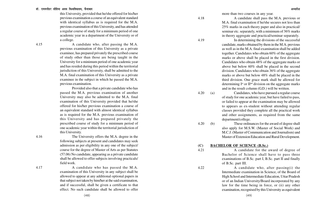this University, provided that he/she offered for his/her previous examination a course of an equivalent standard with identical syllabus as is required for the M.A. previous examination of this University, and has attended a regular course of study for a minimum period of one academic year in a department of the University or of a college.

4.15 A candidate who, after passing the M.A. previous examination of this University as a private examinee, has prepared privately the prescribed course of study other than those are being taught in the University for a minimum period of one academic year and has resided during this period within the territorial jurisdiction of this University, shall be admitted to the M.A. final examination of this University as a private examinee in the subject in which he passed the M.A. previous examination.

> Provided also that a private candidate who has passed the M.A. previous examination of another University may also be admitted to the M.A. final examination of this University provided that he/she offered for his/her previous examination a course of an equivalent standard with almost identical syllabus as is required for the M.A. previous examination of this University and has prepared privately the prescribed course of study for a minimum period of one academic year within the territorial jurisdiction of this University.

4.16 The University offers the M.A. degree in the following subjects at present and candidates may seek admission as per eligibility in any one of the subject/ course for the degree of Master of Arts as per Statutes (57.06) No candidate, appearing as a private candidate shall be allowed to offer subjects involving practicals/ field work.

4.17 A candidate who has passed the M.A. examination of this University in any subject shall be allowed to appear at any additional optional papers in that subject not taken by him/her at the said examination, and if successful, shall be given a certificate to that effect. No such candidate shall be allowed to offer more than two courses in any year.

4.18 A candidate shall pass the M.A. previous or M.A. final examination if he/she secures not less than 25% marks in each theory paper and also in practical/ seminar etc. separately, with a minimum of 36% marks in theory aggregate and practical/seminar separately.

4.19 In determining the divisions of the successful candidate, marks obtained by them in the M.A. previous as well as in the M.A. final examination shall be added together. Candidates who obtain 60% of the aggregate marks or above shall be placed in the first division. Candidates who obtain 48% of the aggregate marks or above but below 60% shall be placed in the second division. Candidates who obtain 36% of the aggregate marks or above but below 48% shall be placed in the third division. One grace mark shall be allowed for determining  $I^{st}$  or  $II^{nd}$  division on the aggregate marks and in the result column (G.D.) will be written.

4.20 (a) Candidates, who have pursued a regular course of study for one academic year, but have failed to pass, or failed to appear at the examination may be allowed to appears as ex-student without attending regular classes provided they complete all the practical work and other assignments, as required from the same department/college.

4.20 (b) These ordinances for the award of degree shall also apply for M.S.W. (Master of Social Work) and M.C.J. (Master of Communication and Journalism) and Master of Extension Education and Rural Development.

#### **(C) BACHELOR OF SCIENCE (B.Sc.)**

4.21 A candidate for the award of degree of Bachelor of Science shall have to pass three examinations of B.Sc. part I, B.Sc. part II and finally of B.Sc. part III.

4.22 A candidate who, after passing(i) the Intermediate examination in Science, of the Board of High School and Intermediate Education, Uttar Pradesh or of an Indian University/Board incorporated by any law for the time being in force, or (ii) any other examination, recognised by this University as equivalent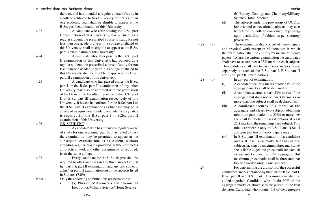#### डॉ. राममनोहर लोहिया अवध विश्वविघालय. फैजाबाद

there to, and has attended a regular course of study in a college affiliated to this University for not less than one academic year, shall be eligible to appear at the B.Sc. part I examination of this University.

4.23 A candidate who after passing the B.Sc. part I examination of this University, has pursued, as a regular student, the prescribed course of study for not less then one academic year in a college affiliated to this University, shall be eligible to appear at the B.Sc. part II examination of this University.

4.24 A candidate who, after passing the B.Sc. part II examination of this University, had pursued as a regular student, the prescribed course of study for not less than one academic year in a college affiliated to this University shall be eligible to appear at the B.Sc. part III examination of this University.

4.25 A candidate who has passed either the B.Sc. part I or the B.Sc. part II examination of any other University may also be admitted with the permission of the Dean of the Faculty of Science to the B.Sc. part II or B.Sc. part III examination respectively of this University, if he/she had offered for the B.Sc. part I or the B.Sc. part II examinations as the case may be, a course of an equivalent standard with identical syllabus is required for the B.Sc. part I or B.Sc. part II examination of this University.

4.26 **EX-STUDENT**

A candidate who has pursued a regular course of study for one academic year but has failed to pass the examination may be permitted to appear at the subsequent examination, as ex-student, without attending regular classes provided he/she completes all practical work and other assignments as required, from the same college.

4.27 Every candidate for the B.Sc. degree shall be required to offer and pass in any three subject at his/ her part I & part II examination and any two subjects at his/her part III examination out of the subjects listed in Statutes (7.09)

**Note -** Only the following combinations are permissible :

(i) (a) Physics, Mathematics and Chemistry/ Electronics/Military Science/ Home Science.

(b) Botany, Zoology and Chemistry/Military Science/Home Science.

- (ii) The subjects under the provisions of UGC as job oriented or vocational subjects may also be offered by college concerned, depending upon availability of subject as per statutory provisions.
- 4.28 (a) The examination shall consist of theory papers and practical work except in Mathematics in which the examination shall be entirely by means of theory papers. To pass the various examination the candidates shall have to secure atleast 33% marks in each subject.

The candidates shall have to pass theory and practicals, separately, at each of the B.Sc. part I, B.Sc. part II and B.Sc. part III examinations.

- 4.28 (b) In any part of examination,
	- (i) A candidate securing marks below 33% of the aggregate marks shall be declared fail.
	- (ii) A candidate secures atleast 33% marks of the aggregate but does not obtain 33% marks in more than one subject shall be declared fail.
	- (iii) A candidate secures 33% marks of the aggregate and clears two subjects obtaining minimum pass marks (i.e. 33%) or more, he/ she shall be declared pass if obtains at least 25% marks in the remaining third subject. This rule is applicable only in B.Sc. I and B.Sc. II and also that too in theory papers only.
	- (iv) In B.Sc. part III examination, if a candidate obtais at least 33% marks but fails in one subjects lacking by maximum three marks, he/ she is liable to get one grace mark for each 10 excess marks over the 33% aggregate. But maximum grace marks shall be three and that too be awarded only in one subject.
- 4.29 For determining the divisions of the successful candidates, marks obtained by them in the B.Sc. part I, B.Sc. part II and B.Sc. part III examinations shall be added together. Candidate who obtain 60% of the aggregate marks or above shall be placed in the first division. Candidate who obtain 45% of the aggregate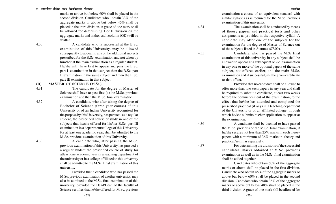#### डॉ. राममनोहर लोहिया अवध विश्वविघालय. फैजाबाद

marks or above but below 60% shall be placed in the second division. Candidates who obtain 33% of the aggregate marks or above but below 45% shall be placed in the third division. A grace of one mark shall be allowed for determining I or II division on the aggregate marks and in the result column (GD) will be written.

4.30 A candidate who is successful at the B.Sc. examination of this University, may be allowed subsequently to appear in any of the additional subjects prescribed for the B.Sc. examination and not taken by him/her at the main exmianation as a regular student. He/she will have first to appear and pass the B.Sc. part I examination in that subject then the B.Sc. part II examination in the same subject and then the B.Sc. part III examination in that subject.

#### **(D) MASTER OF SCIENCE (M.Sc.)**

4.31 The candidate for the degree of Master of Science shall have to pass first (a) the M.Sc. previous examination and then the M.Sc. final examination.

Bachelor of Science (three year course) of this

4.32 A candidate, who after taking the degree of

University or of an Indian University recognised for the purpose by this University, has pursued, as a regular student, the prescribed course of study in one of the subjects that he/she offered for his/her B.Sc. part III examination in a department/college of this University for at least one academic year, shall be admitted to the M.Sc. previous examination of this University.

4.33 A candidate who, after passing the M.Sc. previous examination of this University has pursued a a regular student the prescribed course of study for atleast one academic year in a teaching department of the university or in a college affiliated to this university shall be admitted to the M.Sc. final examination of this university.

> Provided that a candidate who has passed the M.Sc. previous examination of another university, may also be admitted to the M.Sc. final examination of this university, provided the Head/Dean of the faculty of Science certifies that he/she offered for M.Sc. previous

examination a course of an equivalent standard with similar syllabus as is required for the M.Sc. previous examination of this university.

4.34 The examination shall be conducted by means of theory papers and practical tests and other assignments as provided in the respective syllabi. A candidate may offer one of the subjects for the examination for the degree of Master of Science out of the subjects listed in Statutes (S7.09).

4.35 Candidate, who has passed the M.Sc final examination of this university in any subject shall be allowed to appear at a subsequent M.Sc. examination in any one or more of the optional papers of the same subject, not offered earlier, and the main M.Sc. examination and if successful, shll be given certificate to that effect.

> Provided that no candidate shall be allowed to offer more than two such papers in any year and shall be required to submit a certificate, atleast two weeks before the commencement of the examination, to the effect that he/she has attended and completed the prescribed practical (if any) in a teaching department of the University or of an affiliated college, through which he/she submits his/her application to appear at the examination.

4.36 A candidate shall be deemed to have passed the M.Sc. previous or the M.Sc. final examination, if he/she secures not less than 25% marks in each theory papers with a minimum of 36% marks in theory and practical/seminar separately.

4.37 For determining the divisions of the successful candidates, marks obtained at M.Sc. previous examination as well as in the M.Sc. final examination shall be added together.

> Candidates who obtain 60% of the aggregate marks or above shall be placed in the first division. Candidate who obtain 48% of the aggregate marks or above but below 60% shall be placed in the second division. Candidate who obtain 36% of the aggregate marks or above but below 48% shall be placed in the third division. A grace of one mark shll be allowed for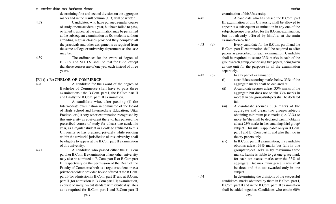#### डॉ. राममनोहर लोहिया अवध विश्वविघालय. फैजाबाद <del>कार कारकार कार्यकार कार्यकार कार्यकार कार्यकार कार्यकार अध्यादेश</del>

determining first and second division on the aggregate marks and in the result column (GD) will be written.

4.38 Candidates, who have pursued regular course of study or one academic year, but have failed to pass, or failed to appear at the examination may be permitted at the subsequent examination as Ex-students without attending regular classes provided they complete all the practicals and other assignments as required from the same college or university department as the case may be.

4.39 The ordinances for the award of degree of B.L.I.S. and M.L.I.S. shall be that for B.Sc. except that these courses are of one year each instead of three years.

#### **[E(1)] : BACHELOR OF COMMERCE**

4.40 A candidate for the award of the degree of Bachelor of Commerce shall have to pass three examinations : the B.Com. part I, the B.Com part II and finally the B.Com. part III examination.

> A candidate who, after passing (i) the Intermediate examination in commerce of the Board of High School and Intermediate Education, Uttar Pradesh, or (ii) Any other examination recognised by this university as equivalent there to, has pursued the prescribed course of study for atleast one academic year, as a regular student in a college affiliated to this University or has prepared privately while residing within the territorial jurisdiction of this university, shall be eligible to appear at the B.Com part II examination of this university.

4.41 A candidate who passed either the B. Com part I or B.Com. II examination of any other university may also be admitted to B.Com. part II or B.Com part III respectively on the permission of the Dean of the Faculty of Commerce both as a regular student or as a private candidate provided he/she offered at the B.Com. part I (for admission in B.Com. part II) and at B.Com. part II (for admission in B.Com part III) examination, a course of an equivalent standard with identical syllabus as is required for B.Com part I and B.Com part II

examination of this University.

4.42 A candidate who has passed the B.Com. part III examination of this University shall be allowed to appear at a subsequent examination in any one of the subjects/groups prescribed for the B.Com. examination, but not already offered by him/her at the main examination earlier.

4.43 (a) Every candidate for the B.Com. part I and the B.Com. part II examination shall be required to offer papers as prescribed for each examination. Candidate shall be required to secure 33% marks in each of the groups (each group, comprising two papers, being taken as one unit for the purpose) in all the examination separately.

- 4.43 (b) In any part of examination,
	- (i) a candidate securing marks below 33% of the aggregate marks shall be declared fail.
	- (ii) A candidate secures atleast 33% marks of the aggregate but does not obtain 33% marks in more than one groups/subjects shall be declared fail.
	- (iii) A candidate secures 33% marks of the aggregate and clears two groups/subjects obtaining minimum pass marks (i.e. 33%) or more, he/she shall be declared pass, if obtains atleast 25% marks in the remaining third group/ subject. This rule is applicable only in B.Com. part I and B. Com part II and also that too in theory papers only.
	- (iv) In B.Com. part III examination, if a candidate obtatins atleast 33% marks but fails in one group/subject lacks in by maximum three marks, he/she is liable to get one grace mark for each ten excess marks over the 33% of aggregate. But maximum grace marks shall be three and that too awarded only in one subject.

4.44 In determining the divisions of the successful candidates, marks obtained by them in B.Com. part I, B.Com. part II and in the B.Com. part III examination shall be added together. Candidates who obtain 60%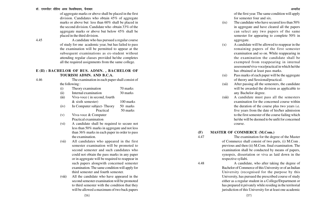of aggregate marks or above shall be placed in the first division. Candidates who obtain 45% of aggregate marks or above but less than 60% shall be placed in the second division. Candidate who obtain 33% of the aggregate marks or above but below 45% shall be placed in the third division.

4.45 A candidate who has pursued a regular course of study for one academic year, but has failed to pass the examination will be permitted to appear at the subsequent examinations as ex-student without attending regular classes provided he/she completes all the required assignments from the same college.

#### **E (II) : BACHELOR OF BUS. ADMN. , BACHELOR OF TOURISM ADMN. AND B.C.A.**

4.46 The examination in each paper shall consist of the following :

| (i)   | Theory examination           | 70 marks  |
|-------|------------------------------|-----------|
| (ii)  | Internal examination         | 30 marks  |
| (iii) | Viva-voce (in second, fourth |           |
|       | $&$ sixth semester)          | 100 marks |
| (iv)  | In Computer subject-Theory   | 50 marks  |
|       | Practical                    | 50 marks  |

- (v) Viva-voce & Computer Practical examination
- (vi) A candidate shall be required to secure not less than 50% marks in aggregate and not less than 36% marks in each paper in order to pass the examination.
- (vii) All candidates who appeared in the first semester examination will be promoted to second semester and such candidates who could not obtain the pass marks in any paper or in aggregate will be required to reappear in such papers alongwith concerned semester examination. The same condition will apply for third semester and fourth semester.
- (viii) All the candidate who have appeared in the second semester examination will be promoted to third semester with the condition that they will be allowed a maximum of two back papers

of the first year. The same condition will apply for semester four and six.

- $(ix)$  The candidate who have secured less than 50% in aggregate and have cleared all the papers can select any two papers of the same semester for appearing to complete 50% in aggregate.
- (x) A candidate will be allowed to reappear in the remaining papers of the first semester examination and so on. While reappearing in the examination the candidate shall be exempted from reappearing in internal assessment/viva-voce/practical in which he/she has obtained at least pass marks.
- (xi) Pass marks of each paper will be the aggregate of theory and Sessional/practical.
- (xii) After passing all the semesters, the candidate will be awarded the division as applicable to any Bachelor degree.
- (xiii) A candidate must pass all the semesters examination for the concerned course within the duration of the course plus two years i.e. five years from the date of his/her admission to the first semester of the course failing which he/she will be deemed to be unfit for concerned course.

#### **(F) MASTER OF COMMERCE (M.Com.)**

4.47 The examination for the degree of the Master of Commerce shall consist of two parts, (i) M.Com . previous and then (ii) M.Com. final examination. The examination shall be conducted by means of papers, synopsis, dissertation or viva as laid down in the respective syllabi.

4.48 A candidate, who after taking the degree of Bachelor of Commerce of this University or of an Indian University (recognised for the purpose by this University, has pursued the prescribed course of study either as a regular student in a College/Department or has prepared it privately while residing in the territorial jurisdiction of this University for at least one academic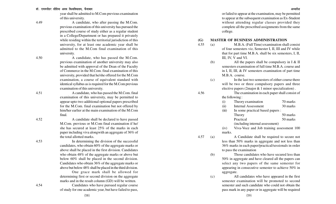year shall be admitted to M.Com previous examination of this university.

4.49 A candidate, who after passing the M.Com. previous examination of this university has pursued the prescribed course of study either as a regular student in a College/Department or has prepared it privately while residing within the territorial jurisdiction of this university, for at least one academic year shall be admitted to the M.Com final examination of this university.

4.50 A candidate, who has passed the M.Com. previous examination of another university may also be admitted with approval of the Dean of the Faculty of Commerce in the M.Com. final examination of this university, provided that he/she offered for the M.Com examination, a course of equivalent standard with identical syllabus as is required for the M.Com previous examination of this university.

4.51 A candidate, who has passed the M.Com. final examination of this university, may be permitted to appear upto two additional optional papers prescribed for the M.Com. final examination but not offered by him/her earlier at the main examination of the M.Com final.

4.52 A candidate shall be declared to have passed M.Com. previous or M.Com final examination if he/ she has secured at least 25% of the marks in each paper including viva alongwith an aggregate of 36% of the total allotted marks.

4.53 In determining the division of the successful candidates, who obtain 60% of the aggregate marks or above shall be placed in the first division. Candidates who obtain 48% of the aggregate marks or above but below 60% shall be placed in the second division. Candidates who obtain 36% of the aggregate marks or above but below 48% shall be placed in the third division.

> One grace mark shall be allowed for determining first or second division on the aggregate marks and in the result column (GD) will be written.

4.54 Candidates who have pursued regular course of study for one academic year, but have failed to pass,

or failed to appear at the examination, may be permitted to appear at the subsequent examination as Ex-Student without attending regular classes provided they complete all the prescribed assignments from the same college.

#### **(G) MASTER OF BUSINESS ADMINISTRATION**

- 4.55 (a) M.B.A. (Full Time) examination shall consist of four semesters viz, Semester I, II, III and IV while that for part time M.B.A. shall be six semesters, I, II, III, IV, V and VI.
	- (b) All the papers shall be compulsory in I & II semesters examination of full time M.B.A. course and in I, II, III, & IV semesters examination of part time M.B.A. course.

(c) In the last two semesters of either course there will be two or three compulsory papers and three elective papers (2major & 1 minor specialization) .

4.56 The examination in each paper shall consist of the following :

| $\rm(i)$ | Theory examination | 70 marks                    |  |
|----------|--------------------|-----------------------------|--|
| $\cdots$ | T. 14 .            | $\cap$ $\cap$ $\cap$ $\cap$ |  |

(iii) In some practical based papers : Theory 50 marks Practical 50 marks

(including internal assessment)

 $(iv)$ Viva-Voce and Job training assessment 100 marks.

4.57 (a) A Candidate shall be required to secure not less than 50% marks in aggregate and not less than 36% marks in each paper/practical/sessionals in order to pass the examination

- (b) Those candidates who have secured less than 50% in aggregate and have cleared all the papers can select any two papers of the same semester for appearing in consecutive semester to achieve 50% in aggregate.
- (c) All candidates who have appeared in the first semester examination will be promoted to second semester and such candidate who could not obtain the pass mark in any paper or in aggregate will be required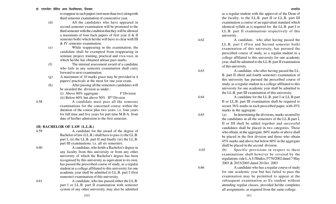to reappear in such papers (not more than two) alongwith third semester examination of consecutive year.

- (d) All the candidates who have appeared in second semester examination will be promoted to the third semester with the condition that they will be allowed a maximum of four back papers of first year (I & II semester both) which he/she will have to clear with III & IV semester examination.
- (e) While reappearing in the examination, the candidate shall be exempted from reappearing in seminar, project, training, practical and viva-voce, in which he/she has obtained atleast pass marks.
- (f) The internal assessment award of a candidate who fails in any semester examination shall carry forward to next examination.
- (g) A maximum of 10 marks grace may be provided in 4 papers/ practicals at the most for one year exam.
- (h) After passing all the semesters candidates will be awarded the division as under :

(i) Above  $60\%$  aggregate I<sup>st</sup> Division (ii) Below  $60\%$  but above  $50\%$  II<sup>nd</sup> Divsion

4.58 A candidate must pass all the semester examinations for the concerned course within the duration of the course plus two years, i.e. four years for full time and five years for part time M.B.A. from date of his/her admission to the first semester.

#### **(H) BACHELOR OF LAW (L.L.B.)**

4.59 A candidate for the award of the degree of Bachelor of law (LL.B.) shall have to pass (i) the LL.B. part I, (ii) the LL.B. part II and finally (iii) the LL.B. part III examinations. i.e. all six semesters.

4.60 A candidate, who holds a Bachelor's degree in any faculty from this university or from any other university of which the Bachelor's degree has been recognised by this university as equivalent to its own, has passed the prescribed course of study, as a regular student in a college affiliated to this university for one academic year shall be admitted to LL.B. part I (first semester) examination of this university.

4.61 A candidate, who has passed either the LL.B. part I or LL.B. part II examination with semester system of any other university, may also be admitted

(60)

as a regular student with the approval of the Dean of the faculty, to the LL.B. part II or LL.B. part III examination a course of an equivalent standard which identical syllabi as is required for the LL.B. part I or LL.B. part II examinations respectively of this university .

4.62 A candidate, who after having passed the LL.B. part I (First and Second semester both) examination of this university, has pursued the prescribed course of study, as a regular student in a college affiliated to this university for one academic year, shall be admitted to the LL.B. part II examination of this university.

4.63 A candidate, who after having passed the LL. B. part II (third and fourth semester) examination of this university has pursued the prescribed course of study, as a regular student in a college affiliated to this university for one academic year shall be admitted to the LL.B. part III examination of this university.

4.64 A candidate for the LL.B. part I or LL.B.part II or LL.B. part III examination shall be required to secure 36% marks in each prescribed paper, with 45% marks in the aggregate.

4.65 (a) In determining the divisions, marks secured by the candidates in all the semesters of the LL.B.part I, II or III shall be added together and successful candidates shall be placed in two categories. Those who obtain, in the aggregate, 60% marks or above shall be placed in the first division and those who obtain 45% marks and above but below 60% in the aggregate shall be placed in the second division.

 4.65 (b) Specific provisions in respect to these examinations shall however be covered by the regulations.vide L.A.U/Shakis./3770/2002 dated 7 May 2003 & 2033/2003 dated 20 Oct. 2003

4.66 A candidate who has a regular course of study for one academic year but has failed to pass the examination may be permitted to appear at the subsequent examination as Ex-student without attending regular classes, provided he/she completes all assignments, as required from the same college.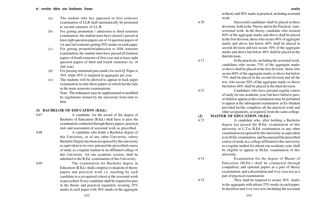- (a) The student who has appeared in first semester examination of LLB shall automatically be promoted to second semester of LL.B.
- (b) For getting promotion / admission to third semester examination, the student must have cleared / passed at least eight question papers out of 14 question papers of 1st and 2nd semester getting 50% marks in each paper.
- (c) For getting promotion/admission to fifth semester examination, the student must have passed all fourteen papers of boath semester of first year and at least eight question papers of third and fourth semesters (ie. of 2nd year)
- (d) For passing minimum pass marks for each Q. Paper is 36% while 45% is required in aggregate per year.
- (e) The students will be allowed to appear in back paper examination in only those papers in which he/she fails in the main semester examinations. Note : The ordinances may be supplemented or modified

by regulations termed by the university from time to time

#### **(I) BACHELOR OF EDUCATION (B.Ed.)**

4.67 A candidate, for the award of the degree of Bachelor of Education (B.Ed.) shall have to pass the examination conducted through theory papers, practical tests and assessment of sessional work as prescribed. 4.68 A candidate who holds a Bachelor degree of this University, or of any other University, whose Bachelor Degree has been recognised by this university as equivalent to its own, pursued the prescribed course of study as a regular student in an affiliated college of

4.69 The examination for Bachelor degree in Education (B.Ed.) shall comprise evaluation of theory papers and practical work i.e. teaching by each candidate in a recognised school at the sessional work as prescribed. Every candidate shall be required to pass in the theory and practical separately securing 25% marks in each paper with 36% marks in the aggregate

this University for one academic session, shall be admitted to the B.Ed. examination of this University.

in theory and 50% marks in practical, including sessional work.

4.70 Successful candidates shall be placed in three divisions, both in the Theory and in the Practical -cumsessional work. In the theory, candidate who secured 60% of the aggregate marks and above shall be placed in the first division, those who secure 48% of aggregate marks and above but below 60% shall be placed in second division and rest secure 30% of the aggregate marks and above but below 48% shall be placed in the third division.

4.71 In the practicals, including the sessional work, candidates who secure 75% of the aggregate marks or above shall be placed in the first division , those who secure 60% of the aggregate marks or above but below 75% shall be placed in the second division and all the rest, who secure 50% of the aggregate marks or above but below 60% shall be placed in the third division.

4.72 Candidates who have pursued regular course of study for one academic year, but have failed to pass, or failed to appear at the examination may be permitted to appear at the subsequent examination as Ex-Student provided he/she completes all the practical work and other assignments, as required, from the same college.

#### **(J) MASTER OF EDUCATION (M.Ed.)**

4.73 A candidate who, after holding a Bachelor degree has passed the B.Ed. examination of this university or L.T.ro B.Ed. examination or any other examination recognised by this university as equivalent to its B.Ed. examination, and has pursued the prescribed course of study in a college affiliated to this university as a regular student for atleast one academic year, shall be eligible to appear at M.Ed. examination of this university.

4.74 Examination for the degree of Master of Education (M.Ed.) shall be conducted through compulsory and optional papers as a part of theory examination, and a dissertation and viva-voce test as a part of practical examination.

4.75 They shall be required to secure 36% marks in the aggregate with atleast 25% marks in each paper. In desertion and viva-voce test (including the sessional

(63)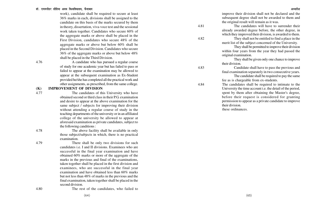#### डॉ. राममनोहर लोहिया अवध विश्वविघालय. फैजाबाद <del>कार कारकार कार्यकार कार्यकार कार्यकार कार्यकार कार्यकार अध्यादेश</del>

work), candidate shall be required to secure at least 36% marks in each, divisions shall be assigned to the candidate on this basis of the marks secured by them in theory, dissertation, viva-voce test and the sessional work taken together. Candidates who secure 60% of the aggregate marks or above shall be placed in the First Division, candidates who secure 48% of the aggregate marks or above but below 60% shall be placed in the Second Division. Candidates who secure 36% of the aggregate marks or above but below 48% shall be placed in the Third Division.

4.76 A candidate who has pursued a regular course of study for one academic year but has failed to pass or failed to appear at the examination may be allowed to appear at the subsequent examination as Ex-Student provided he/she has completed all the practical work and other assignments, as prescribed, from the same college.

#### **(K) IMPROVEMENT OF DIVISION**

4.77 The candidates of this University who have obtained second or third class in their P.G. examination and desire to appear at the above examination for the same subject / subjects for improving their division without attending a regular course of study in the teaching departments of the university or in an affiliated college of the university be allowed to appear at aforesaid examination as private candidates, subject to the following canditions :

4.78 The above facility shall be available in only those subject/subjects in which, there is no practical examination.

4.79 There shall be only two divisions for such candidates i.e. I and II divisions. Examinees who are successful in the final year examination and have obtained 60% marks or more of the aggregate of the marks in the previous and final of the examinations, taken together shall be placed in the first division and examinees, who are successful in the final year examination and have obtained less than 60% marks but not less than 48% of marks in the previous and the final examination, taken together shall be placed in the second division.

improve their division shall not be declared and the subsequent degree shall not be awarded to them and the original result will remain as it was.

4.81 The candidates will have to surrender their already awarded degree before, the other degree, in which they improved their division, is awarded to them.

4.82 They shall not be entitled to find a place in the merit list of the subject concerned of the University.

They shall be permitted to improve their division within four years from the year they had passed the original examination.

They shall be given only one chance to improve their division.

4.83 Candidate shall have to pass the previous and final examination separately in two consecutive years.

The candidate shall be required to pay the same fee as is chargeable from ex-students.

4.84 The candidates shall be required to intimate to the University the time account i.e. the detail of the period, spent by them after obtaining the Master's degree, before their request is considered for granting permission to appear as a private candidate to improve their division.

these ordinances.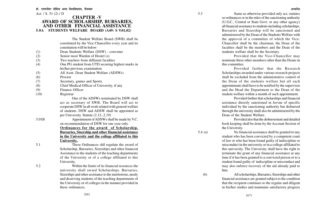Act. / S. 51 (2) / D

#### **CHAPTER -V AWARD OF SCHOLARSHIP, BURSARIES, AND OTHER FINANCIAL ASSISTANCE 5.0A STUDENTS WELFARE BOARD (A49: S 9.01,02)**

The Student Welfare Board (SWB) shall be constituted by the Vice Chancellor every year and its constitution will be below: (1) Dean Students Welfare (DSW) - convener (2) Senior most Warden of Hostel (s) (3) Two teachers from different faculties (4) One PG student from UTD securing highest marks in his/her previous examination. (5) All Asstt. Dean Student Welfare (ADSWs) (6) Proctor (7) Secretary, games and Sports. (8) Chief Medical Officer of University, if any (9) Finance Officer (10) Registrar One of the ADSWs nominated by DSW shall act as secretary of SWB. The Board will act to cooperate DSW in all work related with general welfare of students. DSW and ADSW shall be appointed as per University. Statute (2.12-.2.19) 5.01B Appointment of ADSWs shall be made by V.C. on recommendation of DSW for one year only. **Ordinances for the award of Scholarship, Bursaries, Sizership and other financial assistance in the University and the college affiliated to this University.** 5.1 These Ordinances shll regulate the award of Scholarship, Bursaries, Sizerships and other financial Assistance to the students of the teaching departments of the University or of a college affiliated to this University. 5.2 Within the limits of its financial resources the

university shall award Scholarships. Bursaries, Sizerships and other assistance to the meritorions, needy and deserving students of the teaching departments of the University or of colleges in the manner provided in these ordinances.

5.3 Same as otherwise provided only act, statutes or ordinances or in the rules of the sanctioning authority (U.G.C., Central or State Govt. or any other agency) all financial assistance to students including scholarships, Bursaries and Sizership will be sanctioned and administered by the Dean of the Students Welfare with the approval of a committee of which the Vice-Chancellor shall be the chairman, the Dean of the faculties shall be the members and the Dean of the students welfare shall be the Secretary.

> Provided that the Vice-Chancellor may nominate three other members other than the Deans in this committee.

> Provided further that the Research Scholarships awarded under various research projects shall be excluded from the administrative control of the Dean of the students welfare but all such appointments shall have to be notified by the supervisor and the Head the Department to the Dean of the student welfare within a month of such appointment.

> Provided further that scholarships and financial assistance directly sanctioned in favour of specific individual by the sanctioning authority but disbursed through the university shall also be administered by the Dean of the Student Welfare.

> Provided also that the disbursement and detailed book keeping shall be done by the Account Section of the University.

5.4 (a) No financial assistance shall be granted to any student who has been convicted by a competent court of law or who has been found guilty of indiscipline or misconduct in the university or in a college affiliated to this university. The University shall have the right to terminate the grant of any financial assistance at any time if it has been granted to a convicted person or to a student found guilty of indiscipline or misconduct and may also enforce recovery of the aid already paid to him.

 (b) All scholarships, Bursaries, Sizerships and other financial assistance are granted subject to the condition that the recipient continues to the regular and diligent in his/her studies and maintains satisfactory progress

(66)

(67)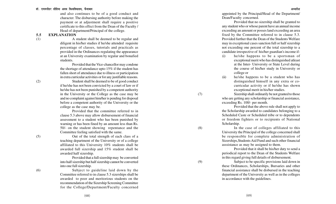#### डॉ. राममनोहर लोहिया अवध विश्वविघालय. फैजाबाद

and also continues to be of a good conduct and character. The disbursing authority before making the payment or at adjustment shall require a positive certificate to this effect from the Dean of the Faculty / Head of department/Principal of the college.

#### **5.5 EXPLANATION**

(1) A student shall be deemed to be regular and diligent in his/her studies if he/she attended requisite percentage of classes, tutorials and practicals as provided in the Ordinances regulating the appearance at an University examination by regular and bonafied students.

> Provided that the Vice-chancellor may condone the shortage of attendance upto 15% if the student has fallen short of attendance due to illness or participation in extra curricular activities or for any justifiable reasons.

(2) Student shall be deemed to be of good conduct if he/she has not been convicted by a court of law or if he/she has not been punished by a competent authority in the University or the College as the case may be and no complaint against him/her is pending for disposal before a competent authority of the University or the college as the case may be.

> Provided that the committee referred to in clause 5.3 above may allow disbursement of financial assessment to a student who has been punished by warning or has been fined by an amount less than Rs. 50/- on the student showing repentance and the Committee feeling satisfied with the same.

(5) Out of the total strength of each class of a teaching department of the University or of a college affiliated to this University 10% students shall be awarded full sizership and 15% student shall be awarded half sizership.

Provided that a full sizership may be converted into half sizership but half sizership cannot be converted into one full sizership.

(6) Subject to guideline laid down by the Committee referred to in clause 5.3 sizerships shall be awarded to poor and meritorious students on the recommendation of the Sizership Screening Committee for the College/Department/Faculty concerned

appointed by the Principal/Head of the Department/ Dean/Faculty concerned.

Provided that no sizership shall be granted to any student who or whose parent have an annual income exceeding an amount or posses land exceeding an area fixed by the Committee referred to in clause 5.3. Provided further that the Dean of the Students Welfare may in exceptional cases sanction full or half sizership not exceeding one percent of the total sizership to a candidate irrespective of his/her guardian's income if-

- (i) he/she happens to be a sportsman of exceptional merit who has distinguished atleast at the Inter- University or State Level during the course of his/her study in University or college or
- (ii) he/she happens to be a student who has distinguished himself in any extra or cocurricular activity or if he/she has shown exceptional merit in his/her studies.

(7) Sizership shall ordinarily be not granted to those who are getting any scholarship or financial assistance, exceeding Rs. 100/- per month.

> Provided that the above rule shall not apply to the Scholarship awarded to candidates belonging to a Scheduled Caste or Scheduled tribe or to dependents or freedom fighters or to recipients of National Scholarship.

(8) In the case of colleges affiliated to this University the Principal of the college concerned shall be responsible for complete administration of Sizerships,Students Aid Fund and such other financial asssistance as may be assigned to them.

> Provided that it shall be his/her duty to send a periodical report to the Dean of the Students Welfare in this regard giving full details of disbursement.

(9) Subject to be specific provisions laid down in these Ordinances, Scholarships, Bursaries and other financial assistance shall be disbursed in the teaching department of the University as well as in the colleges in accordance with the guidelines.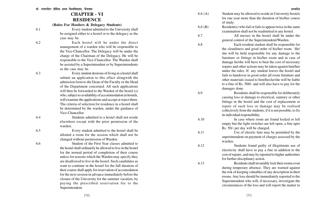## **CHAPTER - VI RESIDENCE**

**(Rules For Hostlers & Delegacy Students)**

6.1 Every student admitted to the University shall be assigned either to a hostel or to the delegacy as the case may be.

6.2 Each hostel will be under the direct management of a warden who will be responsible to the Vice-Chancellor. The Delegacy will be under the charge of the Chairman of the Delegacy. He will be responsible to the Vice-Chancellor. The Warden shall be assisted by a Superintendent or by Superintendents as the case may be.

6.3 Every student desirous of living in a hostel shall submit an application to this effect alongwith the admission form to the Dean of the Faculty or the Head of the Department concerned. All such applications will then be forwarded to the Warden of the hostel (s) who, subject to availability of accommodation in hostels, will examine the applications and accept or reject them. The criteria of selection for residence in a hostel shall be determined by the warden, under the guidance of Vice-Chancellor.

6.4 Students admitted to a hostel shall not reside elsewhere except with the prior permission of the warden.

6.5 Every student admitted to the hostel shall be allotted a room for the session which shall not be changed without permission of Warden.

6.6

Student of the First Year classes admitted to the hostel shall ordinarily be allowed to live in the hostel for the normal period of completion of their course unless for reasons which the Warden may specify they are disallowed to live in the hostel. Such candidates as want to continue in the hostel for the full duration of their course shall apply for reservation of accomodation for the next session in advance immediately before the closure of the University for the summer vacation, by paying the prescribed reservation fee to the Superintendent.

6.6 (A) Student may be allowed to reside in University hostels for one year more than the duration of his/her course of study.

6.6 (B) Resident(s) who fail or fails to appear twice in the same examination shall not be readmitted in any hostel.

6.7 All messes in the hostel shall be under the general control of the Superintendent/Warden.

6.8 Each resident student shall be responsible for the cleanliness and good order of his/her room. He/ she will be held responsible for any damage to the furniture or fittings in his/her room and in case of damage he/she will have to bear the cost of necessary repairs and other actions may be taken against him/her under the rules. If any student leaves the hostel and fails to handover in good order all room furniture and other materials issued to him/her,he/she will be liable to a fine of Rs. 500/- and will also have to pay for the damages done.

6.9 Residents shall be responsible for deliberately causing loss or damage to electrical, sanitary or other fittings in the hostel and the cost of replacement or repair of such loss or damage may be realised collectively from the students, if it is not possible, to fix its individual responsibility.

6.10 In case where room are found locked or left empty but the light switches are left open, a fine upto Rs. 50/- per day will be charged.

6.11 Use of electric fans may be permitted by the superintendent on payment of charges assessed by the warden.

6.12 Students found guilty of illegitimate use of electricity shall have to pay a fine in addition to the cost of repairs, and may by reported to higher authorities for further disciplinary action.

6.13 Residents shall invariably lock their rooms even during temporary absence. They are warned against the risk of keeping valuables of any description in their rooms. Any loss should be immediately reported to the Superintendent who will, if necessary, investigate the circumstances of the loss and will report the matter to

(70)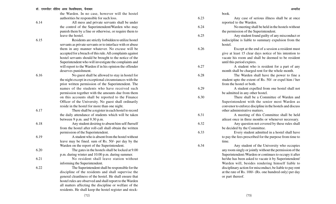the Warden. In no case, however will the hostel authorities be responsible for such loss.

6.14 All mess and private servants shall be under the control of the Superintendent/Warden who may punish them by a fine or otherwise, or require them to leave the hostel. 6.15 Residents are strictly forbidden to utilize hostel servants as private servants or to interface with or abuse them in any manner whatever. No excuse will be accepted for a breach of this rule. All complaints against hostel servants should be brought to the notice of the

Superintendent who will investigate the complaints and

will report to the Warden if in his opinion the offender deserves punishment.

6.16 No guest shall be allowed to stay in hostel for the night except in exceptional circumstances with the prior written permission of the Superintendent. The names of the students who have received such permission together with the amounts due from them on this accounts shall be reported to the Finance Officer of the University. No guest shall ordinarily reside in the hostel for more than one night.

the daily attendance of students which will be taken

from the hostel after roll-call shall obtain the written

leave may be fined. sum of Rs. 50/- per day by the

between 9 p.m. and 9.30 p.m.

permission of the Superintendent.

6.17 There shall be a register in each hostel to record

6.18 Any student desiring to absent him self /herself

6.19 A student who is absent from the hostel without

Warden on the report of the Superintendent. 6.20 The gates in the hostels shall be locked at 9.00 p.m. during winter and 10.00 p.m. during summer. 6.21 No resident shall leave station without informing the Superintendent. 6.22 The Superintendent shall be responsible for the discipline of the residents and shall supervise the

general cleanliness of the hostel. He shall ensure that hostel rules are observed and shall report to the Warden all matters affecting the discipline or welfare of the residents. He shall keep the hostel register and stockbook.

6.23 Any case of serious illness shall be at once reported to the Warden.

6.24 No meeting shall be held in the hostels without the permission of the Superintendent.

6.25 Any student found guilty of any misconduct or indiscipline is liable to summary expulsion from the hostel.

6.26 Except at the end of a session a resident must give at least 15 clear days notice of his intention to vacate his room and shall be deemed to be resident until this period expires.

6.27 A student who is resident for a part of any month shall be charged rent for the whole month.

6.28 The Warden shall have the power to fine a student upto the extent of Rs. 50/- or expel him / her from the hostel or both.

6.29 A student expelled from one hostel shall not be admitted in any other hostel.

6.30 There shall be a Committee of Warden and Superintendent with the senior most Warden as convenor to enforce discipline in the hostels and discuss other administrative matters.

6.31 A meeting of this Committee shall be held atleast once in three months or whenever necessary.

6.32 Any question not covered by these rules shall be decided by the Committee.

6.33 Every student admitted in a hostel shall have to pay the fees prescribed for the purpose from time to time.

6.34 Any student of the University who occupies any room singly or jointly without the permission of the Superintendent /Warden or continues to occupy it after he/she has been asked to vacate it by Superintendent/ Warden will, besides rendering himself liable to disciplinary action for misconduct, be liable to pay rent at the rate of Rs. 100/- (Rs. one hundred only) per day or part thereof.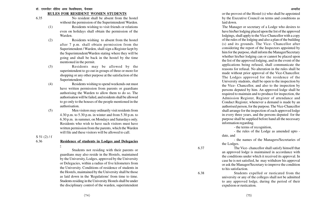#### **RULES FOR RESIDENT WOMEN STUDENTS**

- 6.35 No resident shall be absent from the hostel without the permission of the Superintendent/ Warden.
	- (1) Residents wishing to visit friends or relations even on holidays shall obtain the permission of the Warden.
	- (2) Residents wishing to absent from the hostel after 7 p.m. shall obtain permission from the Superintendent / Warden, shall sign a Register kept by the Superintendent/Warden stating where they will be going and shall be back in the hostel by the time mentioned in the permit.
	- (3) Residents may be allowed by the superintendent to go out in groups of three or more for shopping or any other purpose at the satisfaction of the Superintendent.
	- (4) Residents wishing to spend weekends out must have written permission from parents or guardians authorising the Warden to allow them to do so. The authorisation will be failed, and residents shall be allowed to go only to the houses of the people mentioned in the authorisation.
	- (5) Men visitors may ordinarily visit residents from 4.30 p.m. to 5.30 p.m. in winter and from 5.30 p.m. to 6.30 p.m. in summer, on Mondays and Saturdays only. Residents who wish to have such visitors must have written permission from the parents, which the Warden will file and these visitors will be allowed to call.

 $S$  51 (2) / f

## 6.36 **Residence of students in Lodges and Delegacies**

**-**

Students not residing with their parents or guardians may also reside in the Hostels, maintained by the University, Lodges, approved by the University or Delegacies, within a radius of five kilometers from the University. Conditions of residence of students in the Hostels, maintained by the University shall be those as laid down in the 'Regulations' from time to time. Students residing in the University Hostels shall be under the disciplinary control of the warden, superintendent

or the provost of the Hostel (s) who shall be appointed by the Executive Council on terms and conditions as laid down.

The Manager or secretary of a Lodge who desires to have his/her lodging placed upon the list of the approved lodgings, shall apply to the Vice-Chancellor with a copy of the rules of the lodging and also a plan of the building (s) and its grounds. The Vice- Chancellor after considering the report of the Inspectors appointed by him for the purpose, shall inform the Manager/Secretary whether his/her lodging can or cannot be placed upon the list of the approved lodging, and in the event of the applications being refused, shall communicate the reasons for refusal. No alteration in the rules shall be made without prior approval of the Vice-Chancellor. The Lodges approved for the residence of the University students, shall be open to the inspection by the Vice- Chancellor, and also to the inspection by persons deputed by him. An approved lodge shall be required to maintain and to produce for inspection, the Admission Register, Register of attendance and Conduct Register, whenever a demand is made by an authorised person, for the purpose. The Vice-Chancellor shall arrange for the inspection of each approved lodge in every three years, and the persons deputed for the purpose shall be supplied before hand all the necessary information regarding.

- the terms of recognition,

- the rules of the Lodge as amended upto date, and

- the names of the Managers/Secretaries of the Lodges.

6.37 The Vice- chancellor shall satisfy himself that an approved lodge is maintained in accordance with the conditions under which it received its approval. In case he is not satisfied, he may withdraw his approval or ask the Manager/Secretary to improve the condition to his satisfaction.

6.38 Students expelled or rusticated from the university or any of the colleges shall not be admitted to any approved lodge, during the period of their expulsion or rustication.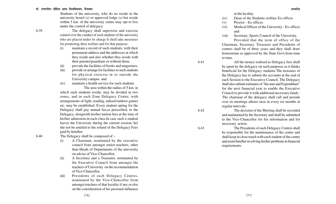Students of the university, who do no reside in the university hostel (s) or approved lodge (s) but reside within 5 km, of the university centre may opt to live under the control of delegacy.

6.39 The delegacy shall superwise and exercise control over the conduct of such students of the university who are placed under its charge It shall take measures for promoting their welfare and for that purpose-

- (i) maintain a record of such students, with their permanent address and the addresses at which they reside and also whether they reside with their parents/guardians or without them,
- (ii) provide the facilities of books and magazines,
- (iii) provide or arrange for facilities to such students for physical exercise in or outside the University campus and
- (iv) maintain a health service for such students The area within the radius of 5 km. in

which such students reside, may be divided in two zones, and in each Zone Delegacy Centre, with arrangements of light, reading, indoor/outdoor games etc. may be established. Every student opting for the Delegacy shall pay annual fee,as prescribed, to the Delegacy, alongwith his/her tuition fees at the time of his/her admission in each class.In case such a student leaves the University during the current session, he/ she not be entitled to the refund of the Delegacy Fees paid by him/her.

6.40 The Delegacy shall be composed of :-

- (i) A Chairman, nominated by the executive council from amongst senior teachers, other than Heads of Departments of the university on advise of Vice-Chancellor,
- (ii) A Secretary and a Treasurer, nominated by the Executive Council from amongst the teachers of University on the recommendation of Vice-Chancellor,
- (iii) Presidents of each Delegacy Centres, nominated by the Vice-Chancellor from amongst teachers of that locality if any or else on the consideration of his personal influence

in the locality.

to time.

(iv) Dean of the Students welfare Ex-officio.

- (v) Proctor Ex-officio.
- (vi) Medical Officer of the University Ex-officio and
- (vii) Secretary, Sports Council of the University. Provided that the term of office of the Chairman, Secretary, Treasurer and Presidents of centres shall be of three years and they shall draw honorarium as approved by the State Govt.from time

6.41 All the money realised as Delegacy fees shall be spent by the delegacy on such purposes as it thinks beneficial for the Delegacy students.The treasures of the Delegacy has to submit the accounts at the end of each Session to the Executive Council. The Delegacy shall also submit estimates of "Income and Expenditure" for the next financial year to enable the Executive Council to provide it with additional necessary funds.. The chairman of the delegacy shall call and preside over its meetings atleast once in every six months at regular intervals.

6.42 The decision of the Meeting shall be recorded and maintained by the Secretary and shall be submitted to the Vice-Chancellor for his information and for necessary action.

6.43 The Presidents of each Delegacy Centres shall be responsible for the maintenance of the centre and shall keep in close touch with each student of the centre and assist him/her in solving his/her problems in financial requirements.

(77)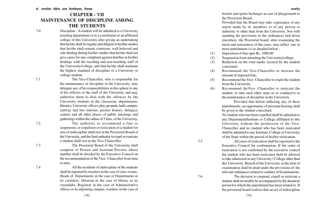# **CHAPTER - VII MAINTENANCE OF DISCIPLINE AMONG THE STUDENTS**

7.0 Discipline : A student will be admitted to a University teaching department or to a constituent or an affiliated college of this University after giving an undertaking that he/she shall be regular and diligent in his/her studies that he/she shall remain courteous, well behaved and rule abiding during his/her studies that he/she shall not give cause for any complaint against him/her in his/her dealings with the teaching and non-teaching staff of the University/college, and that he/she shall maintain the highest standard of discipline of a University or college student.

7.1 The Vice-Chancellor, who is responsible for the maintenance of discipline in the University, may delegate any of his responsibilities in this sphere to any of his officers or the staff of the University and may authorise them to deal with the offences by the University students in the classroom, departments, libraries, University offices, play-grounds, halls campus, railway and bus stations, picture houses, delegacy centres and all other places of public meetings and gatherings within the radius of 5 kms. of the University.

7.2 The authority to recommend a fine or suspension, or expulsion or rustication of a student for acts of indiscipline shall rest in the Proctorial Board of the University, and the final authority to expel or rusticate a student shall rest in the Vice-Chancellor. 7.3 The Proctorial Board of the University shall

comprise of Proctor and Assistant Proctors whose number shall be decided by the Executive Council on the recommendation of the Vice- Chancellor from time to time.

7.4 All the incidents of indiscipline of the students shall be reported by teachers in the case of class-rooms, Heads of Departments in the case of Departments or its corridors, librarian in the case of library or its verandahs, Registrar in the case of Administrative offices or its adjoining campus, wardens in the case of hostels and sports Incharges in case of playgrounds to the Proctorial Board.

Provided that the Board may take cognizance of any report made by its members or of any person or authority or other than from the University. Not with standing the provisions in the ordinances laid down elsewhere, the Proctorial board, after examining the merit and seriousness of the cases, may inflict one or more punishment (s) as detailed below :

- (1) Imposition of fine upto Rs. 1000.00
- (2) Suspension from attending the University/college.
- (3) Reduction on the total marks secured by the student concerned.
- (4) Recommend the Vice-Chancellor to increase the amount of imposed fine,
- (5) Recommend the Vice- Chancellor to expel the student from the University.
- (6) Recommend theVice- Chancellor to rusticate the student, to take such other steps as or conductive to the maintenance of discipline in the University.

Provided that before inflicting any of these punishments, an opportunity of personal hearing shall be given to the student concerned.

No student who has been expelled shall be admitted to any Department/Institute or College affiliated to this University without the permission of the Vice-Chancellor and no student who has been rusticated shall be admitted to any Institute, College or University of the State within the period of his/her rustication.

7.5 All cases of rustication shall be reported to the Executive Council for confirmation. If the order of rustication is not confirmed by the executive council the student who has been rusticated shall be allowed to take admission in any University / College other than this University .Breach of the University, at the time of examination shall be dealt under the provisions of the relevant ordinances related to conduct of Examinations.

7.6 The decision to suspend, expell or rusticate a student shall invariably be accompanied by the duration/ period for which the punishment has been related to. If the proctorial board realises that an act of indiscipline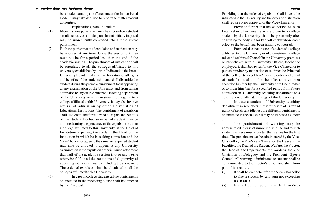by a student among an offence under the Indian Penal Code, it may take decision to report the matter to civil authorities.

7.7 Explanation (as an Addendum):

- (1) More than one punishment may be imposed on a student simultaneously or a milder punishment initially imposed may be subsequently converted into a more severe punishment.
- (2) Both the punishments of expulsion and rustication may be imposed at any time during the session but they must not be for a period less than the end of the academic session. The punishment of rustication shall be circulated to all the colleges affiliated to this university established by law in India and to the Inter - University Board . It shall entail forfeiture of all rights and benefits of the studentship and shall disentitle the student during the period a punishment from appearing at any examination of the University and from taking admission to any course either to a teaching department of the University or to a constituent college or to a college affiliated to this University. It may also involve refusal of admission by other Universities of Educational Institutions. The punishment of expulsion shall also entail the forfeiture of all rights and benefits of the studentship but an expelled student may be admitted during the pendency of the expulsion order to a college affiliated to this University, if the Head of Institution expelling the student, the Head of the Institution in which he is seeking admission and the Vice-Chancellor agree to the same. An expelled student may also be allowed to appear at any University examination if the expulsion order is issued after more than half of the academic session is over and he/she otherwise fulfills all the conditions of eligitonvity of appearing aat the examination including the attendance. The order of expulsion shall be circulated to all the colleges affiliated to this University.

(3) In case of college students all the punishments enumerated in the preceding clause shall be imposed by the Principal.

Providing that the order of expulsion shall have to be intimated to the University and the order of rustication shall require prior approval of the Vice-chancellor.

Provided further that the withdrawl of such financial or other benefits as are given to a college student by the University shall be given only after consulting the body, authority or officer by whose order effect to the benefit has been initially conderred.

Provided also that in case of student of a college affiliated to this University or of a constituent college misconduct himself/herself in the University premises or misbehaves with a University Officer, teacher or employee, it shall be lawful for the Vice-Chancellor to punish him/her by rustication or to direct the Principal of the college to expel him/her or to order withdrawl of such financial or other benefits as have been accorded him/her by the University or to fine him/her or to order him /her for a specified period from future admission in a University teaching department or a constitunent or affiliated college of this University.

(4) In case a student of University teaching department misconducts himself/herself of is found guilty of persistent idleness the different punishments enumerated in the clause 7.4 may be imposed as under

.

(a) The punishment of warning may be administered in case of minor indiscipline and to such students as have misconducted themselves for the first time. The punishment can be administered by the Vice-Chancellor, the Pro-Vice- Chancellor, the Deans of the Faculties, the Dean of the Student Welfare, the Proctor, the Head of the Departments, the Wardens, the Vice Chairman of Delegacy and the President Sports Council. All warnings administered to students shall be communicated to the Proctor's office and shall form part of its records.

- (b) (i) It shall be competent for the Vice-Chancellor to fine a student by any sum not exceeding Rs. 1000.00
	- (ii) It shall be competent for the Pro-Vice-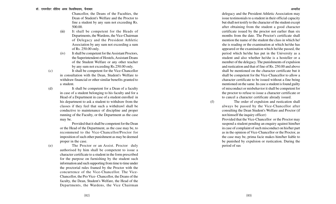Chancellor, the Deans of the Faculties, the Dean of Student's Welfare and the Proctor to fine a student by any sum not exceeding Rs. 500.00.

- (iii) It shall be competent for the Heads of Departments, the Wardens, the Vice-Chairman of Delegacy and the President Athletic Association by any sum not exceeding a sum of Rs. 250.00 only.
- (iv) It shall be competent for the Assistant Proctors, the Superintendent of Hostels, Assistant Deans of the Student Welfare or any other teacher by any sum not exceeding Rs.250.00 only.
- 

(c) It shall be competent for the Vice-Chancellor in consultation with the Dean, Student's Welfare to withdraw financial or other similar benefits granted to a student.

(d) It shall be competent for a Dean of a faculty in case of a student belonging to his faculty and for a Head of a Department in case of a student enrolled in his department to ask a student to withdraw from the classes if they feel that such a withdrawl shall be conductive to maintenance of discipline and proper running of the Faculty, or the Department as the case may be.

> Provided that it shall be competent for the Dean or the Head of the Department, as the case may be, to recommend to the Vice-Chancellor/Proctor for imposition of such other punishment as may be deemed proper in the case.

(e) The Proctor or an Assist. Proctor duly authorised by him shall be competent to issue a character certificate to a student in the form prescribed for the purpose on furnishing by the student such information and such supporting from time to time under the proctorial rules framed by the Proctor with the concurrence of the Vice-Chancellor. The Vice-Chancellor, the Pro Vice- Chancellor, the Deans of the faculty, the Dean, Student's Welfare, the Head of the Departments, the Wardens, the Vice Chairman

(82)

delegacy and the President Athletic Association may issue testimonials to a student in their official capacity but shall not testify to the character of the student except after obtaining from the student a good character certificate issued by the proctor not earlier than six months from the date. The Proctor's certificate shall mention the name of the student the class in which he/ she is reading or the examination at which he/she has appeared or the examination which he/she passed, the period which he/she has put in the University as a student and also whether he/she is a hosteller or a member of the delegacy. The punishments of expulsion and rustication and that of fine of Rs. 250.00 and above shall be mentioned on the character certificate but it shall be competent for the Vice-Chancellor to allow a character certificate to be issued without a fine being mentioned on the same. In case a student is found guilty of misconduct or misbehavior it shall be competent for the proctor to refuse to issue a character certificate or to cancel a character certificate already issued.

(f) The order of expulsion and rustication shall always be passed by the Vice-Chancellor after consulting the Dean Student's Welfare and Proctor (if not himself the inquiry officer)

> Provided that the Vice-Chancellor or the Proctor may suspend a student pending an enquiry against him/her in case of complaint of such misconduct on his/her part as in the opinion of Vice-Chancellor or the Proctor, as the case may be, prima facie makes him/her liable to be punished by expulsion or rustication. During the period of sus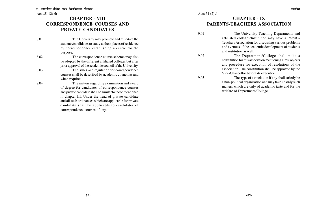# **CHAPTER - VIII CORRESPONDENCE COURSES AND PRIVATE CANDIDATES**

8.01 The University may promote and felicitate the students/candidates to study at their places of residence by correspondence establishing a centre for the purpose.

8.02 The correspondence course scheme may also be adopted by the different affiliated colleges but after prior approval of the academic council of the University.

8.03 The rules and regulation for correspondence courses shall be described by academic council as and when required.

8.04 The matters regarding examination and award of degree for candidates of correspondence courses and private candidate shall be similar to those mentioned in chapter III. Under the head of private candidate and all such ordinances which are applicable for private candidate shall be applicable to candidates of correspondence courses, if any.

# **CHAPTER - IX PARENTS-TEACHERS ASSOCIATION**

9.01 The University Teaching Departments and affiliated colleges/Institution may have a Parents-Teachers Association for discussing various problems and avenues of the academic development of students and institution as well.

9.02 The Department/College shall make a constitution for this association mentioning aims, objects and procedure for execution of resolutions of the association. The constitution shall be approved by the Vice-Chancellor before its execution.

9.03 The type of association if any shall strictly be a non-political organisation and may take up only such matters which are only of academic taste and for the welfare of Department/College.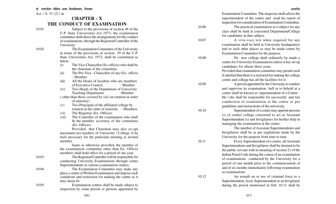## **CHAPTER - X THE CONDUCT OF EXAMINATION**

10.01 Subject to the provisions of section 48 of the U.P. State Universities Act 1973, the examination committee shall direct the arrangements for the conduct of examinations, through the Registrar/Controller of the University.

- 10.02 The Examination Committee of the University in terms of the provisions of section 29 of the U.P. State Universities Act. 1973, shall be constituted as below:
	- (i) The Vice-Chancellor (Ex-officio) who shall be the chairman of the committee.
	- (ii) The Pro-Vice Chancellor (if any) Ex- officio - Member.
	- (iii) All the Deans of faculties who are members of Executive Council. - Member
	- $(iv)$ Two Heads of the Department of University Teaching Department -Member
	- ( other than those covered by (iii) on rotation in order of seniority)
	- $(v)$ Two Principals of the affiliated college by rotation in the order of seniority - Members
	- (vi) The Registrar (Ex -Officio)
	- (vii) The Controller of the examination who shall be the member secretary of the committee (Ex- Officio)

Provided that Chairman may also co-opt maximum two teachers of University / College, if he feels necessary for the particular meeting as invited member.

Same as otherwise provided, the member of the examination committee other than Ex- Officio members shall hold office for a period of one year.

10.03 The Registrar/Controller will be responsible for conducting University Examinations through centre Superintendents at various examination centres.

10.04 The Examination Committee may make any place a centre of Written Examination and impose such conditions and restriction for making the centre as it may deem fit.

10.05 Examination centres shall be made subject to inspection by some person or persons appointed by Examination Committee. The inspector shall advice the superintendent of the centre and send his report of inspection for consideration of Examination Committee.

10.06 The practical examination in a subject for any class shall be held at concerned Department/College for candidates in that subject.

10.07 A viva-voce test when required for any examination shall be held at University headquarters and or such other places as may be made centre by Examination Committee for the purpose.

10.08 No new college shall ordinarily by made a centre for University Examinations unless it has set up candidates for atleast three years.

> Provided that examination committee may permit such if satisfied that there is a real need for making the college centre and college has all the facilities for it.

10.09 A person appointed by the University to conduct and supervise its examination hall or to behold at a centre shall be known as 'superintendent of a Centre' . He / she shall be responsible for successful and fair conduction of examination at the centre as per guidelines and instructions of the university.

10.10 Superintendent of a centre may appoint persons (s) of centre/ college concerned to act as Assistant Superintendent (s) and Invigliators for his/her help in managing the examination at the centre.

The number of Assistant Superintendents and Invigilators shall be as per regulations made by the University for the purpose from time to time.

10.11 Every Superintendent of a centre, all Assistant Superintendents and Invigilators shall be deemed to be the public servant with in meaning of section 21 of the Indian Penal Code during the course of an examination of examinations conducted by the University for a period of one month prior to the commencement of and of six months immediately following examination or examinations.

10.12 An assault on or use of criminal force to a Superintendent, Assit. Superintendent or an Invigilator during the period mentioned in Ord. 10.11 shall be

(87)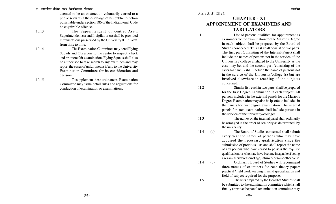#### डॉ. राममनोहर लोहिया अवध विश्वविघालय. फैजाबाद

deemed to be an obstruction voluntarily caused to a public servant in the discharge of his public function punishable under section 186 of the Indian Penal Code be cognizable offence.

10.13 The Superintendent of centre, Asstt. Superintendent (s) and Invigilatior (s) shall be provided remunerations prescribed by the University /U.P. Govt. from time to time.

10.14 The Examination Committee may send Flying Squads and Observers to the centre to inspect, check and promote fair examination. Flying Squads shall also be authorised to take search to any examinee and may report the cases of unfair means if any to the University Examination Committee for its consideration and decision.

10.15

To supplement these ordinances, Examination Committee may issue detail rules and regulations for conduction of examination or examinations.

Act. / S. 51 (2) / L

# **CHAPTER - XI APPOINTMENT OF EXAMINERS AND TABULA TORS**

11.1 List of persons qualified for appointment as examiners for the examination for the Master's Degree in each subject shall be prepared by the Board of Studies concerned. This list shall consist of two parts. The first part (consisting of the Internal-Panel) shall include the names of persons not in the service of the University / college affiliated to the University as the case may be, and the second part (consisting of the external panel ) shall include the name of persons not in the service of the University/college (s) but are involved elsewhere in teaching of the subjects concerned.

11.2 Similar list, each in two parts, shall be prepared for the first Degree Examination in each subject. All persons included in the external panels for the Master's Degree Examination may also be ipsofacto included in the panels for first degree examination. The internal panels for such examination shall include persons in the service of the university/colleges.

11.3 The names on the internal panel shall ordinarily be arranged in the order of seniority as determined, by the university.

11.4 (a) The Board of Studies concerned shall submit every year the names of persons who may have acquired the necessary qualification since the submission of previous lists and shall report the name of any persons who have ceased to possess the requisite qualifications or who may have become incapable of acting as examiners by reason of age, infirmity or some other cause.

11.4 (b) Ordinarily Board of Studies will recommend three names of examiners for each theory paper/ practical / field work keeping in mind specialisation and field of subject required for the purpose.

11.5 The lists prepared by the Board of Studies shall be submitted to the examination committee which shall finally approve the panel (examination committee may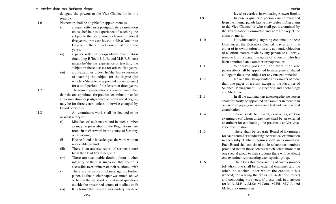#### डॉ. राममनोहर लोहिया अवध विश्वविघालय. फैजाबाद <del>कार कारकार कार्यकार कार्यकार कार्यकार कार्यकार कार्यकार अध्यादेश</del>

delegate the powers to the Vice-Chancellor in this regard).

- 11.6 No person shall be eligible for appointment as :-
	- (i) a paper setter in a postgraduate examination unless he/she has experience of teaching the subject to the postgraduate classes for atleast five years, or in case he/she holds a Doctorate Degree in the subject concerned, of three years.
	- (ii) a paper setter in udergraduate examination (including B.Tech. L.L.B. and M.B.B.S. etc.) unless he/she has experience of teaching the subject in these classes for atleast five years.
	- (iii) a co-examiner unless he/she has experience of teaching the subject for the degree (for which he/she is to be appointed a co-examiner) for a total period of not less than three years.

11.7 The term of papersetter or a co-examiner other than the one appointed for practical examination or for an examination for postgraduate or professional degree, may be for three years, unless otherwise changed by Board of Studies.

11.8 An examiner's work shall be deemed to be unsatisfactory if :

- (i) Mistakes of such nature and in such number as may be prescribed in the Regulations are found in his/her work in the course of Scrutiny or otherwise, or if:
- (ii) He/she found to have delayed the work without reasonable ground.
- (iii) There is an adverse report of serious nature from the Head Examiner,or if :
- (iv) There are reasonable doubts about his/her integrity or there is suspicion that he/she is accessible to examinees or their relations, or if :
- (v) There are serious complaints against his/her paper, i.e that his/her paper was much above or below the standard or contained questions outside the prescribed course of studies, or if:
- (vi) It is found that he /she was unduly harsh or

lavish or careless in evaluating Answer Books. 11.9 In case a qualified person's name excluded

from the internal panels he/she may prefer his/her claim to the Vice-Chancellor who shall get it examined by the Examination Committee and admit or reject the claim on merit.

11.10 Notwithstanding anything contained in these Ordinances, the Executive Council may at any time either of its own motion or on any authentic objection of a serious nature made by any person or authority, remove from a panel the name of a person who has been appointed an examiner or papersetter.

11.11 Wherever possible, not more than one papersetter shall be appointed from anyone affiliated college in the same subject for any one examination.

11.12 No one shall be appointed an examiner of more than one paper of a class except in the Faculties of Science, Management, Engineering and Technology and Medicine.

11.13 In all the examinations taken together no person shall ordinarily be appointed an examiner in more than one written paper, one viva- voce test and one practical examination.

11.14 There shall be Board, consisting of two examiners (of whom atleast one shall be an external examiner) for conducting the practicals and/or vivavoce examination..

11.15 There shall be separate Board of Examiners for each centre for conducting the practical examination in each subject which requires such an examination. Each Board shall consist of not less than two members provided that in those centres which offers more than one special group to their students there will be atleast one examiner representing each special group.

11.16 There be a Board consisting of two examiners (of whom one shall be an external examiner and the other the teacher under whom the candidate has worked) for reading the thesis (Dissertation/Project) and conducting viva-voce, if prescribed, in a subject for M.A.,M.B.A.,M.Sc.,M.Com., M.Ed., M.C.A. and M.Tech. examinations.

(90)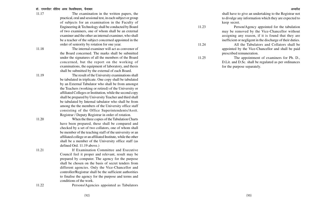#### डॉ. राममनोहर लोहिया अवध विश्वविघालय, फैजाबाद <del>कार कार्यकार कार्यकार कार्यकार कार्यकार</del> अध्यादेश अध्यादेश अध्यादेश

11.17 The examination in the written papers, the practical, oral and sessional test, in each subject or group of subjects for an examination in the Faculty of Engineering & Technology shall be conducted by Board of two examiners, one of whom shall be an external examiner and the other an internal examiner, who shall be a teacher of the subject concerned appointed in the order of seniority by rotation for one year.

11.18 The internal examiner will act as convenor of the Board concerned. The marks shall be submitted under the signatures of all the members of the Board concerned, but the report on the working of examinations, the equipment of laboratory, and thesis shall be submitted by the external of each Board.

11.19 The result of the University examinations shall be tabulated in triplicate. One copy shall be tabulated by an External Tabulator who shall be from amongst the Teachers (working or retired) of the University or affiliated Colleges or Institution, while the second copy shall be prepared by University Teacher and third shall be tabulated by Internal tabulator who shall be from among the the members of the University office staff consisting of the Office Superintendents/Asstt. Registrar / Deputy Registrar in order of rotation.

11.20 When the three copies of the Tabulation Charts have been prepared, these shall be compared and checked by a set of two collators, one of whom shall be member of the teaching staff of the university or an affiliated college or an affiliated Institute, while the other shall be a member of the University office staff (as defined Ord. 11.19 above.)

11.21 If Examination Committee and Executive Council feel it proper and relevant, result may be prepared by computer. The agency for the purpose shall be chosen on the basis of secret tenders from different agencies. Only the Vice-Chancellor and controller/Registrar shall be the sufficient authorities to finalise the agency for the purpose and terms and conditions of the work.

11.22 Persons/Agencies appointed as Tabulators

shall have to give an undertaking to the Registrar not to divulge any information which they are expected to keep secret.

11.23 Person/Agency appointed for the tabulation may be removed by the Vice-Chancellor without assigning any reason, if it is found that they are inefficient or negligent in the discharge of their duties.

11.24 All the Tabulators and Collators shall be appointed by the Vice-Chancellor and shall be paid prescribed remuneration.

11.25 The appointment of examiners for Ph. D., D.Lit. and D.Sc. shall be regulated as per ordinances for the purpose separately.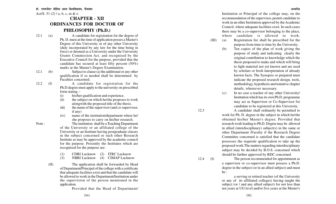Act/S. 51 (2) / a, b, c, m & o

# **CHAPTER - XII ORDINANCES FOR DOCTOR OF PHILOSOPHY (Ph.D.)**

- 
- 12.1 (a) A candidate for registration for the degree of Ph. D. must at the time of application posses a Master's Degree of this University or of any other University (duly incorporated by any law for the time being in force) or deemed as a University under the University Grants Commission Act. and recognised by the Executive Council for the purpose, provided that the candidate has secured at least fifty percent (50%) marks at the Master's Degree Examination.
- 12.1 (b) Subject to clause (a) the additional or any other qualification if so needed shall be determined by Faculties concerned.
- 12.2 (I) A candidate for registration for the Ph.D.degree must apply to the university on prescribed form stating :-
	- (i) his/her qualification and experience.
	- (ii) the subject on which he/she proposes to work alongwith the proposed title of the thesis.
	- (iii) the name of the supervisor (and co-supervisor, if any)
	- (iv) name of the institution/department where he/ she proposes to carry on his/her research.

Note : The institution shall be a Teaching Department of the University or an affiliated college of the University or an Institute having postgraduate classes in the subject concerned or such other Research Institute as may be approved by the academic council for the purpose. Presently the Institutes which are recognised for the purpose are:

> (1) CDRI Lucknow (2) ITRC Lucknow (3) NBRI Lucknow (4) CIMAP Lucknow

(II) The application shall be forwarded by Head of Department/Principal of the college with a certificate that adequate facilities exist and that the candidate will be allowed to work in the Department/Institution under the supervision of the person mentioned in the application.

Provided that the Head of Department/

Institution or Principal of the college may, on the recommendation of the supervisor, permit candidate to work in an other Institution approved by the Academic Council, where adequate facilities exist. In such cases there may be a co-supervisor belonging to the place, where candidate is allowed to work.

- (III) (a) Registration fee shall be prescribed for the purpose from time to time by the University.
	- (b) Ten copies of the plan of work giving the purpose of study and indicating clearly the original contribution to knowledge which the thesis proposed to make and which will bring to light material not yet known and are used by scholars or fresh interpretation of already known facts. The Synopsis so prepared must indicate the proposed research design, tools, methodology, hypothesis and tentative chapter details, whereever necessary.
	- (c) In no case a teacher of any other University/ Institution which has its own Ph.D. programme may act as Supervisor or Co-Supervisor for candidate to be registered at this University.

12.3 A candidate shall ordinarily be permitted to work for Ph. D. degree in the subject in which he/she obtained his/her Master's degree. Provided that research work leading to Ph.D. Degree may be allowed in allied (interdisciplinary) subject(s) in the same or other Department /Faculty if the Research Degree Committee concerned is satisfied that the candidate possesses the requisite qualification to take up the proposed work.The matters regarding interdisciplinary subject may be decided by B.O.S. concerned which should be further approved by RDC concerned.

12.4 (I) The person recommended for appointment as a supervisor or co-supervisor must possess a Ph.D. degree in the subject (or in an allied subject) and must  $he \cdot$ 

> a serving or retired teacher (of the University or any of its affiliated colleges) having taught the subject (or / and any allied subject) for not less than ten years at UG level and/or five years at the Master's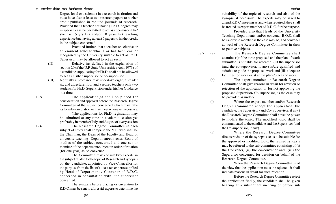Degree level or a scientist in a research institution and must have also at least two research papers to his/her credit published in reputed journals of research. Provided that a teacher not having Ph.D. degree may in special case be permitted to act as supervisor if he/ she has 15 yrs UG and/or 10 years PG teaching experience but having at least 5 papers to his/her credit in the subject concerned.

Provided further that a teacher or scientist or an eminent scholar who is or has been earlier recognised by the University suitable to act as Ph.D. Supervisor may be allowed to act as such.

(II) Relative (as defined in the explanation of

section 20 of the U.P. State Universities Act., 1973) of a candidate supplicating for Ph.D. shall not be allowed to act as his/her supervisor or co-supervisor.

(III) Normally a professor may undertake eight, a Reader six and a Lecturer four and a retired teachers only two students for Ph.D. Supervision under his/her Guidance at a time.

12.5 The application(s) shall be placed for consideration and approval before the Research Degree Committee of the subject concerned which may take its form by circulation or may meet whenever necessary.

> (The applications for Ph.D. registration may be submitted at any time in academic session yet preferably in month of July and August of every session

12.6 The Research Degree Committee in each subject of study shall comprise the V.C. who shall be the Chairman, the Dean of the Faculty and Head of university teaching Department/convener, Board of studies of the subject concerned and one senior member of the department/subject in order of rotation (for one year) as co-convener.

> The Committee may consult two experts in the subject related to the topic of Research and synopsis of the candidate, appointed by Vice-Chancellor for the purpose from the list of atleast ten experts supplied by Head of Department / Convener of R.D.C. concerned in consultation with the supervisor concerned.

The synopsis before placing or circulation to R.D.C. may be sent to aforesaid experts to determine the suitability of the topic of research and also of the synopsis if necessary. The experts may be asked to attend R.D.C. meeting as and when required, they shall be treated as expert member of R.D.C. for the purpose.

Provided also that Heads of the University Teaching Departments and/or convener B.O.S. shall be ex-officio member as the case may be, and convener as well of the Research Degree Committee in their respective subjects.

12.7 (a) The Research Degree Committee shall examine (i) if the topic proposed and the plan of work submitted is suitable for research. (ii) the supervisor (and the co-supervisor, if any) is/are qualified and suitable to guide the proposed work and (iii) adequate facilities for work exist at the place/places of work.

> (b) The expert member or Research Degree Committee shall give reasons in detail for revision or rejection of the application or for not approving the proposed Supervisor/ Co-supervisor, as the case may be provided as under-.

> (i) Where the expert member and/or Research Degree Committee accept the application, the candidate, the Supervisor (and Co- Supervisor, if any ) the Research Degree Committee shall have the power to modify the topic. The modified topic shall be communicated to the candidate and the Supervisor (and the Co-supervisor, if any).

> (ii) Where the Research Degree Committee directs revision of the synopsis so as to be suitable for the approved or modified topic, the revised synopsis may be referred to the sub-committee consisting of (i) the Convener, (ii) the co-convener and (iii) the Supervisor concerned for decision on behalf of the Research Degree Committee.

> > When the Research Degree Committee is of the view that the application must be rejected, it shall indicate reasons in detail for such rejection.

> > Before the Research Degree Committee reject the application finally, the candidate shall be given hearing at a subsequent meeting or before sub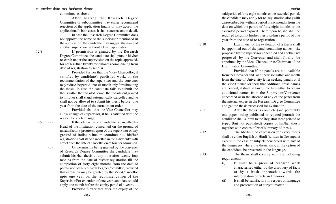committee as above.

After hearing the Research Degree Committee or subcommittee may either recommend rejection of the application finally or may accept the application. In both cases, it shall state reasons in detail.

In case the Research Degree Committee does not approve the name of the supervisor mentioned in the application, the candidate may suggest the name of another supervisor without a fresh application.

12.8 If permission is granted by the Research Degree Committee, the candidate shall pursue his/her research under the supervision on the topic approved, for not less than twenty four months commencing from date of registration as scholar.

> Provided further that the Vice- Chancellor, if satisfied by candidate's published work, on the recommendation of the supervisor and the convener may reduce the period upto six month only for submitting the thesis. In case the candidate fails to submit the thesis within the curtailed period, the curtailment granted to him/her shall stand automatically cancelled and he shall not be allowed to submit his thesis before one year from the date of the curtailment order.

> Provided also that the Vice-Chancellor may allow change of Supervisor, if he is satisfied with the reason for such change.

12.9 (a) If the admission of a candidate is cancelled by Head of the Institution concerned on the ground of unsatisfactory progress report of the supervisor or any ground of indiscipline, misconduct etc, his/her registration shall stand cancelled in the University with effect from the date of cancellation of his/ her admission.

(b) On permission being granted by the convener of Research Degree Committee the candidate may submit his /her thesis at any time after twenty four months from the date of his/her registration till the completion of forty eight months from the date of permission of the Research Degree Committee, provided that extension may be granted by the Vice-Chancellor upto one year on the recommendation of the Supervisor.For extention of one year candidate should apply one month before the expiry perod of 4 years.

Provided further that after the expiry of the

said period of forty eight months or the extended period, the candidate may apply for re- registration alongwith a prescribed fee within a period of six months from the date on which the period of forty eight months or the extended period expired. There upon he/she shall be required to submit his/her thesis within a period of one year from the date of re-registration.

12.10 Examiners for the evaluation of a thesis shall be appointed out of the panel containing names - six proposed by the supervisor concerned and another six proposed by the Convener and shall finally be appointed by the Vice- Chancellor as Chairman of the Examination Committee.

> Provided that if the panels are not available from the Convener and / or Supervisor within one month from the date of University letter seeking panels or if the Vice-Chancellor feels that additional fresh names are needed, it shall be lawful for him either to obtain additional names from the Supervisor/Convener concerned or in the absence of any of the panel from the internal expert in the Research Degree Committee and get the thesis processed for evaluation.

12.11 After the thesis is complete (and perferably one paper being published in reputed journal) the candidate shall submit to the Registrar three printed or typed (but not published) copies of his/her thesis together with copies of brief summary of thesis.

12.12 The Medium of expression for every thesis shall be either English or Hindi (written in Devangari) except in the case of subjects concerned with any of the languages where the thesis may, at the option of the candidate, be presented in the language.

12.13 The thesis shall comply with the following requirements -

- (i) It must be a piece of research work characterised either by the discovery of facts or by a fresh approach towards the interpretation of facts and theories.
- (ii) It shall be satisfactory in respect of language and presentation of subject matter.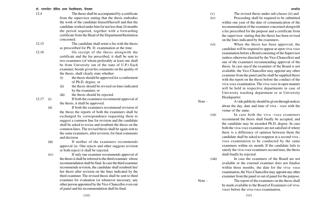| 12.4  | The thesis shall be accompanied by a certificate        |
|-------|---------------------------------------------------------|
|       | from the supervisor stating that the thesis embodies    |
|       | the work of the candidate himself/herself and that the  |
|       | candidate worked under him for not less than 24 months  |
|       | the period required, together with a forwarding         |
|       | certificate from the Head of the Department/Institution |
|       | concerned.                                              |
| 12.15 | The candidate shall remit a fee with the thesis         |

as prescsribed for Ph. D. examination at the time. 12.16 On receipt of the thesis alongwith the certificate and the fee prescribed, it shall be sent to

two examiners (of whom preferably at least one shall be from University out of the state of U.P.) Each examiner, beside given his comments on the quality of the thesis, shall clearly state whether-

- (i) the thesis should be approved for a conferment of Ph.D. degree, or
- (ii) the thesis should be revised on lines indicated by the examiner, or
- (iii) the thesis should be rejected.

and decision.

12.17 (i) If both the examiners recommend approval of

the thesis, it shall be approved. (ii) If both the examiners recommend revision of the thesis the reports of both the examiners shall be exchanged by correspondence requesting them to suggest a common line for revision and the candidate shall be asked to revise and resubmit the thesis on the common lines. The revised thesis shall be again sent to the same examiners, after revision, for final comments

(iii) If neither of the examiners recommends approval (ie. One rejects and other suggests revision or both reject) it shall be rejected.

(iv) If only one examiner recommends approval of the thesis it shall be referred to the third examiner whose recommendation shall be final. In case the third examiner recommends revision, the candidate shall resubmit his/ her thesis after revision on the lines indicated by the third examiner. The revised thesis shall be sent to third examiner for evaluation (or whenever necessary, any other person appointed by the Vice-Chancellor even out of panel and his recommendation shall be final.

(v) The revised thesis under sub-classes (ii) and

(iv) Proceeding shall be required to be submitted within one year of the date of communication of the recommendation of the examiner concerned alongwith a fee prescribed for the purpose and a certificate from the supervisor stating that the thesis has been revised on the lines indicated by the examiners.

(vi) When the thesis has been approved, the candidate will be required to appear at open viva-voce examination before a Board consisting of the Supervisor (unless otherwise directed by the Vice-Chancellor) and one of the examiners recommending approval of the thesis. In case anyof the examiner of the Board is not available, the Vice-Chancellor may appoint any other examiner from the panel and he shall be supplied thesis with the report on the thesis before the conduct of the viva-voce examination. The viva-voce in open manner will be held in respective departments in case of University teaching department or at University Headquarter.

Note - A vide publicity should be given through notices

about the day, date and time of viva - voce with the venue of the same.

(vii) In case both the viva -voce examiners recommend the thesis shall finally be accepted, and the candidate may be awarded Ph.D. degree. In case both the viva-voce examiners are not satisfied of where there is a difference of opinion between them the candidate shall be asked to reappear at a second viva voce examination to be conducted by the same examiners within six month. If the candidate fails to satisfy the viva-voce examiners second time, the thesis shall finally by rejected.

(viii) In case the examiners of the Board are not available or the external examiner does not finalise within three months, the date for the viva- voce examination, the Vice-Chancellor may appoint any other examiner from the panel or out of panel for the purpose.

Note - The report of the examiners on the thesis shall be made available to the Board of Examiners (of vivavoce) before the viva-voce examination.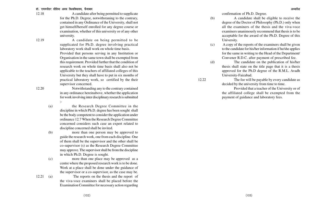12.18 A candidate after being permitted to supplicate for the Ph.D. Degree, notwithstaning to the contrary, contained in any Ordinance of the University, shall not get himself/herself enrolled for any degree course or examination, whether of this university or of any other university.

12.19 A candidate on being permitted to be supplicated for Ph.D. degree involving practical laboratory work shall work on whole time basis. Provided that persons serving in any Institution or Organisation in the same town shall be exempted from this requirement. Provided further that the condition of research work on whole time basis shall also not be applicable to the teachers of affiliated colleges of this University but they shall have to put in six months of practical laboratory work, so certified by the their supervisor concerned.

12.20 Notwithstanding any to the contrary contained in any ordinance hereinabove, whether the application for work involving inter disciplinary research is submitted :-

(a) the Research Degree Committee in the discipline in which Ph.D. degree has been sought shall be the body competent to consider the application under ordinance 12.7 When the Research Degree Committee concerned considers such case an expert related to discipline concerned shall be invited.

(b) more than one person may be approved to guide the research work, one from each discipline. One of them shall be the supervisor and the other shall be co-supervisor (s) as the Research Degree Committee may approve. The supervisor shall be from the discipline in which Ph.D. Degree is sought.

(c) more than one place may be approved as a centre where the proposed research work is to be done. Work at a place shall be done under the guidance of the supervisor or a co-supervisor, as the case may be.

> the viva-voce examiners shall be placed before the Examination Committee for necessary action regarding

12.21 (a) The reports on the thesis and the report of

- (b) A candidate shall be eligible to receive the degree of the Doctor of Philosophy (Ph.D.) only when all the examiners of the thesis and the viva-voce examiners unanimously recommend that thesis is to be acceptable for the award of the Ph.D. Degree of this University.
- (c) A copy of the reports of the examiners shall be given to the candidate for his/her information if he/she applies for the same in writing to the Head of the Department/ Convener R.D.C. after payment of prescribed fee.

(d) The candidate on the publication of his/her thesis shall state on the title page that it is a thesis approved for the Ph.D degree of the R.M.L. Avadh University-Faizabad.

12.22 The fee will be payable by every candidate as decided by the university from time to time.

> Provided that a teacher of the University or of the affiliated college shall be exempted from the payment of guidance and laboratory fees.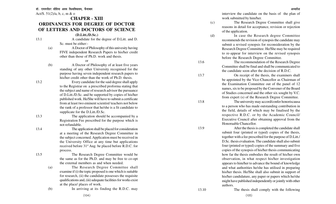Act/S. 51(2)/a, b, c, m & o

# **CHAPER - XIII ORDINANCES FOR DEGREE OF DOCTOR OF LETTERS AND DOCTORS OF SCIENCE**

#### **(D.Litt./D.Sc.)**

13.1 A candidate for the degree of D.Litt. and D. Sc. must be either:-

- (a) A Doctor of Philosophy of this univesity having FIVE independent Research Papers to his/her credit other than those of Ph.D. work and thesis.
	- or
- (b) A Doctor of Philosophy of at least five years standing of any other University recognised for the purpose having seven independent research papers to his/her credit other than the work of Ph.D. thesis.

13.2 Every candidate for the said degree shall apply to the Registrar on a prescribed proforma stating that the subject and name of research advisor the pursuance of D.Litt./D.Sc. and be supported by copies of his/her published work. He/She will have to submit a certificate from at least two eminent scientist/ teachers not below the rank of a professor that he/she is a fit candidate to supplicate for the D.Litt./D.Sc.

13.3 The application should be accompanied by a Registration Fee prescribed for the purpose which is not refundable.

13.4 The application shall be placed for consideration at a meeting of the Research Degree Committee in the subject concerned. Application must be received in the University Office at any time but applications received before 31st Aug. be placed before R.D.C. for process.

13.5 The Research Degree Committee would be the same as for the Ph.D. and may be free to co-opt the external members as and when needed.

(a) The Research Degree Committee shall examine if (i) the topic proposed is one which is suitable for research, (ii) the candidate possesses the requisite qualifications and, (iii) adequate facilities for works exist at the place/ places of work.

(b) In arriving at its finding the R.D.C. may

interview the candidate on the basis of the plan of work submitted by him/her.

- (c) The Research Degree Committee shall give reasons in detail for acceptance, revision or rejection of the application.
- (d) In case the Research degree Committee recommends the revision of synopsis the candidate may submit a revised synopsis for reconsideration by the Research Degree Committee. He/She may be required to re-appear for interview on the revised synopsis before the Research Degree Committee.

13.6 The recommendation of the Research Degree Committee shall be final and shall be communicated to the candidate soon after the decision of R.D.C.

13.7 On receipt of the thesis, the examiners shall be appointed by the Vice-Chancellor as Chairman of the Examination Committee out of the panel of 12 names, six to be proposed by the Convener of the Board of Studies concerned and the other six sought by V.C. from expert (s) of the Research Degree Committee.

13.8 The university may accord/confer honoriscausa to a person who has made outstanding contribution in the field, details of which may be finalised by the respective R.D.C. or by the Academic Council/ Executive Council after obtaining approval from the Honoruable Chancellor.

13.9 After the thesis is completed the candidate shall submit four (printed or typed) copies of the thesis, together with a fee prescribed for the purpose of D.Litt./ D.Sc. thesis evaluation. The candidate shall also submit four (printed or typed) copies of the summary and five copies of the synopsis of his/her thesis communicating how far the thesis embodies the result of his/her own observation, in what respect his/her investigation appears to him/her to advance the bound of knowledge and what authorities he/she has utilised in preparing his/her thesis. He/She shall also submit in support of his/her candidature, any paper or papers which he/she might have published independently or jointly with other authors.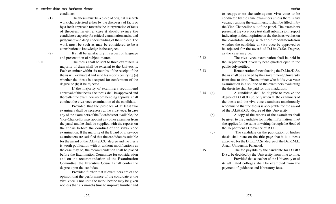conditions:-

(1) The thesis must be a piece of original research work characterised either by the discovery of facts or by a fresh approach towards the interpretation of facts of theories. In either case it should evince the candidate's capacity for critical examination and sound judgement and deep understanding of the subject. The work must be such as may be considered to be a contribution to knowledge in the subject.

(2) It shall be satisfactory in respect of language

and presentation of subject-matter.

13.11 The thesis shall be sent to three examiners, a majority of them shall be external to the University. Each examiner within six months of the receipt of the thesis will evaluate it and send his report specifying (a) whether the thesis is accepted for conferment of the degree or (b) it be rejected.

> If the majority of examiners recommend approval of the thesis, the thesis shall be approved and thereafter the examiners recommending approval shall conduct the viva-voce examination of the candidate.

> Provided that the presence of at least two examiners shall be necessory at the viva-voce. In case any of the examiners of the Boards is not available, the Vice-Chancellor may appoint any other examiner from the panel and he shall be supplied with the reports on the thesis before the conduct of the viva- voce examination. If the majority of the Board of viva-voce examinaters are satisfied that the candidate is suitable for the award of the D.Litt./D.Sc. degree and the thesis is worth publication with or without modifications as the case may be, the recommendation shall be placed before the Examination Committee for consideration and on the recommendation of the Examination Committee, the Executive Council shall confer the degree upon the candidate.

> Provided further that if examiners are of the opinion that the performance of the condidate at the viva-voce is not upto the mark, he/she may be given not less than six months time to improve him/her and

to reappear on the subsequent viva-voce to be conducted by the same examiners unless there is any vacancy among the examiners, it shall be filled in by the Vice-Chancellor out of the panel. The examiners present at the viva-voce test shall submit a joint report indicating in detail opinion on the thesis as well as on the candidate along with their recommendation whether the candidate at viva-voce be approved or be rejected for the award of D.Litt./D.Sc. Degree, as the case may be.

13.12 The viva- voce examination shall be held in the Department/University head quarters open to the public duly notified.

13.13 Remuneration for evaluating the D.Litt./D.Sc. thesis shall be as fixed by the Government /University from time to time. The examiner who holds viva-voce examination is also one of the examiners evaluating the thesis he shall be paid for this in addition.

13.14 (a) A candidate shall be eligible to receive the degree of D.Litt./D.Sc. only when all the examiners of the thesis and the viva-voce examiners unanimously recommend that the thesis is acceptable for the award of the D.Litt./D.Sc. degree of this University.

> (b) A copy of the reports of the examiners shall be given to the candidate for his/her information if he/ she applies for the same in writing through the Head of the Department / Convener of R.D.C.

> (c) The candidate on the publication of his/her thesis shall state on the title page that it is a thesis approved for the D.Litt./D.Sc. degree of the Dr. R.M.L. Avadh University, Faizabad.

13.15 The fee payable by the candidate for D.Litt./ D.Sc. be decided by the University from time to time.

> Provided that a teacher of the University or of its affiliated colleges shall be exempted from the payment of guidance and laboratory fees.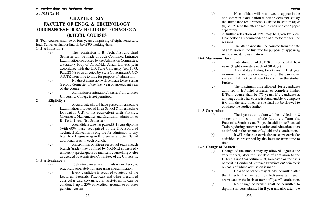# **CHAPTER- XIV FACULTY OF ENGG. & TECHNOLOGY ORDINANCES FOR BACHELOR OF TECHNOLOGY (B.TECH.) COURSES**

B. Tech courses shall be of four years comprising of eight semesters. Each Semester shall ordinarily be of 90 working days.

#### **14.1 Admission :**

- (a) The admission to B. Tech. first and third Semester will be made through Combined Entrance Examination conducted by the Admission Committee, a statutory body of Dr. R.M.L. Avadh University, in accordance with the U.P. State University Act, 1973, Para 28 (4) or as directed by State Government/UGC/ AICTE from time to time for purpose of admission.
- (b) No direct admission will be made to the Spring (second) Semester of the first year or subsequent year of the course.
- (c) Admission or migration/transfer from another University/ College is not permitted.

#### **2 Eligibilty :**

- (a) A candidate should have passed Intermediate Examination of Board of High School & Intermediate Education U.P. or its equivalent with Physics, Chemistry, Mathematics and English for admission to B. Tech. I year (Ist Semester).
- (b) A candidate who has passed 3-4 years diploma (with 60% mark) recognised by the U.P. Board of Technical Education is eligible for admission to any branch of Engineering in IIIrd semester upto 10% of additional seats in each branch.
- (c) A maximum of fifteen percent of seats in each branch (trade) may by filled by NRI/NRI sponsored / university special quota by merit and counselling or else as decided by Admission Committee of the University.

### **14.3 Attendance :**

- (a) 75% attendances are compulsary in theory & practicals seperately for appearing in examination.
- (b) Every candidate is required to attend all the Lectures, Tutorials, Practicals and other prescribed curricular and co-curricular activities. It can be condoned up to 25% on Medical grounds or on other genuine reasons.
- (c) No candidate will be allowed to appear in the end semester examination if he/she does not satisfy the attendance requirements as listed in section (a)  $\&$ (b) ie. 75% of the attendance in each subject / paper separately.
- (d) A further relaxation of 15% may be given by Vice-Chancellor on recommendation of director for genuine reasons.
- (d) The attendance shall be counted from the date of admission in the Institute for purpose of appearing in the semester examination.

#### **14.4 Maximum Duration :**

- (a) Total duration of the B.Tech. course shall be 4 years (Eight semesters each of 90 days)
- (b) A candidate failing two times in first year examination and also not eligible for the carry over system, shall not be allowed to continue the studies further.
- (c) The maximum time allowed for a candidate admitted in Ist/ IIIrd semester to complete his/her B.Tech. course shall be 7/5 years. If a candidate at any stage of his / her course is found unable to complete it within the said time, he/ she shall not be allowed to continue the studies further.

### **14.5 Curriculum :**

- (a) The 4 years curriculum will be divided into 8 semesters and shall include Lectures, Tutorials, Practicals, Seminars and Project in addition to Practical Training during summer vacation and education tours as defined in the scheme of syllabi and examination.
- (b) It will include co-curricular and extra-curricular activities as prescribed by the Institute from time to time.

### **14.6 Change of Branch :**

- (a) Change of the branch may by allowed against the vacant seats, after the last date of admission to the B.Tech. First Year Autumn (Ist) Semester, on the basis of merit in Combined Entrance Examination/ or in merit on basis of which admission is made.
- (b) Change of branch may also be permitted after the B. Tech. First year Spring (IInd) semester if seats are vacant on the basis of merit of I year Examination.
- (c) No change of branch shall be permitted to diploma holders admitted in II year and also after two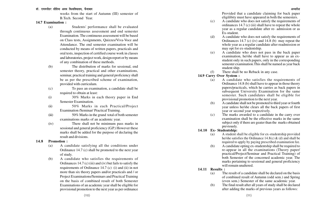weeks from the start of Autumn (III) semester of B.Tech. Second Year.

#### **14.7 Examination :**

- (a) Students' performance shall be evaluated through continuous assessment and end semester Examination. The continuous assessment will be based on Class tests, Assignments, Quizzes/Viva-Voce and Attendance. The end semester examination will be conducted by means of written papers, practicals and oral tests, inspection of certified course work in classes and laboratories, project work, design report or by means of any combination of these methods.
- (b) The distribution of marks for sessional, end semester theory, practical and other examinations, seminar, practical training and general proficiency shall be as per the prescribed scheme of examination, provided with curriculam.
- $(c)$ To pass an examination, a candidate shall be required to obtain at least:
- (i) 30% Marks in each theory paper in End Semester Examination.
- (ii) 50% Marks in each Practical/Project Examination /Seminar/ Practical Training.
- (iii) 50% Marks in the grand total of both semester examinations marks of an academic year.
- (iv) There shall not be minimum pass marks in sessional and general proficiency (G.P.) However these marks shall be added for the purpose of declaring the result and divisions.

#### **14.8 Promotion :**

- (a) A candidate satisfying all the conditions under Ordinance 14.7 (c) shall be promoted to the next year of study.
- (b) A candidate who satisfies the requirements of Ordinances 14.7 (c) (iii) and (iv) but fails to satisfy the requirements of Ordinance 14.7 (c) (i) and (ii) in not more than six theory papers and/or practicals and / or Project Examinations/Seminars and Practical Training on the basis of combined result of both Semester Examinations of an academic year shall be eligible for provisional promotion to the next year as per ordinance

Provided that a candidate claiming for back paper eligilibity must have appeared in both the semesters.

- (c) A candidate who does not satisfy the requirements of ordinances  $14.7$  (c) (iii) shall have to repeat the whole year as a regular candidate after re- admission or as Ex-student.
- (d) A candidate who does not satisfy the requirements of Ordinances 14.7 (c) (iv) and 14.8 (b) may repeat the whole year as a regular candidate after readmission or may opt for ex-studentship.
- (e) A candidate who does not pass in the back paper examination, he/she shall have to appear as an exstudent only in such papers, only in the corresponding semester examination.This shall be named as year back student ship.
- (f) There shall be no Reback in any case.

#### **14.9 Carry Over System :**

- (a) A candidate who satisfies the requirements of Ordinance 14.8 (b) shall have to appear in those theory papers/practicals, which he carries as back papers in subsequent University Examination for the same semester. Such candidates shall be eligible for provisional promotion to the next year.
- (b) A candidate shall not be promoted to third year or fourth year unless he/she clears all the back papers of first year or second year respectively.
- (c) The marks awarded to a candidate in the carry over examination shall be the effective marks in the same subject only if there are geater than the marks obtained previously.
- **14.10 Ex- Studentship:**
	- (a) A student shall be eligible for ex-studentship provided he/she satisfies the Ordinance  $14.8(c)$  & (d) and shall be required to apply by paying prescribed examination fee.
	- (b) A candidate opting ex-studentship shall be required to re-appear in all the examinations (Theory paper/ practical/Project/Seminar and Practical Training) of both Semester of the concerned academic year. The marks pertaining to sessional and general proficiency will remain unaltered.
- **14.11 Results :**
	- (a) The result of a candidate shall be declared on the basis of combined result of Autumn (odd sem.) and Spring (even sem.) Semester of the same academic year.
	- (b) The final result after all years of study shall be declared after adding the marks of previous years as follows: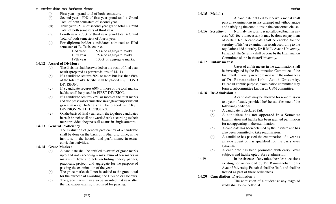- (i) First year grand total of both semesters.
- (ii) Second year 50% of first year grand total + Grand Total of both semesters of second year.
- (iii) Third year 50% of second year grand total + Grand Total of both semesters of third year.
- (iv) Fourth year 75% of third year grand total + Grand Total of both semesters of fourth year.
- (c) For diploma holder candidates admitted to IIIrd semester of B. Tech. course.
	- IInd year 50% of aggregate marks.
	- IIIrd year 75% of aggregate marks.
	- IVth year 100% of aggregate marks.

#### **14.12 Award of Division :**

- (a) The division shall be awarded on the basis of final year result (prepared as per provisions of 14.11)
- (b) If a candidate secures 50% or more but less than 60% of the total marks, he/she shall be placed in SECOND DIVISION.
- (c) If a candidate secures 60% or more of the total marks, he/she shall be placed in FIRST DIVISION.
- (d) If a candidate secures 75% or more of the total marks and also passes all examination in single attempt (without grace marks), he/she shall be placed in FIRST DIVISION WITH HONOURS.
- (e) On the basis of final year result, the top three candidates in each branch shall be awarded rank according to their merit provided they pass all exams in single attempt.

#### **14.13 General Proficiency :**

The evaluation of general proficiency of a candidate shall be done on the basis of his/her discipline, in the institute, in the hostel, and performance in extracurricular activities.

### **14.14 Grace Marks :**

- (a) A candidate shall be entitled to award of grace marks upto and not exceeding a maximum of ten marks in maixmum four subjects including theory papers, practicals, project and aggregate for the purpose of passing the examination of the year.
- (b) The grace marks shall not be added to the grand total for the purpose of awarding the Divsion or Honours.
- (c) The grace marks may also be awarded that year after the backpaper exams, if required for passing.

**14.15 Medal :**

A candidate entitled to receive a medal shall pass all examinations in first attempt and without grace and satisfying the conditions in the concerned clause.

**14.16 Scrutiny :** Normaly the scurity is not allowed but if in any case V.C. feels it necessary it may be done on payment of certain fee. A candidate shall be entitled for the scrutiny of his/her examination result according to the regulations laid down by Dr. R.M.L. Avadh University, Faizabad. The Scrutiny shall be done by the Examination Committee of the Institute/University.

#### **14.17 Unfair means:**

Cases of unfair means in the examination shall be investigated by the Examination Committee of the Institute/University in accordance with the ordinances of Dr. Rammanohar Lohia Avadh University, Faizabad.For this purpose, examination committee may form a subcommittee known as UFM committee.

#### **14.18 Re-Admission :**

A candidate may be allowed for re-admission to a year of study provided he/she satisfies one of the following conditions:

- (a) A candidate is declared fail.
- (b) A candidate has not appeared in a Semester Examination and he/she has been granted permission for not appearing in the examination.
- (c) A candidate has been detained by the Institute and has also been permitted to take readmission.
- (d) A candidate has passed the examination of a year as an ex-student or has qualified for the carry over systems.
- (e) A candidate has been promoted with carry over subjects and he/she opted for re-admission.

14.19 In the absence of any rules, the rules / decisions existing for or decided by Dr. Rammanohar Lohia Avadh University, Faizabad shall be final, and shall be treated as part of these ordinances.

## **14.20 Cancellation of Admission :**

The admission of a student at any stage of study shall be cancelled, if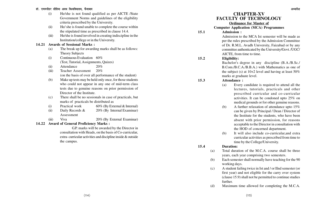- (i) He/she is not found qualified as per AICTE /State Government Norms and guidelines of the eligibility criteria prescribed by the University.
- (ii) He/ she is found unable to complete the course within the stipulated time as prescribed in clause 14.4.
- (iii) He/she is found involved in creating indiscipline in the Institution/college or in the University.

### **14.21 Awards of Sessional Marks :**

- (a) The break up for awarding marks shall be as follows: Theory Subjects
- (i) Continuous Evaluation 60% (Test, Tutorial, Assignments, Quizes)
- (ii) Attendance 20%
- (iii) Teacher Assessment 20% (on the basis of over all performance of the student)
- (b) Make up tests may be held only once, for those students who could not appear in any one of mid-term class tests due to genuine reasons on prior permission of Director of the Institute.
- (c) There shall be no sessionals in case of practicals, but marks of practicals be distributed as
- (i) Practical work 60% (By External  $\&$  Internal)
- (ii) Daily Records  $\&$  20% (By Internal Examinar) Assessment
- (iii) Viva 20% (By External Examinar)

## **14.22 Award of General Proficiency Marks :**

G.P. marks will be awarded by the Director in consultation with Heads, on the basis of Co-curricular, extra- curricular activities and discipline inside & outside the campus.

# **CHAPTER-XV FACULTY OF TECHNOLOGY**

**Ordinance for Master of**

### **Computer Application (MCA) Programmes**

## **15.1 Admission :**

Admission to the MCA Ist semester will be made as per the rules prescribed by the Admission Committee of Dr. R.M.L. Avadh University, Faizabad or by any committee authenticated by the University/Govt. /UGC/ AICTE, from time to time.

## **15.2 Eligibility:**

Bachelor's degree in any discipline (B.A./B.Sc./ B.Com./B.C.A./B.B.A.) with Mathematics as one of the subject (s) at  $10+2$  level and having at least  $50\%$ marks at graduate level.

### **15.3 Attendance :**

- (a) Every candidate is required to attend all the lectures, tutorials, practicals and other prescribed curricular and co-curricular activities. It can be condoned upto 25% on medical grounds or for other genuine reasons.
- (b) A further relaxation of attendance upto 15% can be given by Principal / Dean / Director of the Institute for the students, who have been absent with prior permission, for reasons acceptable to the Director in consultation with the HOD of concerned department.
- (b) It will also include co-curricular,and extra curricular activities as prescribed from time to time by the College/University.

### **15.4 Duration:**

- (a) Total duration of the M.C.A. course shall be three years, each year comprising two semesters.
- (b) Each semester shall normally have teaching for the 90 working days.
- (c) A student failing twice in Ist and / or IInd semester (or first year) and not eligible for the carry over system (clause 15.9) shall not be permitted to continue studies further.
- (d) Maximum time allowed for completing the M.C.A.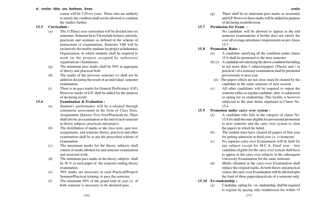course will be 5 (Five) years. Those who are unlikely to satisfy the conditon shall not be allowed to continue the studies further.

### **15.5 Curriculum :**

- (a) The 3 (Three) year curriculum will be divided into six semesters. Semester Ist to Vth include lectures, tutorials, practicals and seminars as defined in the scheme of instructions of examinations. Semester VIth will be exclusively devoted by students for project in Industries/ Organization, in which students shall be required to work on the projects assigned by industries/ organisations / Institutions.
- (g) The minimum pass marks shall be 50% in aggregate of theory and practical both.
- (h) The marks of the previous semester (s) shall not be added in declaring the result of an individual semester examination.
- (i) There is no pass marks for General Proficiency (G.P.) However marks of G.P. shall be added for the purpose of declaring result.

### **15.6 Examination & Evaluation :**

- (a) Student's performance will be evaluated through continuous assessment in the form of Class Tests, Assignments, Quizzes, Viva-Voce/Practicals etc. There shall also be an examination at the end of each semester in theory subjects, practicals and project.
- (b) The distribution of marks or the class tests, quiz test, assignments, end semester theory, practical and other examination shall be as per the prescribed scheme of examination.
- (c) The maximum marks for the theory subjects shall consist of marks allotted for end semester examination and sessional work.
- (d) The minimum pass marks in the theory subjects shall be 36 % in each paper of the semester ending theory examination.
- (e) 50% marks are necessary in each Practical/Project/ Seminor/Practical training, to pass the semester.
- (f) The minimum 50% of the grand total of year i.e. of both semester is necessary to be declared pass.

(g) There shall be no minimum pass marks in sessionals and G.P. However these marks will be added for purpose of declaring result/division.

### **15.7 Permission for Exam. :**

No candidate will be allowed to appear in the end semester examinations if he/she does not satisfy the over all average attendance requirements as per clause 15.3

- **15.8 Promotion Rules :**
	- (a) A candidate satisfying all the condition under clause 15.6 shall be promoted to the next semester.
	- (b) (i) A candidate not satisfying the above condition but failing in not more than 3 subjects/papers (Theory and / or practical ) of a semester examination shall be promoted provisionaly to next year.
		- (ii) The papers which are not clear, must be cleared by the candidate in the same semester of next session.
	- (c) All other candidates will be required to repeat the semester either as regular candidate, after re-admission or opting for ex-studentship. This facility is however subjected to the time limits stipulated in Clause No. 15.4

### **15.9 Promotion under carry over system :**

- (a) A candidate who fails in the category of clause No. 15.8 (b) shall become eligible for provisional promotion to next semester and the carry over system to clear the papers in which he failed.
- (b) The student must have cleared all papers of first year for getting admisson in third year i.e. (v)semester .
- (c) No separate carry-over Examintaion will be held for any subject except for M.C.A. Final year . Any candidate eligible for the carry-over system shall have to appear in the carry over subjects in the subsequent University Examination for the same semester.
- (d) Marks obtained in the carry-over Examination shall replace the original marks. In both theory and practical course, the carry-over Examination will be allowed upto the limit of three papers/practicals of a semester only.

### **15.10 Ex-studentship :**

(a) Candidate, opting for - ex- studentship, shall be required to register by paying only readmission fee within 15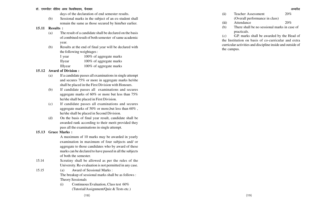#### डॉ. राममनोहर लोहिया अवध विश्वविघालय, फैजाबाद <del>कार कार्यकार कार्यकार कार्यकार कार्यकार</del> अध्यादेश अध्यादेश अध्यादेश

days of the declaration of end semester results.

(b) Sessional marks in the subject of an ex-student shall remain the same as those secured by him/her earlier.

#### **15.11 Results :**

- (a) The result of a candidate shall be declared on the basis of combined result of both semester of same academic year.
- (b) Results at the end of final year will be declared with the following weightages :

| I year         | 100% of aggregate marks |
|----------------|-------------------------|
| <b>I</b> Iyear | 100% of aggregate marks |

IIIyear 100% of aggregate marks

### **15.12 Award of Division :**

- (a) If a candidate passes all examinations in single attempt and secures 75% or more in aggregate marks he/she shall be placed in the First Division with Honours.
- (b) If candidate passes all examinations and secures aggregate marks of 60% or more but less than 75% he/she shall be placed in First Division.
- (c) If candidate passes all examinations and secures aggregate marks of 50% or more,but less than 60% , he/she shall be placed in Second Division.
- (d) On the basis of final year result, candidate shall be awarded rank according to their merit provided they pass all the examinations in single attempt.

### **15.13 Grace Marks :**

A maximum of 10 marks may be awarded in yearly examination in maximum of four subjects and/ or aggregate to those candidates who by award of these marks can be declared to have passed in all the subjects of both the semester.

- 15.14 Scrutiny shall be allowed as per the rules of the University. Re-evaluation is not permitted in any case.
- 15.15 (a) Award of Sessional Marks : The breakup of sessional marks shall be as follows : Theory Sessionals
	- (i) Continuous Evaluation, Class test 60% (Tutorial/Assignment/Quiz & Tests etc.)

(ii) Teacher Assessment 20%

- (Overall performance in class)
- (iii) Attendance 20%
- (b) There shall be no sessional marks in case of practicals.

(c) G.P. marks shall be awarded by the Head of the Institution on basis of co-curricular and extra curricular activities and discipline inside and outside of the campus.

(119)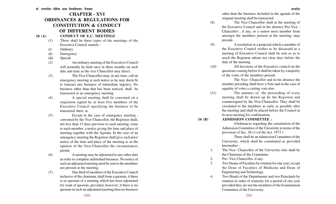## **CHAPTER - XVI ORDINANCES & REGULATIONS FOR CONSTITUTION & CONDUCT OF DIFFERENT BODIES 16 (A) CONDUCT OF E.C. MEETINGS**

- (1) There shall be three types of the meetings of the Executive Council, namely :
- (i) Ordinary
- (ii) Emergency
- (iii) Special
- (2) An ordinary meeting of the Executive Council will normally be held once in three months on such date and time as the vice Chancellor may direct.
- (3) The Vice-Chancellor may, at any time, call an emergency meeting at such notice as he may deem fit to transact any business of immediate urgency. No business other than that has been noticed, shall be transacted at an emergency meeting.
- 

(4) A special meeting shall be convened on a requisiton signed by at least five members of the Executive Council specifying the business to be transacted there at.

(5) Except in the case of emergency meeting , convened by the Vice-Chancellor, the Registrar shall, not less than 15 days previous to each meeting, issue to each member, a notice giving the time and place of meeting together with the Agenda. In the case of an emergency meeting the Registrar shall give such prior notice of the time and place of the meeting as in the opinion of the Vice-Chancellor the circumstances permit.

(6) A meeting may be adjourned to any other date in order to complete unfinished business. No notice of such an adjourned meeting need be sent to the members not present at the meeting.

(7) One third of members of the Executive Council inclusive of the chairman, shall form a quorum, if there is no quorum of a meeting which has been adjourned for want of quorum, provided, however, if there is no quorum in such an adjourned meeting then no business

other than the business included in the agenda of the original meeting shall be transacted.

- (8) The Vice-Chancellor shall at the meeting of the Executive Council and in his absence Pro-Vice - Chancellor , if any, or a senior most member from amongst the members present at the meeting, may preside.
- (9) A resolution or a proposal which a member of the Executive Council wishes to be discussed in a meeting of Executive Council shall be sent so as to reach the Registrar atleast ten clear days before the date of the meeting.
- (10) All decisions of the Executive council on the questions coming before it shall be taken by a majority of the votes of the members present.

The Vice- Chancellor and in his absence the member presiding shall have a Vote and in the case of equality of votes a casting vote also.

- (11) The minutes of the proceeding of every meeting shall be drawn up by the Registrar and countersigned by the Vice-Chancellor. They shall be circulated to the members as early as possible after the meeting and shall be placed before the Council at its next meeting for confirmation.
- **16 (B) ADMISSION COMMITTEE :**

(Ordinances regarding the constitution of the Admission Committee of the University in terms of the provision of Sec. 28 (1) of the Act. 1973 )

There shall be an Admission Committee of the University, which shall be constituted as provided hereinafter :

1. The Vice- Chancellor of the University who shall be the Chairman of the Committee.

2. Pro-Vice Chancellor, if any,

- 3. Two Deans of Faculties by rotation for one year, except the Dean of Faculties of Medicine and Dean of Engineering and Technology.
- 4. Two Heads of the Departments and two Principals by rotation in order of seniority for a period of one year provided they are not the members of the Examination Committee of the University.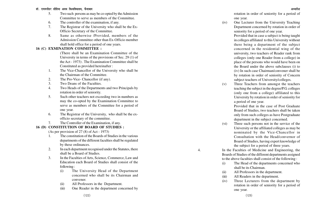#### डॉ. राममनोहर लोहिया अवध विश्वविघालय, फैजाबाद <del>कार कार्यकार कार्यकार कार्यकार कार्यकार</del> अध्यादेश अध्यादेश अध्यादेश

- 5. Two such persons as may be co-opted by the Admission Committee to serve as members of the Committee.
- 6. The controller of the examination, if any.
- 7. The Registrar of the University who shall be the Ex-Officio Secretary of the Committee.
- 8. Same as otherwise /Provided, members of the Admission Committee other than Ex-Officio member shall hold office for a period of one years.

## **16 (C) EXMINATION COMMITTEE :**

(There shall be an Examination Committee of the University in terms of the provisions of Sec. 29 (1) of the Act - 1973) . The Examination Committee shall be Constituted as provided hereinafter :

- 1. The Vice-Chancellor of the University who shall be the Chairman of the Committee.
- 2. The Pro-Vice- Chancellor (if any).
- 3. Two Deans of the Faculties.
- 4. Two Heads of the Departments and two Principals by rotation in order of seniority.
- 5. Such other teachers not exceeding two in numbers as may the co-opted by the Examination Committee to serve as members of the Committee for a period of one year.
- 6. The Registrar of the University, who shall be the exofficio secretary of the committee.
- 7. The Controller of the Examination, if any.

## **16 (D) CONSTITUTION OF BOARD OF STUDIES :**

(As per provision of 27 (8) of Act - 1973)

- 1. The constitution of the Boards of Studies in the various departments of the different faculties shall be regulated by these ordinances.
- 2. In each department recognised under the Statutes, there shall be a Board of Studies.
- 3. In the Faculties of Arts, Science, Commerce, Law and Education each Board of Studies shall consist of the following :
	- (i) The University Head of the Department concerned who shall be its Chairman and convener.
	- (ii) All Professors in the Department.
	- (iii) One Reader in the department concerned by

rotation in order of seniority for a period of one year.

(iv) One Lecturer from the University Teaching Department concerned by rotation in order of seniority for a period of one year.

> Provided that in case a subject is being taught in colleges affiliated to this University without there being a department of the subject concerned in the residential wing of the university, two teachers of Reader rank from colleges (only one Reader from a college) in place of the persons who would have been on the Board under the above subclauses (i) to (iv) In such case Chairman/convener shall be by rotation in order of seniority of Concern subject teachers of University/colleges.

(v) Three Teachers from amongst the teachers teaching the subject in the degree/P.G. colleges (only one from a college) affiliated to this University by rotation in order of seniority for a period of one year.

Provided that in the case of Post Graduate Board of Studies, two teachers shall be taken only from such colleges as have Postgraduate department in the subject concerned.

- (vi) Three such persons not in the service of the University or the affiliated colleges as may be nominated by the Vice-Chancellor in Consultation with the Head/convernor of Board of Studies, having expert knowledge of the subject for a period of three years.
- 4. In the Faculties of Medicine and Engineering, the Boards of Studies of the different departments assigned to the above faculties shall consist of the following :
	- (i) The Head of the departments concerned who shall be its Chairman.
	- (ii) All Professors in the department.
	- (iii) All Readers in the department.
	- (iv) Three Lecturers from the department by rotation in order of seniority for a period of one year.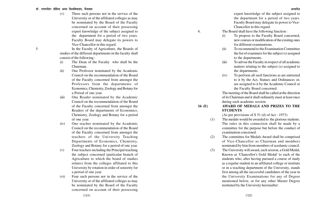#### डॉ. राममनोहर लोहिया अवध विश्वविघालय. फैजाबाद

(v) Three such persons not in the service of the University or of the affiliated colleges as may be nominated by the Board of the Faculty concerned on account of their possessing expert knowledge of the subject assigned to the department for a period of two years. Faculty Board may delegate its powers to Vice-Chancellor in this regard.

5. In the Faculty of Agriculture, the Boards of studies of the different departments in the faculty shall consist of the following :

- (i) The Dean of the Faculty who shall be the Chairman.
- (ii) One Professor nominated by the Academic Council on the recommendation of the Board of the Faculty concerned from amongst the Professors from the departments of Economics, Chemistry, Zoology and Botany for a Period of one year.
- (iii) One Reader nominated by the Academic Council on the recommendation of the Board of the Faculty concerned from amongst the Readers of the departments of Economics, Chemistry, Zoology and Botany for a period of one year.
- (iv) One teacher nominated by the Academic Council on the recommendation of the Board of the Faculty concerned from amongst the teachers of the University Teaching Departments of Economics, Chemistry, Zoology and Botany for a period of one year.
- (v) Four teachers including the Principal teaching the subject concerned (particular branch of Agriculture to which the board of studies relates) from the colleges affiliated to this University by rotation in order of seniority for a period of one year.
- (vi) Four such persons not in the service of the University or of the affiliated colleges as may be nominated by the Board of the Faculty concerned on account of their possessing

expert knowledge of the subject assigned to the department for a period of two years. Faculty Board may delegate its power to Vice-Chancellor in this regard.

- 6. The Board shall have the following function :
	- (i) To propose to the Faculty Board concerned, new courses or modification of the existing ones for different examinations.
	- (ii) To recommend to the Examination Committee the list of examiners for the subject (s) assigned to the departments.
	- (iii) To advise the Faculty in respect of all academic matters relating to the subject (s) assigned to the departments.
	- (iv) To perform all such functions as are entrusted to it by the Act, Statues and Ordinances or, are assigned to it by the Academic Council or the Faculty Board concerned.

The meeting of the Board shall be called at the direction of its Chairman and it shall ordinarily meet at least once during each academic session.

**16 (E) AWARD OF MEDALS AND PRIZES TO THE STUDENTS**

(As per provisions of S 51 (d) of Act - 1973)

- (1) The medals would be awarded to the glorious students. The rules in this connection shall be made by a committee for the purpose but before the conduct of examination concerned.
- (2) The committee for Medals Award shall be comprised of Vice-Chancellor as Chairman and members nominated by him from members of acedamic council.
- (3) The University will award, each session, a Gold Medal, Known as 'Chancellor's Gold Medal' to each of the students who, after having pursued a course of study as a regular student in an affiliated college or institute or in a teaching department of the University, stands first among all the successful candidates of the year in the University Examinations for any of Degree mentioned below, or for any other Master Degree instituted by the University hereinafter: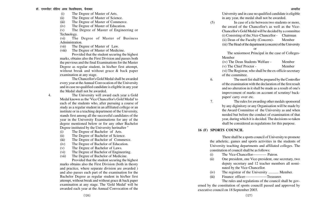- (i) The Degree of Master of Arts.
- (ii) The Degree of Master of Science.
- (iii) The Degree of Master of Commerce.
- (iv) The Degree of Master of Education.

(v) The Degree of Master of Engineering or Technology.

(vi) The Degree of Master of Business Administration.

- (vii) The Degree of Master of Law.
- (viii) The Degree of Master of Medicine.

Provided that the student securing the highest marks, obtains also the First Division and passes both the previous and the final Examinations for the Master Degree as regular student, in his/her first attempt, without break and without grace & back paper examination at any stage.

The Chancellor's Gold Medal shall be awarded every year at the Annual Convocation of the University and in case no qualified candidate is eligible in any year the Medal shall not be awarded.

4. The University will award each year a Gold Medal known as the 'Vice Chancellor's Gold Medal' to each of the students who, after pursuing a course of study as a regular student in an affiliated college or an institute or in a teaching department of the University, stands first among all the successful candidates of the year in the University Examinations for any of the degree mentioned below or for any other Bachelor Degree instituted by the University herinafter "

- (i) The Degree of Bachelor of Arts.
- (ii) The Degree of Bachelor of Science.
- (iii) The Degree of Bachelor of Commerce.
- (iv) The Degree of Bachelor of Education.
- (v) The Degree of Bachelor of Laws.
- (vi) The Degree of Bachelor of Engineering.
- (vii) The Degree of Bachelor of Medicine.

Provided that the student securing the highest marks obtains also the First Division (both in theory and practice, where separate division are awarded ) and also passes each part of the examination for the Bachelor Degree as regular student in his/her first attempt, without break and without grace & back paper examination at any stage. The 'Gold Medal' will be awarded each year at the Annual Convocation of the University and in case no qualified candidate is eligible in any year, the medal shall not be awarded.

(5) In case of a tie between two students or more, the award of the Chancellor's as well as the Vice-Chancellor's Gold Medal will be decided by a committee (i) Consisting of the,Vice-Chancellor - Chairman (ii) Dean of the Faculty (Concern)- Member (iii) The Head of the department (concern) of the University

or

 The seniormost Principal in the case of Colleges-Member

(iv) The Dean Students Welfare - Member

(v) The Chief Proctor - Member

(vi) The Registrar, who shall be the ex-officio secretary of the committee.

6. The merit list shall be prepared by the Controller of the examination with the declaration of the first result and no alteration in it shall be made as a result of one's improvement of marks on account of scrutiny/ backpaper/ carry over etc.

7. The rules for awarding other medals sponsored by any diginitory or any Organisation will be made by the Award Committee of the University as and when needed but before the conduct of examination of that year, during which it is decided. The decisions so taken shall be considered as regulations for this purpose.

#### **16 (F) SPORTS COUNCIL**

There shall be a sports council of University to promote the atheletic, games and sports activities in the students of University teaching departments and affiliated colleges. The constitution of council shall be as follows:

- (i) The Vice-Chancellor----------- Patron.
- (ii) One president, one Vice-president, one secretary, two deputy secretary and 12 teacher members all nominated by the Vice-Chancellor.
- (iv) The registrar of the University ........... Member.
- (iii) Finance officer------------------Treasurer.

The rules and regulations of the council shall be governed by the constitution of sports councill passed and approved by executive council on 18 September 2003.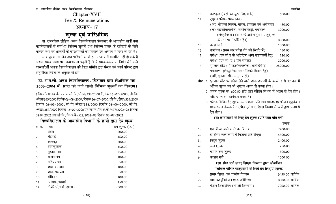Chapter-XVII Fee & Remunerations

# **31ध्याय-17**

# शुल्क एवं पारिश्रमिक

डा. राममनोहर लोहिया अवध विश्वविद्यालय फैजाबाद के आवासीय छात्रों तथा महाविद्यालयों से संबंधित विभिन्न शुल्कों तथा विभिन्न प्रकार के दायित्वों के लिये मानदेय तथा परीक्षाकार्यों के पारिश्रमिकों का विवरण इस अध्याय में दिया जा रहा है। अन्य शुल्क, मानदेय तथा पारिश्रमिक जो इस अध्याय में समाहित नहीं हो सके हैं अथवा समय समय पर आवश्यकता पड़ती है तो वे समय-समय पर निर्गत होने वाले 'शासनादेशों अथवा विश्वविद्यालय की वित्त समिति द्वारा संस्तुत एवं कार्य परिषद द्वारा अनुमोदित निर्देशों के अनुसार ही होंगें।

## <u>डॉ. रा.म.लो. अवध विश्वविद्यालय, फैजाबाद द्वारा शैक्षणिक सत्र</u> 2003-2004 में प्राप्त की जाने वाली विभिन्न शुल्कों का विवरण।

(विश्वविद्यालय के पत्रांक लो.वि./लेखा/333/2000 दिनांक 26-07-2000, लो.वि. /लेखा/355/2000 दिनांक 06-09-2000, दिनांक 26-07-2000, लो.वि./लेखा/355/2000 दिनांक 06-09-2000, लो वि./लेखा/356/2000 दिनांक 06-09-2000, लो वि. /लेखा/357/2000 दिनांक 13-09-2000 एवं लो.वि./वि.अ.के./427/2002-03 दिनांक 08.04.2002 तथा लो.वि./वि.अ.बै./522/2002-03 दिनांक 05-07-2002

## **faश्वविद्यालय के आवासीय विभागों के छात्रों द्वारा देय शुल्क**

| क्र.सं. | मद                     | देय शुल्क (रू.) |
|---------|------------------------|-----------------|
| 1.      | प्रवेश                 | 500.00          |
| 2.      | मॅहगाई                 | 150.00          |
| 3.      | खेलकूद                 | 200.00          |
| 4.      | सांस्कृतिक             | 150.00          |
| 5.      | पुस्तकालय              | 250.00          |
| 6.      | वाचनालय                | 100.00          |
| 7.      | परिचय पत्र             | 50.00           |
| 8.      | छात्र-कल्याण           | 100.00          |
| 9.      | छात्र-सहायता           | 50.00           |
| 10.     | सेमिनार                | 100.00          |
| 11.     | अध्ययन/सामग्री         | 150.00          |
| 12.     | लेबोरेटरी/प्रयोगशाला - | 8000.00         |

| 13. | कम्प्यूटर (जहाँ कम्प्यूटर शिक्षण है)                                                    | 600.00          |
|-----|-----------------------------------------------------------------------------------------|-----------------|
| 14. | ट्यूशन फीस- परास्नातक-                                                                  |                 |
|     | (अ) भौतिकी विज्ञान, गणित, इतिहास एवं अर्थशास्त्र                                        | 480.00          |
|     | ( ब) माइक्रोबायलोजी, बायोकमेस्ट्री, पर्यावरण,                                           | 3000.00         |
|     | इलेक्ट्रानिक्स (शासन के आदेशानुसार 3 जून, 95                                            |                 |
|     | के स्तर पर निर्धारित है।)                                                               | 8000.00         |
| 15. | काशनमनी                                                                                 | 1000.00         |
| 16. | नामॉकन (प्रथम बार प्रवेश लेने की स्थिति में)                                            | 150.00          |
| 17. | परीक्षा (एम.बी.ए के अतिरिक्त अन्य पाट्यक्रमों हेतु)                                     | 750.00          |
|     | परीक्षा (एम.बी .ए.) प्रति सेमेस्टर                                                      | 2000.00         |
| 18. | भुगतान सीट : (माइक्रोबायलोजी, बायोकेमेस्ट्री                                            | 25000.00        |
|     | पर्यावरण, इलेक्ट्रानिक्स एवं भौतिकी विज्ञान हेतु)                                       |                 |
|     | (यदि भुगतान सीट अनुमन्य हों)                                                            |                 |
|     | <b>नोट</b> : 1. भुगतान सीट पर प्रवेश लेने वाले छात्र-छात्राओं के क्र.सं. 1 से 17 तक में |                 |
|     | अंकित शुल्क का भी भुगतान अलग से करना होगा।                                              |                 |
|     | 2. भ्रमण शुल्क रू. 600.00 प्रति छात्र वाँछित विभाग में अलग से देय होगा।                 |                 |
|     | यदि भ्रमण का कार्यक्रम बनता है।                                                         |                 |
|     | 3. फोल्ड विजिट हेतु शुल्क रू. 300.00 प्रति छात्र एम.ए. एक्सटेंशन एजुकेशन                |                 |
|     | एण्ड रूरल डेवलपमेन्ट (प्रौढ़ एवं सतत् शिक्षा विभाग के छात्रों द्वारा अलग से             |                 |
|     | देय होगा।                                                                               |                 |
|     | (ब) छात्रावासों के लिए देय शुल्क (प्रति छात्र प्रति वर्ष)                               |                 |
|     |                                                                                         | रूपया           |
| 1.  | एक शैय्या वाले कमरे का किराया                                                           | 7200.00         |
| 2.  | दो शैय्या वाले कमरे में किराया प्रति शैय्या                                             | 4800.00         |
| 3.  | विद्युत शुल्क                                                                           | 2400.00         |
| 4.  | जल शुल्क                                                                                | 750.00          |
| 5.  | कामन रूम शुल्क                                                                          | 500.00          |
| 6.  | काशन मनी                                                                                | 1000.00         |
|     | (स) प्रौढ एवं सतत् शिक्षा विभाग द्वारा संचाजित                                          |                 |
|     | स्ववित्त पोषित पाठ्यक्रमों के लिये देय शिक्षण शुल्क                                     |                 |
| 1.  | प्रसार शिक्षा एवं ग्रामीण विकास                                                         | 3450.00 वार्षिक |
| 2.  | मास कम्यूनिकेशन एण्ड जर्नेलिज्म                                                         | 8000.00 वार्षिक |
| 3.  | फैशन डिजाइनिंग (पी.जी डिप्लोमा)                                                         | 7000.00 वार्षिक |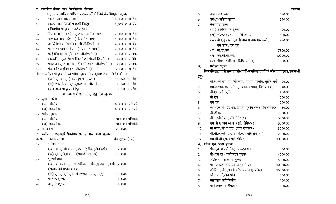|        | षा.टक एव एम.सा.ए. हुतु दुव शुल्क                     |                    |
|--------|------------------------------------------------------|--------------------|
|        | 1. ट्यूशन फोस                                        |                    |
|        | (अ) बी.टेक                                           | 37000.00 प्रतिवर्ष |
|        | (ब) एम.सी.ए.                                         | 37000.00 प्रतिवर्ष |
|        | 2. परीक्षा शुल्क                                     |                    |
|        | (अ) बी.टेक                                           | 3000.00 प्रतिसेमे. |
|        | (ब) एम.सी.ए.                                         | 3000.00 प्रतिसेमे. |
| 3.     | काशन मनी                                             | 2000.00            |
|        | 2. व्यक्तिगत/भूतपूर्व/बैकपेपर परीक्षा एवं अन्य शुल्क |                    |
| क्र.स. | कक्षा/परीक्षा                                        | देय शुल्क (रू.)    |
| 1.     | व्यक्तिगत छात्र                                      |                    |
|        | (अ) बी.ए./बी.काम. (प्रथम/द्वितीय/तृतीय वर्ष)         | 1200.00            |
|        | (ब) एम.ए./एम.काम. (पूर्वार्द्ध/उत्तरार्द्ध)          | 1500.00            |
| 2.     | भूतपूर्व छात्र                                       |                    |
|        | (अ) बी.ए./बी.एस-सी./बी.काम./बी.एड्./एल.एल.बी.1200.00 |                    |
|        | (प्रथम/द्वितीय/तृतीय वर्ष)                           |                    |
|        | (ब) एम.ए./एम.एस.-सी./एम.काम./एम.एड्.                 | 1500.00            |
| 3.     | प्राप्तांक शुल्क                                     | 100.00             |
| 4.     | अनुमति शुल्क                                         | 100.00             |
|        |                                                      |                    |

| (ब) एम.सी.जे., एम.एस.डब्लू., बी.-लिब् | 750.00 प्र.परीक्षा |
|---------------------------------------|--------------------|
| (स) अन्य पाठ्यक्रमों हेतु             | 350.00 प्र.परीक्षा |
| ਕੀ ਟੇਲ ਸਰੋਂ ਸ਼ੁਧ ਧੀ ਸੂ ਫੇਰ ਟੇਸ ਯੂਲਡ   |                    |

## (त्रिवर्षीय पाठ्यक्रम पार्ट टाइम) 3. बैचलर आफ लाइबेरी एण्ड इनफारमेशन साइंस 10,000.00 वार्षिक 4- dEI;wVj vIyhds'ku (ih-th-fMIyksek) 15]000-00 okf"kZd 5. आर्कियोलोजी डिप्लोमा (पी.जी.डिप्लोमा) 4,000.00 वार्षिक  $6.$  पालि एवं प्राकृत विज्ञान (पी.जी.डिप्लोमा)  $4,000.00$  वार्षिक 7. फाईनेन्सियल कन्ट्रोल (पी.जी.डिप्लोमा) 4,000.00 प्र.सेमे. 8. मारकेटिंग एण्ड सेल्स मैनेजमेन्ट (पी.जी.डिप्लोमा) 8000.00 प्र.सेमे. 9. yizama एण्ड आपरेशन मैनेजमेंन्ट (पी.जी.डिप्लोमा) 8000.00 प्र.सेमे. 10- QS'ku fMtkbfuax (ih-th-fMIyksek) 7000-00 okf"kZd नोट : उपरोक्त पाठ्यक्रमों का परीक्षा शुल्क नियमानुसार अलग से देय होगा। (v) ,e-ch-,- (ikVZVkbe ikB~;ÿe) 1500-00 iz-ijh{kk

(द) अन्य स्ववित्त पोषित पाठ्यक्रमों के लिये देय शिक्षण शल्क  $1.$  - मास्टर आफ सोशल वर्क - 2000-00 व्यार्षिक 2- ekLVj vkQ fcftusl ,MfefuLVs™'ku 10]000-00 okf"kZd

|                  | (स) बी.एड्./एल.एल.बी./एम.ए./एम.एस.-सी./                                     | 750.00   |
|------------------|-----------------------------------------------------------------------------|----------|
|                  | एम.काम./एम.एड्.                                                             |          |
|                  | (द) बी.डी.एस.                                                               | 7500.00  |
|                  | (य) एम.बी.बी.एस.                                                            | 10000.00 |
|                  | (र) लीगल इंगलिश (विधि परीक्षा)                                              | 500.00   |
| 3.               | परीक्षा शुल्क                                                               |          |
|                  | विश्वविद्यालय से सम्बद्ध संस्थानों/महाविद्यालयों के संस्थागत छात्र/छात्राओं |          |
| हेतु−            |                                                                             |          |
| 1.               | बी.ए./बी.एस-सी./बी.काम. (प्रथम, द्वितीय, तृतीय वर्ष) 450.00                 |          |
| 2.               | एम.ए./एम. एस-सी./एम.काम. (प्रथम, द्वितीय वर्ष)                              | 540.00   |
| 3.               | बी.एस-सी. कृषि                                                              | 450.00   |
| 4.               | बी.एड.                                                                      | 1000.00  |
| 5.               | एम.एड.                                                                      | 1200.00  |
| 6.               | एल-एल.बी. (प्रथम, द्वितीय, तृतीय वर्ष) प्रति सेमेस्टर                       | 450.00   |
| 7.               | बी.डी.एस.                                                                   | 7500.00  |
| 8.               | वी.ई./बी.टेक (प्रति सेमेस्टर)                                               | 3000.00  |
| 9.               | एम.बी.ए./एम.सी.ए. (प्रति सेमेस्टर)                                          | 3000.00  |
| 10.              | बी.फार्मा/बी.पी.एड. (प्रति सेमेस्टर)                                        | 3000.00  |
| 11.              | बी.बी.ए./बीसी.ए./बी.टी.ए. (प्रति सेमेस्टर)                                  | 2000.00  |
| 12.              | एम.बी.बी.एस. (प्रति सेमेस्टर)                                               | 10000.00 |
| 4.               | शोध एवं अन्य शुल्क                                                          |          |
| 1.               | पी-एच.डी./डी.लिट्. आवेदन पत्र                                               | 500.00   |
| 2.               | पी-एच.डी./ पंजीकरण शुल्क                                                    | 4000.00  |
| 3.               | डी.लिट. पंजीकरण शुल्क                                                       | 5000.00  |
| $\overline{4}$ . | पी- एच.डी शोध प्रबन्ध मूल्यॉकन                                              | 10000.00 |
| 5.               | डी.लिट./डी.एस.सी. शोध प्रबन्ध मूल्यॉकन                                      | 15000.00 |
| 6.               | अंक पत्र द्वितीय प्रति                                                      | 100.00   |
| 7.               | माइग्रेशन सार्टिफिकेट                                                       | 100.00   |

डॉ. राममनोहर लोहिया अवध विश्वविघालय, फैजाबाद <u>कार्य कार्यक्रम कार्यक्रम कार्यक्रम कार्यक्रम कार्यकर अध्यादेश अध्यादेश अध्यादेश अध्यादेश अध्यादेश अध्यादेश अध्यादेश अध्यादेश अध्यादेश अध्यादेश अध्यादेश अध्यादेश अध्यादेश अध्य</u>  $5.$  गामांकन शुल्क था साथ पाउँ विकास करने छ। अन्य पाउँ विकास करने छ। अन्य पाउँ विकास करने छ। अन्य पाउँ विकास क  $6.$  परीक्षा आवेदन शुल्क  $250.00$ (अ) आवेदन पत्र शुल्क<br>100.00 (ब) बी.ए./बी.एस-सी./बी.काम.<br>500.00

7. बैकपेपर परीक्षा

 $8.$  प्रोविजनल सार्टिफिकेट  $100.00$ 

(131)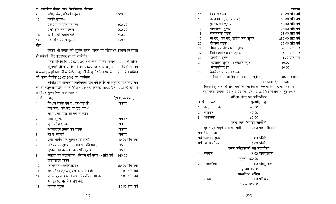### **MkW- jkeeuksgj yksfg;k vo/k fo'ofo?kky;] QStkckn v/;kns'k**

| 9.  | परीक्षा केन्द्र परिवर्तन शुल्क | 1000.00 |
|-----|--------------------------------|---------|
| 10. | उपाधि शुल्क–                   |         |
|     | (अ) प्रथम तीन वर्ष तक          | 300.00  |
|     | (ब) तीन वर्ष पश्चात्           | 500.00  |
| 11. | उपाधि को द्वितीय प्रति         | 750.00  |
| 12. | लघु शोध प्रबन्ध शुल्क          | 750.00  |
|     |                                |         |

<u>नाट</u>ः

fकसी भी प्रकार की शुल्क समय–समय पर संशोधित अथवा निर्धारित हो सकेंगी और तदनुसार ही ली जायेंगी।

वित्त समिति दि. 30.07.2003 तथा कार्य परिषद दिनांक ......... में पारित कुलपति जी के आदेश दिनांक 21.07.2003 के अनुपालन में विश्वविद्यालय से सम्बद्ध महाविद्यालयों में विभिन्न शुल्कों के पुननिर्धारण पर विचार हेतु गठित समिति को बैठक दिनांक 26.07.2003 का कार्यवृत्त

समिति द्वारा सम्यक् विचारोपरान्त लिए गये निर्णय के अनुसार विश्वविद्यालय की अधिसूचना संख्या अ.वि./शैक्ष./1244/92 दिनांक 18/22/07-1992 के क्रम में संशोधित शुल्क विवरण निम्नवत है

| क्र.स. | मद                                                  | देय शुल्क (रू.)  |
|--------|-----------------------------------------------------|------------------|
| 1.     | शिक्षण शुल्क एम.ए., एम-एस.सी.                       | यथावत            |
|        | एम.काम., एम.एड्, बी.एड, विधि                        |                  |
|        | बी.ए., बी.-एस-सी एवं बी.काम.                        |                  |
| 2.     | प्रवेश शुल्क                                        | यथावत            |
| 3.     | पुन: प्रवेश शुल्क                                   | यथावत            |
| 4.     | स्थानान्तरण प्रमाण पत्र शुल्क                       | यथावत            |
| 5.     | डी.ए. मॅहगाई                                        | यथावत            |
| 6.     | प्रवेश प्रार्थना पत्र शुल्क (साधारण)                | 10.00 प्रति एक   |
| 7.     | परिचय पत्र शुल्क (साधारण प्रति एक)                  | 15.00            |
| 8.     | पुस्तकालय कार्ड शुल्क (प्रति एक)                    | 15.00            |
| 9.     | स्नातक एवं परास्नातक (विज्ञान एवं कला) (प्रति वर्ष) | 240.00           |
|        | प्रयोगशाला विषय                                     |                  |
| 10.    | काशनमनी (प्रयोगशाला)                                | 50.00 प्रति एक   |
| 11.    | गृह परीक्षा शुल्क (जहा पर परीक्षा हो)               | 50.00 प्रति वर्ष |
| 12.    | क्रीडा शुल्क (रू. 15.00 विश्वविद्यालय का            | 50.00 प्रति वर्ष |
|        | रू. 35.00 महाविद्यालय का)                           |                  |
| 13.    | पत्रिका शुल्क                                       | 30.00 प्रति वर्ष |

| 14.                           | विकास शुल्क                                                            | 80.00 प्रति वर्ष       |  |
|-------------------------------|------------------------------------------------------------------------|------------------------|--|
| 15.                           | काशनमनी (पुस्तकालय)                                                    | 30.00 प्रति वर्ष       |  |
| 16.                           | पुस्तकालय शुल्क                                                        | 50.00 प्रति वर्ष       |  |
| 17.                           | वाचनालय शुल्क                                                          | 25.00 प्रति वर्ष       |  |
| 18.                           | सांस्कृतिक शुल्क                                                       | 25.00 प्रति वर्ष       |  |
| 19.                           | बी.एड्., एम.एड्, सत्रीय कार्य शुल्क                                    | 250.00 प्रति वर्ष      |  |
| 20.                           | दीक्षान्त शुल्क                                                        | 25.00 प्रति वर्ष       |  |
| 21.                           | ग्रीष्म एवं शीतकालीन शुल्क                                             | 6.00 प्रति माह         |  |
| 22.                           | निर्धन छात्र सहायता शुल्क                                              | 3.00 प्रति माह         |  |
| 23.                           | टेलीगेसी शुल्क                                                         | 4.00 प्रति माह         |  |
| 24.                           | अग्रसारण शुल्क (स्नातक हेतु)                                           | 40.00                  |  |
|                               | स्नातकोत्तर हेतु                                                       | 60.00                  |  |
| 25.                           | बैकपेपर अग्रसारण शुल्क                                                 |                        |  |
|                               | व्यक्तिगत परीक्षार्थियों के समान ) उपर्युक्तानुसार                     | 40.00 स्नातक           |  |
|                               |                                                                        | स्नातकोत्तर हेतु 60.00 |  |
|                               | विश्वविद्यालयों के अध्यापकों/कर्मचारियों के लिए पारिश्रमिक का निर्धारण |                        |  |
|                               | शासनादेश संख्या 1011/15 (उ.शि.-97-15(32)/81 दिनांक 4 जून 1997          |                        |  |
|                               | परीक्षा केन्द्र पर पारिश्रमिक                                          |                        |  |
| क्र.सं.                       | पुनरीक्षित शुल्क<br>मद                                                 |                        |  |
| 1.                            | कक्ष निरीक्षकृ<br>40.00                                                |                        |  |
| 2. सहायक                      | 40.00                                                                  |                        |  |
| 3. अधीक्षक                    | 60.00                                                                  |                        |  |
|                               | केन्द्र व्यय (सेण्टर चार्जेज)                                          |                        |  |
|                               | 2.00 प्रति परीक्षार्थी<br>1.    तृतीय् एवं चतुर्थ श्रेणी कर्मचारी      |                        |  |
| प्रयोगिक परीक्षा              |                                                                        |                        |  |
|                               | प्रयोगशाला सहायक<br>10.00 प्रतिदिन                                     |                        |  |
|                               | प्रयोगशाला परिचर<br>6.00 प्रतिदिन                                      |                        |  |
| उत्तर पुस्तिकाओं का मूल्यांकन |                                                                        |                        |  |
| 1.                            | 6.00 प्रतिपुस्तिका<br>स्नातक                                           |                        |  |
|                               |                                                                        |                        |  |
| 2. स्नातकोत्तर                | न्यूनतम 150.00<br>10.00 प्रतिपुस्तिका                                  |                        |  |
|                               |                                                                        |                        |  |
|                               | न्यूनतम 150.0                                                          |                        |  |
|                               | प्रायोगिक परीक्षा                                                      |                        |  |
| 1.                            | 6.00 प्रतिछात्र<br>स्नातक                                              |                        |  |
|                               | न्यूनतम 300.00                                                         |                        |  |
|                               |                                                                        |                        |  |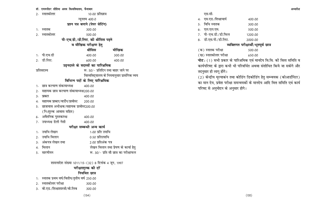#### डॉ. राममनोहर लोहिया अवध विश्वविघालय, फैजाबाद

| 2.               | स्नातकोत्तर                             | 10.00 प्रतिछात्र                   |                                            |
|------------------|-----------------------------------------|------------------------------------|--------------------------------------------|
|                  |                                         | न्यूनतम 400.0                      |                                            |
|                  |                                         | प्रश्न पत्र बनाने (पेपर सेटिंग)    |                                            |
| 1.               | स्नातक                                  | 300.00                             |                                            |
| 2.               | स्नातकोत्तर                             | 500.00                             |                                            |
|                  |                                         | पी-एच.डी./डी.लिट. की थीसिस पढ़ने   |                                            |
|                  |                                         | व मौखिक परीक्षण हेतु               |                                            |
|                  |                                         | थीसिस                              | मौखिक                                      |
| 1.               | पी.एच.डी                                | 400.00                             | 300.00                                     |
| 2.               | डी.लिट.                                 | 600.00                             | 400.00                                     |
|                  |                                         | उड़नदस्ते के सदस्यों का पारिश्रमिक |                                            |
|                  | प्रतिसदस्य                              |                                    | रू. 50/- प्रतिदिन तथा बाहर जाने पर         |
|                  |                                         |                                    | विश्वविद्यालय के नियमानुसार प्रासंगिक व्यय |
|                  |                                         | विभिन्न पदों के लिए पारिश्रमिक     |                                            |
| 1.               | छात्र कल्याण संकायाध्यक्ष               | 400.00                             |                                            |
| 2.               | सहायक छात्र कल्याण संकायाध्यक्ष200.00   |                                    |                                            |
| 3.               | प्राक्टर                                | 400.00                             |                                            |
| 4.               | सहायक प्राक्टर/वार्डेन/प्रावोस्ट        | 200.00                             |                                            |
| 5.               | छात्रावास अधीक्षक/सहायक प्रावोस्ट200.00 |                                    |                                            |
|                  | (नि:शुल्क आवास सहित)                    |                                    |                                            |
| 6.               | अवैतनिक पुस्तकाध्क्ष                    | 400.00                             |                                            |
| 7.               | उपाध्यक्ष डेली गेसी                     | 400.00                             |                                            |
|                  |                                         | परीक्षा सम्बन्धी अन्य कार्य        |                                            |
| 1.               | उपाधि लेखन                              | 1.00 प्रति उपाधि                   |                                            |
| 2.               | उपाधि मिलान                             | 0.50 प्रतिउपाधि                    |                                            |
| 3.               | अंकपत्र लेखन तथा                        | 2.00 प्रतिअंक पत्र                 |                                            |
| $\overline{4}$ . | मिलान                                   |                                    | लेखन मिलान तथा प्रेषण के कार्या हेतु       |
| 5.               | सारणीयन                                 |                                    | रू. 30/- प्रति सौ छात्र का परीक्षाफल       |
|                  |                                         |                                    |                                            |

शासनादेश संख्या 1011/15-(32) 8 दिनांक 4 जून, 1997

# परीक्षाशुल्क की दरें

### **नियमित छात्र**

- 1. स्नातक प्रथम वर्ष/वितीय/तृतीय वर्ष 250.00
- 2- LukrdksRrj ijh{kk 300-00
- 3. बी.एड./शिक्षाशास्त्री/बी.लिब 300.00

## एस.सी.

| 4. एम.एड./शिक्षाचार्य | 400.00  |
|-----------------------|---------|
| 5.   विधि स्नातक      | 300.00  |
| 6. एल.एल.एम.          | 500.00  |
| 7. पी−एच.डी./डी.फिल   | 1200.00 |
| 8. डी.एस.पी./डी.लिट.  | 2000.00 |

## **व्यक्तिगत परीक्षार्थी/भूतपूर्व छात्र**

(d) Lukrd ijh{kk 500-00 ([k) LukrdksRrj ijh{kk 650-00

**नोट:** (1) सभी प्रकार के पारिश्रमिक एवं मानदेय वि.वि. की वित्त समिति व कार्यपरिषद के द्वारा कभी भी परिवर्धित अथवा संशोधित किये जा सकेगे और तदनुसार ही लागू होंगे।

(2) केन्द्रीय मूल्याकंन तथा कोडिंग डिकोडिंग हेतु सम्न्वयक (कोआर्डोनेटर) का मान देय, प्रवेश परीक्षा समन्वयकों के मानदेय आदि वित्त समिति एवं कार्य परिषद से अनुमोदन के अनुसार होगे।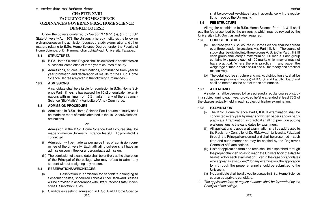## **CHAPTER-XVIII FACULTY OF HOME SCIENCE ORDINANCES GOVERNING B.S** c**. HOME SCIENCE DEGREE COURSE**

Under the powers conferred by Section 37 & 51 (b), (c), (j) of UP State University Act 1973, the University hereby institutes the following ordinances governing admission, courses of study, examination and other matters relating to B.Sc. Home Science Degree, under the Faculty of Home Science, of Dr. Rammanohar Lohia Avadh University, Faizabad.

### **18.1 STRUCTURES**

- (i) B.Sc. Home Science Degree shall be awarded to candidates on successful completion of three years courses of study.
- (ii) Admissions, studies, examinations, continuance from year to year promotion and declaration of results for the B.Sc. Home Science Degree are given in the following Ordinances :-

### **18.2 ADMISSIONS**

A candidate shall be eligible for admission in B.Sc. Home Science Part I, if he/she has passed the 10+2 or equivalent examinations with minimum of 45% marks in any of the streams - Science (Bio/Math's) / Agriculture/ Arts / Commerce.

### **18.3 ADMISSION PROCEDURE**

(i) Admission in B.Sc. Home Science Part I course of study shall be made on merit of marks obtained in the 10+2 equivalent examinations.

### **or**

Admission in the B.Sc. Home Science Part I course shall be made on merit in University Entrance Test (U.E.T.) provided it is conducted.

- (ii) Admission will be made as per guide lines of admission committee of the university. Each affiliating college shall have an admission committee for undergraduate admission.
- (iii) The admission of a candidate shall be entirely at the discretion of the Principal of the college who may refuse to admit any student without assigning any reason.

### **18.4 RESERVATIONS/WEIGHTAGES**

- (i) Reservation in admission for candidate belonging to Scheduled castes, Scheduled Tribes & Other Backward Classes will be provided in accordance with Uttar Pradesh State Universities Reservation Rules
- Candidates seeking admission in B.Sc. Part I Home Science

shall be provided weightage if any in accordance with the regulations made by the University.

### **18.5 FEE STRUCTURE**

All regular candidates fo B.Sc. Home Science Part I, II, & III shall pay the fee prescribed by the university, which may be revised by the University / U.P. Govt. as and when required.

## **18.6 COURSE OF STUDY**

- (a) The three-year B.Sc. course in Home Science shall be spread over three academic sessions viz. Part I, II, & III. The course of study shall be divided into three groups A, B. & C in Part I, II & III each group shall carry a maximum of 200 marks. Each group contains two papers each of 100 marks which may or may not have practical. Where there is practical in any paper the weightage of marks shalls be 60 and 40 for theory and practical respectively.
- (b) The detail course structure and marks distribution etc. shall be as per regulations (minutes) of B.O.S. and Faculty Board and shall be treated as the part of these ordinances.

## **18.7 ATTENDANCE**

A student shall be deemed to have pursued a regular course of study in a subject during each year provided he/she attended at least 75% of the classes actually held in each subject of his/her examination.

## **18.8 EXAMINATION**

- (i) The B.Sc. Home Science Part I, II & III examination shall be conducted every year by means of written papers and/or partly practicals. Examination in practical shall not preclude putting oral questions to the candidates by examiners.
- (ii) All applications to appear at examination shall be addressed to the Registrar / Controller of Dr. RML Avadh University, Faizabad through the Principal concerned and shall be presented in such time and such manner as may be notified by the Registrar / Controller of Examinations.
- (iii) His/her application form and fees shall be dispatched through the proper channel\* so as to reach the University on the date to be notified for each examination. Even in the case of candidates who appear as ex-student<sup>\*\*</sup> for any examination, the application form through the proper channel should be submitted to the University.
- (iv) No candidate shall be allowed to pursue in B.Sc. Home Science course as a private candidate.
- \* The application form of regular students shall be forwarded by the Principal of the college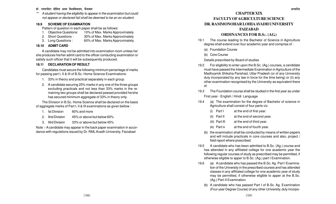\*\* A student having the eligibility to appear in the examination but could not appear or declared fail shall be deemed to be an ex-student.

#### **18.9 SCHEME OF EXAMINATION**

Pattern of question in each paper shall be as follows:

- 1. Objective Questions: 10% of Max. Marks Approximately
- 2. Short Questions : 30% of Max. Marks Approximately
- 3. Long Questions : 60% of Max. Marks Approximately.

### **18.10 ADMIT CARD**

A candidate may not be admitted into examination room unless he/ she produces his/her admit card to the officer conducting examination or satisfy such officer that it will be subsequently produced.

### **18.11 DECLARATION OF RESULT**

Candidates must secure the following minimum percentage of marks for passing part I, II & III of B.Sc. Home Science Examinations:

- 1. 33% in theory and practical separately in each group.
- 2. A candidate securing 25% marks in any one of the three groups excluding practicals and not less than 33% marks in the remaining two groups shall be declared passed provided he/she has secured minimum aggregate of 33% in theory only.

The Division in B.Sc. Home Science shall be declared on the basis of aggregate marks of Part I, II & III examinations as given bellow :

- 1. Ist Division 60% and more
- 2. IInd Division 45% or above but below 60%
- 3. IIIrd Division 33% or above but below 45%

Note :- A candidate may appear in the back paper examination in accordance with regulations issued by Dr. RML Avadh University, Faizabad

# **CHAPTER XIX FACULTY OFAGRICULTURE SCIENCE DR. RAMMONOHAR LOHIA AVADH UNIVERSITY**

## **FAIZABAD**

## **ORDINANCES FOR B.S** <sup>c</sup>**. (AG.)**

- 19.1 The course leading to the Bachelor of Science in Agriculture degree shall extend over four academic year and comprise of :
	- (a) Foundation Course
	- (b) Core Course

Details prescribed by Board of studies

- 19.2 For eligibility to enter upon the B.Sc. (Ag.) courses, a candidate must have passed the Intermediate Examination in Agriculture of the Madhyamik Shiksha Parishad, Uttar Pradesh (or of any University duly incorporated by any law in force for the time being) or (ii) any other examination recognised by the University as equivalent there of.
- 19.3 The Foundation course shall be studied in the first year as under First year - English / Hindi Language
- 19.4 (a) The examination for the degree of Bachelor of science in Agriculture shall consist of four parts viz.
	- $(i)$  Part I at the end of first year.
	- (ii) Part II at the end of second year.
	- (iii) Part III at the end of third year.
	- (iv) Part iv at the end of fourth year.
	- (b) the examination shall be conducted by means of written papers and will include practicals in core courses and also, project / field report where prescribed.
- 19.5 A candidate who has been admitted to B.Sc. (Ag.) course and has attended in any affiliated college for one academic year the following regular courses of study as prescribed may be permitted, if otherwise eligible to apper to B.Sc. (Ag.) part I Examination.
- $19.6$ (a) A candidate who has passed the B.Sc. Ag. Part I Examination of the University in the prescribed courses and has attended classes in any affiliated college for one academic year of study may be permitted, if otherwise eliglble to apper at the B.Sc. (Ag.) Part-II Examination.
	- (b) A candidate who has passed Part I of B.Sc. Ag. Examination (Four year Degree Course) of any other University, duly incorpo-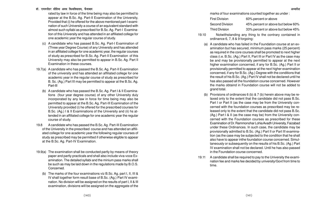rated by law in force of the time being may also be permitted to appear at the B.Sc. Ag. Part-II Examination of the University, Provided that (i) he offered for the above mentioned part-I examination of such University a course of an equivalent standard with almost such syllabi as prescribed for B.Sc. Ag. Part-I Examination of this University and has attended in an affiliated college for one academic year the regular course of study.

- (c) A candidate who has passed B.Sc. Ag. Part-I Examination of (Three year Degree Course) of any University and has attended in an affiliated college for one academic year, the regular courses of study as prescribed for B.Sc. Ag. Part-II Examination of this University may also be permitted to appear in B.Sc. Ag. Part II Examination in these courses.
- 19.7(a) A candidate who has passed the B.Sc. Ag. Part-II Examination of the university and has attended an affiliated college for one academic year in the regular course of study as prescribed for B. Sc. (Ag.) Part III may be permitted to appear at the B.Sc. Ag. Part-III
	- (b) A candidate who has passed the B.Sc. Ag. Part I & II Examinations (four year degree course) of any other University duly incorporated by any law in force for time being may also be permitted to appear at the B.Sc. Ag. Part-III Examination of the University provided (i) he offered for the prescribed courses for B.Sc. (Ag.) I & II Examinations of the University and (ii) hs attended in an affiliated college for one academic year the regular course of study.
- 19.8 A candidate who has passed the B.Sc. Ag. Part-III Examination of the University in the prescribed course and has attended an affiliated college for one academic year the following regular courses of study as prescribed may be permitted if otherwise eligible to appear at the B.Sc. Ag. Part-IV Examination.
- 19.9(a) The examination shall be conducted partly by means of theory paper and partly practicals and shall also include viva-voce Examination. The detailed syllabi and the minium pass marks shall be such as may be laid down in the regulations made by B.O.S. Concerned.
	- (b) The marks of the four examinations viz B.Sc. Ag. part I, II, III & IV shall together form result base of B.Sc. (Ag.) Part IV examination. No division will be assigned on the results of part I, II & III examination, divisions will be assigned on the aggregate of the

marks of four examinations counted together as under :

| <b>First Division</b> | 60% percent or above               |
|-----------------------|------------------------------------|
| Second Division       | 45% percent or above but below 60% |
| <b>Third Division</b> | 33% percent or above but below 45% |

- 19.10 Notwithstanding any thing to the contrary contained in ordinance 6, 7, 8 & 9 forgoing:
	- (a) A candidate who has failed in the Foundation course at an examination but has secured, minimum pass marks (25 percent) as required in the core courses shall be promoted to next higher class (i.e. B.Sc. (Ag.) Part II, Part III or Part IV as the case may be and may be provisionally permitted to appear at the next higher examination concerned, if any for B.Sc. (Ag.) Part II or provisionally permitted to appear at the next higher examination concerned, if any for B.Sc. (Ag.) Degree with the conditions that the result of his B.Sc. (Ag.) Part IV shall not be declared until he has also passed all the foundation course concerned. However the marks obtaind in Foundation course will not be added to grand total.
	- (b) Provisions of ordinances 6 (b) & 7 (b) herein above may be relaxed only to the extent that the candidate did not pass B.Sc. Part I or Part II (as the case may be from the University concerned with the foundation courses as prescribed may be released only to the extent that the candidate did not pass B.Sc. (Ag.) Part I & II (as the case may be) from the University concerned with the Foundation courses as prescribed for these Examination of Dr. Rammonohar Lohia Avadh University, Faizabad under these Ordinances. In such case, the candidate may be provisionally admitted to B.Sc. (Ag.) Part II or Part III examination (as the case may be subjected to the condition that he shall also have to appear inthe foundation course concerned. Simultaneously or subsequently on the results of his B.Sc. (Ag.) Part IV examination shall not be declared. Until he has also passed in the Foundation course concerned.
- 19.11 A candidate shall be required to pay to the University the examination fee and marks fee decided by university/Govt from time to time.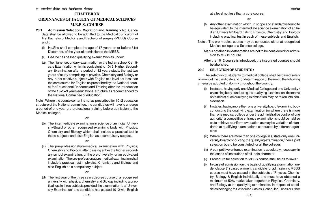# **CHAPTER XX ORDINANCES OF FACULTY OF MEDICAL SCIENCES M.B.B.S. COURSE**

- **20.1 Admission Selection. Migration and Training :-** No Candidate shall be allowed to be admitted to the Medical curriculum of first Bachelor of Medicine and Bachelor of surgery (MBBS) Course until :
	- (i) He/She shall complete the age of 17 years on or before 31st December, of the year of admission to the MBBS.
	- (ii) He/She has passed qualifying examination as under:
	- (a) The higher secondary examination or the Indian school Certificate Examination which is equivalent to 10+2 Higher Secondary Examination after a period of 12 years study, the last two years of study comprising of physics, Chemistry and Biology or any other elective subjects with English at a level not less than the core course for English as prescribed by the National council for Educational Research and Training after the introduction of the 10+2+3 years educational structure as recommended by the National Committee of education:

Note : Where the course content is not as prescribed for 10+2 education structure of the National committee, the candidates will have to undergo a period of one year pre-professional training before admission to the Medical colleges.

**or**

(b) The intermedidate examination in science of an Indian University/Board or other recognised examining body with Physics, Chemistry and Biology which shall include a practical test in these subjects and also English as a compulsory subject.

#### **or**

(c) The pre-professional/pre-medical examination with Physics, Chemistry and Biology, after passing either the higher secondary school examination, or the pre-university or an equivalent examination.The pre-professional/pre medical examination shall include a practical test in physics, Chemistry and Biology and also English as a compulsory subject.

## **or**

(d) The first year of the three years degree course of a recognized university with physics, chemistry and Biology including a practical test in three subjects provided the examination is a "University Examination" and candidate has passed 10+2 with English

at a level not less than a core course,

- (f) Any other examination which, in scope and standard is found to be equivalent to the intermediate science examination of an Indian University/Board, taking Physics, Chemistry and Biology including practical test in each of these subjects and English.
- Note :- The pre-medical course may be conducted either at recognised Medical college or a Science college.
	- Marks obtained in Mathematics are not to be considered for admission to MBBS course
	- After the 10+2 course is introduced, the integrated courses should be abolished.

### **20.2 SELECTION OF STUDENTS :**

The selection of students to medical college shall be based solely on merit of the candidate and for determination of the merit, the following criteria be adopted uniformly throughout the country.

- (i) In states, having only one Medical College and one University / examining body conducting the qualifying examination, the marks obtained at such qualifying examination may be taken into consideration.
- (ii) In states, having more then one university/board /examining body conducting the qualifying examination (or where there is more than one medical college under the administrative control of one authority) a competitive entrance examination should be held so as to achieve a uniform evaluation as may be variation of standards at qualifying examinations conducted by different agencies:
- (iii) Where there are more than one college in a state only one university/board conducting the qualifying examination, then a joint selection board be constituted for all the colleges
- (iv) A competitive entrance examination is absolutely necessary in the cases of institutions of all India character:
- (v) Procedure for selection to MBBS course shall be as follows :
- (i) In case of admission on the basis of qualifying examination under clause (1) based on merit, candidate for admission to MBBS course must have passed in the subjects of Physics, Chemistry, Biology & English individually and must have obtained a minimum of 50% marks taken together in Physics, Chemistry, and Biology at the qualifying examination. In respect of candidates belonging to Scheduled Castes, Scheduled Tribes or Other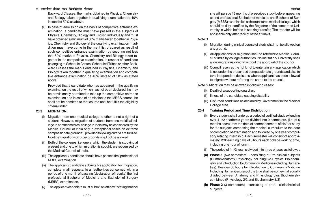Backward Classes, the marks obtained in Physics, Chemistry and Biology taken together in qualifying examination be 40% instead of 50% as above.

(ii) In case of admission on the basis of competitive entrance examination, a candidate must have passed in the subjects of Physics, Chemistry, Biology and English individually and must have obtained a minimum of 50% marks taken together in Physics, Chemistry and Biology at the qualifying examination in addition must have come in the merit list prepared as result of such competitive entrance examination by securing not less that 50% marks in Physics, Chemistry and Biology taken together in the competitive examination. In respect of candidate belonging to Schedule Castes, Scheduled Tribes or other Backward Classes the marks obtained in Physics, Chemistry and Biology taken together in qualifying examination and competitive entrance examination be 40% instead of 50% as stated above.

Provided that a candidate who has appeared in the qualifying examination the result of which has not been declared, he may be provisionally permitted to take up the competitive entrance examination and in case of admission to the MBBS course, he shall not be admitted to that course until he fulfils the eligibility criteria under.

## **20.3 MIGRATION :**

- (i) Migration from one medical college to other is not a right of a student. However, migration of students from one meidical college to another medical college in India may be considered by the Medical Council of India only in exceptional cases on extreme compassionate grounds\*, provided following criteria are fulfilled. Routine migrations on other grounds shall not be allowed.
- Both of the colleges, i.e. one at which the student is studying at present and one to which migration is sought, are recognised by the Medical Council of India.
- (iii) The applicant / candidate should have passed first professional MBBS examination.
- (iv) The applicant / candidate submits his application for migration, complete in all respects, to all authorities concerned within a period of one month of passing (declaration of results) the first professional Bachelor of Medicine and Bachelor of Surgery (MBBS) examination.
- (v) The applicant/candidate must submit an affidavit stating that he/

she will pursue 18 months of prescribed study before appearing at IInd professional Bachelor of medicine and Bachelor of Surgery (MBBS) examination at the transferee medical college, which should be duly certified by the Registrar of the concerned University in which he/she is seeking transfer. The transfer will be applicable only after receipt of the affidavit.

#### Note :1

- (i) Migration during clinical course of study shall not be allowed on any ground.
- (ii) All applications for migration shall be referred to Medical Council of India by college authorities. No institution/ University shall allow migrations directly without the approval of the council.
- (iii) Council reserves the right, not to entertain any application which is not under the prescribed compassionate grounds and also to take independent decisions where applicant has been allowed to migrate without referring the same to the council.

Note :2 Migration may be allowed in following cases:

- (i) Death of a supporting guardian.
- (ii) Illness of the candidate causing disability
- (iii) Disturbed conditions as declared by Government in the Medical College area.
- **20.4 Training Period and Time Distribution.**
	- Every student shall undergo a period of certified study extending over 4 1/2 academic years divided into 9 semesters, (i.e. of 6 months each) from the date of commencement of his/her study for the subjects comprising the medical curriculum to the date of completion of examination and followed by one year compulsory rotating internship. Each semester will consist of approximately 120 teaching days of 8 hours each college working time, including one hour of Iunch.
	- The period of 4 1/2 year is divided into three phases as follows :
	- **(a) Phase-1** (two semesters) consisting of Pre-clinical subjects (Human Anatomy, Physiology including Bio-Physics, Bio-chemistry and introduction to Community Medicine including Humanities). Besides 60 hours for introduction to Community Midicine Including Humanities, rest of the time shall be somewhat equally divided between Anatomy and Physiology plus Biochemistry combined (Physiology 2/3 and Biochemistry 1/3)
	- **(b) Phase-2** (3 semesters) consisting of para clinical/clinical subjects.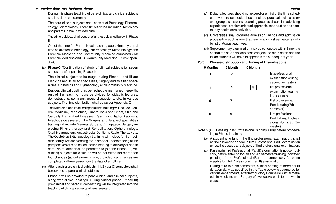## डॉ. राममनोहर लोहिया अवध विश्वविघालय. फैजाबाद <del>चार का सामान्य का सामान्य का सामान्य का सामान्य का सामान्य का सामान्य का अध्यादेश</del>

During this phase teaching of para-clinical and clinical subjects shall be done concurrently.

The para-clincial subjects shall consist of Pathology, Pharmacology, Microbiology, Forensic Medicine including Toxicology and part of Community Medicine.

The clinicl subjects shall consist of all those detailed below in Phase

Out of the time for Para-clinical teaching approximately equal time be allotted to Pathology, Pharmacology, Mircorbiology and Forensic Medicine and Community Medicine combined (1/3 Forensic Medicine and 2/3 Community Medicine) . See Appendix-C

**(c) Phase-3** (Continuation of study of clinical subjects for seven semesters after passing Phase-I)

The clinical subjects to be taught during Phase II and III are Medicine and its allied specialities, Sugery and its allied specialities, Obstetrics and Gynaecology and Community Medicine.

Besides clinical posting as per schedule mentioned herewith, rest of the teaching hours be divided for didactic lectures, demostrations, seminars, group discussions, etc. in various subjects. The time distribution shall be as per Appendix-C

The Medicine and its allied specialities training will include General Medicine, Paediatrics, Tuberculosis and Chest, Skin and Sexually Transmitted Diseases, Psychiatry, Radio-Diagnosis, Infectious diseses etc. The Surgery and its allied specialities training will include General Surgery, Orthopaedic Surgery including Physio-therapy and Rehabilitation, Ophthalmology, Otorhinolarngology, Anaesthesia, Dentistry, Radio-Therapy etc. The Obstetrics & Gynaecology tranining will include family medicine, family welfare planning etc. a broader understanding of the perspectives of medical education leading to delivery of health care. No student shall be permitted to join the Phase-II (Preclinical) subjects for which he will be permitted not more than four chances (actual examination), provided four chances are completed in three years from the date of enrollment.

(iv) After passing pre-clinical subjects, 1 1/2 year (3 semesters shall be devoted to para-clinical subjects.

Phase It will be devoted to para-clinical and clinical subjects, along with clinical postings. During clinical phase (Phase III) pre-clinical and paraclinical teaching will be integrated into the teaching of clinical subjects where relevant.

- (v) Didactic lectures should not exceed one third of the time schedule; two third schedule should include practicals, clinicals or/ and group discussions. Learning process should include living experiences, problem oriented approach, case studies and community health care activities.
- (vi) Universities shall organize admission timings and admission process4 in such a way that teaching in first semester strarts by Ist of August each year.
- (vii) Supplementary examination may be conducted within 6 months so that the students who pass can join the main batch and the failad students will have to appear in the subsequent year.

### **20.5 Phases distribution and Timing of Examilnations :**



- Note :- (a) Passing in 1st Professional is compulsory before proceeding to Phase II training.
	- (b) A student who fails in the IInd professional examination, shall not be allowed to appear in IIIrd Professional Part I examination unless he passes all subjects of IInd professional examination.
	- (c) Passing in IIIrd Professional (Part I|) examination is not compulsory, before entering for 8th and 9th semester training, however passing of IIIrd Professional (Part I) is compulsory for being elegible for IIIrd Professional (Part II) examination.

During third to ninth semesters, clinical posting of three hours duration daily as specified in the Table below is suggested for various departments, after Introductory Course in Clincial Methods in Medicine and Surgery of two weeks each for the whole class.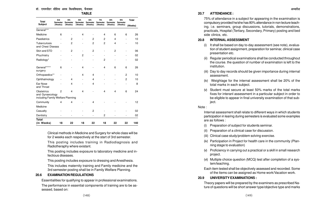## डॉ. राममनोहर लोहिया अवध विश्वविघालय. फैजाबाद <del>चार का साल का साल का साल का साल का साल का साल का साल का साल का प्र</del>

#### **TABLE**

| <b>Total</b>                                                       | 3rd<br>Semester              | 4th<br><b>Semester</b> | 5th<br><b>Semester</b> | 6th<br><b>Semester</b>       | 7th<br><b>Semester</b>   | 8th<br><b>Semester</b>   | 9th<br>Semester | <b>Total</b> |
|--------------------------------------------------------------------|------------------------------|------------------------|------------------------|------------------------------|--------------------------|--------------------------|-----------------|--------------|
| <b>Subject</b>                                                     | (Weeks)                      | (Weeks)                | (Weeks)                |                              | (Weeks)                  | (Weeks)                  | (Weeks)         | (Weeks)      |
| General***                                                         |                              |                        |                        |                              |                          |                          |                 |              |
| Medicine                                                           | 6                            |                        | 4                      |                              | 4                        | 6                        | 6               | 26           |
| Paediatrics                                                        |                              | 2                      |                        | 2                            | 2                        | 4                        |                 | 10           |
| Tuberculosis<br>and Chest Diseass                                  |                              | 2                      |                        | $\overline{c}$               | 2                        | 4                        |                 | 10           |
| Skin and STD                                                       |                              | 2                      |                        | 2                            | $\overline{\phantom{a}}$ | 2                        |                 | 06           |
| Phychiatry                                                         | $\qquad \qquad \blacksquare$ | $\overline{a}$         | 2                      | $\qquad \qquad \blacksquare$ | $\overline{\phantom{a}}$ | $\overline{\phantom{0}}$ | Ĭ.              | 02           |
| Radiology*                                                         |                              |                        |                        |                              | 2                        |                          |                 | 02           |
| General******<br>surgery                                           | 6                            |                        | 4                      |                              | 4                        | 6                        | 6               | 26           |
| Orthopaedics**                                                     |                              |                        | 4                      | 4                            |                          |                          | $\overline{c}$  | 10           |
| Ophthalmology                                                      |                              | 4                      |                        | 4                            |                          |                          | $\overline{c}$  | 10           |
| Ear Nose<br>and Throat                                             |                              | 4                      |                        | 4                            |                          |                          |                 | 8            |
| Obstetrics<br>and Gynaecology<br>including Family Welfare Planning | $\overline{2}$               | 4                      | 4                      |                              | $\overline{\mathbf{4}}$  | 4                        | 6               | 24           |
| Community                                                          | 4                            | 4                      |                        | 4                            |                          |                          |                 | 12           |
| Medicine                                                           |                              |                        |                        |                              |                          |                          |                 |              |
| Casualty                                                           |                              |                        |                        | $\overline{c}$               |                          |                          |                 | 02           |
| Dentistry                                                          |                              |                        |                        |                              | 2                        |                          |                 | 02           |
| <b>Total</b><br>(in Weeks)                                         | 18                           | 22                     | 18                     | 22                           | 18                       | 22                       | 22              | 140          |

Clinical methods in Medicine and Surgery for whole class will be for 2 weeks each respectively at the start of 3rd semester.

This posting includes training in Radiodiagnosis and Radiotheraphy where existant.

This posting includes exposure to laboratory medicine and infectious diseases.

This posting includes exposure to dressing and Anesthesia.

This includes maternity training and Family medicine and the 3rd semester posting shall be in Family Welfare Planning.

### **20.6 EXAMINATION REGULATIONS**

Essentialities for qualifying to appear in professional examinations.

The performance in essential components of training are to be assessed, based on:

## **20.7 ATTENDANCE :**

75% of attendance in a subject for appearing in the examination is compulsory provided he/she has 80% attendance in non lecture teaching. i.e. seminars, group discussions, tutorials, demonstrations, practicals, Hospital (Tertiary, Secondary, Primary) posting and bed side clinics, etc.

## **20.8 INTERNAL ASSESSMENT**

- (i) It shall be based on day to-day assessment (see note), evaluation of student assignment, preparation for seminar, clinical case presentation etc.
- (ii) Regular periodical examinations shall be conducted throughout the course. the question of number of examination is left to the institution.
- (iii) Day to day records should be given importance during internal assessment.
- (iv) Weightage for the internal assessment shall be 20% of the total marks in each subject.
- (v) Student must secure at least 50% marks of the total marks fixes for interanl assessment in a particular subject in order to be eligible to appear in final university examination of that subject.

### Note :

Internal assessment shall relate to different ways in which students participation in learing during semesters is evaluated some examples are as follows :

- (i) Preparation of subject for students seminar.
- (ii) Preparation of a clinical case for discussion.
- (iii) Clinical case study/problem solving exercise.
- (iv) Participation in Project for health care in the community (Planning stage to evaluation)
- (v) Proficiency in carrying out a practical or a skill in small research project.
- (vi) Multiple choice question (MCQ) test after completion of a system/teaching.

Each item tested shall be objectively assessed and recorded. Some of the items can be assigned as Home work/Vacation work.

## **20.9 UNIVERSITY EXAMINATIONS :**

Theory papers will be prepared by the examiners as prescribed Nature of questions will be short answer type/objective type and marks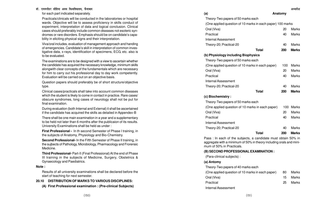for each part indicated separately.

Practicals/clinicals will be conducted in the laboratories or hospital wards. Objective will be to assess proficiency in skills conduct of experiment, interpretation of data and logical conclusion. Clinical cases should preferably include common diseases not esoteric syndromes or rare disorders. Emphasis should be on candidate's capability in eliciting physical signs and their interpretation.

Viva/oral includes, evaluation of management approach and handing of emergencies. Candidate's skill in interpretation of common investigative data, x-rays, identification of specimens, ECG, etc. also is to be evaluated.

The examinations are to be designed with a view to ascertain whether the candidate has acquired the necessary knowledge, minimum skills alongwith clear concepts of the fundamentals which are necessary for him to carry out his professional day to day work competently. Evaluation will be carried out on an objective basis.

Question papers should preferably be of short structure/objective type.

Clinical cases/practicals shall take into account common diseases which the student is likely to come in contact in practice. Rare cases/ obscure syndromes, long cases of neurology shall not be put for final examination.

During evaluation (both Internal and External) it shall be ascertained if the candidate has acquired the skills as detailed in Appendex-B

There shall be one main examination in a year and a supplementary to be held not later than 6 months after the publicaion of its results. University Examinations shall be held as under :

**First Professional -** In th second Semester of Phase I training, in the subjects of Anatomy, Physiology and Bio-Chemistry.

**Second Professional-** In the Fifth Semester of Phase II training, in the sujbects of Pathology, Microbiology, Pharmacology and Frorensic Medicine.

**Third Professional-** Part-II (Final Professional) At the end of Phase III training in the subjects of Medicine, Surgery, Obstetrics & Gynaecology and Paediatrics.

#### **Note :**

Results of all university examinations shall be declared before the start of teaching for next semester.

#### **20.10 DISTRIBUTION OF MARKS TO VARIOUS DISCIPLINES:**

**(A) First Professional examination : (Pre-clinical Subjects)**

| (a)                                                        | Anatomy |              |
|------------------------------------------------------------|---------|--------------|
| Theory-Two papers of 50 marks each                         |         |              |
| (One applied question of 10 marks in each paper) 100 marks |         |              |
| Oral (Viva)                                                | 20      | Marks        |
| Practical                                                  | 40      | <b>Marks</b> |
| <b>Internal Assessment</b>                                 |         |              |
| Theory-20; Practical-20                                    | 40      | Marks        |
| Total                                                      | 200     | <b>Marks</b> |
| (b) Physiology including Biophysics                        |         |              |
| Theory-Two papers of 50 marks each                         |         |              |
| (One applied question of 10 marks in each paper)           | 100     | Marks        |
| Oral (Viva)                                                | 20      | Marks        |
| Practical                                                  | 40      | <b>Marks</b> |
| <b>Internal Assessment</b>                                 |         |              |
| Theory-20; Practical-20                                    | 40      | Marks        |
| <b>Total</b>                                               | 200     | <b>Marks</b> |
| (c) Biochemistry:                                          |         |              |
| Theory-Two papers of 50 marks each                         |         |              |
| (One applied question of 10 marks in each paper)           | 100     | Marks        |
| Oral (Viva)                                                | 20      | Marks        |
| Practical                                                  | 40      | Marks        |
| <b>Internal Assessment</b>                                 |         |              |
| Theory-20; Practical-20                                    | 40      | Marks        |
| <b>Total</b>                                               | 200     | <b>Marks</b> |

Pass : In each of the subjects, a candidate must obtain 50% in aggregate with a minimum of 50% in theory including orals and minimum of 50% in Practicals.

#### **(B) SECOND PROFESSIONAL EXAMINATION :**

(Para-clinical subjects) :

#### **(a) Antomy**

Theory-Two papers of 40 marks each

| (One applied question of 10 marks in each paper) | 80 | Marks |
|--------------------------------------------------|----|-------|
| Oral (Viva)                                      | 15 | Marks |
| Practical                                        | 25 | Marks |
| Internal Assessment                              |    |       |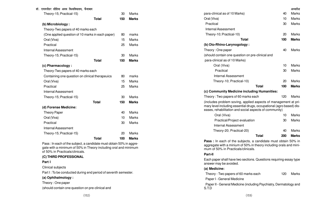| $\alpha$                                         |              |     |              |
|--------------------------------------------------|--------------|-----|--------------|
| Theory-15; Practical-15)                         |              | 30  | <b>Marks</b> |
|                                                  | <b>Total</b> | 150 | <b>Marks</b> |
| (b) Microbiology:                                |              |     |              |
| Theory-Two papers of 40 marks each               |              |     |              |
| (One applied question of 10 marks in each paper) |              | 80  | marks        |
| Oral (Viva)                                      |              | 15  | <b>Marks</b> |
| Practical                                        |              | 25  | <b>Marks</b> |
| <b>Internal Assessment</b>                       |              |     |              |
| Theory-15; Practical-15)                         |              | 30  | <b>Marks</b> |
|                                                  | <b>Total</b> | 150 | <b>Marks</b> |
| (c) Pharmacology:                                |              |     |              |
| Theory-Two papers of 40 marks each               |              |     |              |
| Containing one question on clinical therapeuics  |              | 80  | marks        |
| Oral (Viva)                                      |              | 15  | <b>Marks</b> |
| Practical                                        |              | 25  | <b>Marks</b> |
| Internal Assessment                              |              |     |              |
| Theory-15; Practical-15)                         |              | 30  | <b>Marks</b> |
|                                                  | <b>Total</b> | 150 | <b>Marks</b> |
| (d) Forense Medicine:                            |              |     |              |
| <b>Theory Paper</b>                              |              | 40  | <b>Marks</b> |
| Oral (Viva)                                      |              | 10  | <b>Marks</b> |
| Practical                                        |              | 30  | <b>Marks</b> |
| <b>Internal Assessment</b>                       |              |     |              |
| Theory-15; Practical-15)                         |              | 20  | <b>Marks</b> |
|                                                  | <b>Total</b> | 100 | <b>Marks</b> |

Pass : In each of the subject, a candidate must obtain 50% in aggregate with a minimum of 50% in Theory including oral and minimum of 50% in Practicals/clinicals.

## **(C) THIRD PROFESSIONAL**

## **Part I**

Clinical subjects

Part I : To be conducted during end period of seventh semester.

## **(a) Ophthalmology :**

Theory : One paper

(should contain one question on pre-clinical and

| para-clinical as of 10 Marks)                                                                                                                                                                     | 40  | Marks        |
|---------------------------------------------------------------------------------------------------------------------------------------------------------------------------------------------------|-----|--------------|
| Oral (Viva)                                                                                                                                                                                       | 10  | Marks        |
| Practical                                                                                                                                                                                         | 30  | Marks        |
| <b>Internal Assessment</b>                                                                                                                                                                        |     |              |
| Theory-10; Practical-10)                                                                                                                                                                          | 20  | Marks        |
| Total                                                                                                                                                                                             | 100 | <b>Marks</b> |
| (b) Oto-Rhino-Larynogology:                                                                                                                                                                       |     |              |
| Theory: One paper                                                                                                                                                                                 | 40  | Marks        |
| (should contain one question on pre-clinical and                                                                                                                                                  |     |              |
| para-clinical as of 10 Marks)                                                                                                                                                                     |     |              |
| Oral (Viva)                                                                                                                                                                                       | 10  | Marks        |
| Practical                                                                                                                                                                                         | 30  | Marks        |
| <b>Internal Assessment</b>                                                                                                                                                                        |     |              |
| Theory-10; Practical-10)                                                                                                                                                                          | 20  | Marks        |
| <b>Total</b>                                                                                                                                                                                      | 100 | <b>Marks</b> |
| (c) Community Medicine including Humanities:                                                                                                                                                      |     |              |
| Theory: Two papers of 60 marks each                                                                                                                                                               | 120 | Marks        |
| (includes problem soving, applied aspects of management at pri-<br>mary level including essential drugs, occupational (agro based) dis-<br>eases, rehabilitation and social aspects of community) |     |              |
| Oral (Viva)                                                                                                                                                                                       | 10  | Marks        |
| Practical/Project evaluation                                                                                                                                                                      | 30  | Marks        |
| Internal Assessment                                                                                                                                                                               |     |              |
| Theory-20; Practical-20)                                                                                                                                                                          | 40  | Marks        |
| <b>Total</b>                                                                                                                                                                                      | 200 | <b>Marks</b> |
| Pass : In each of the subjects, a candidate must obtain 50% in<br>aggregate with a minium of 50% in theory including orals and mini-<br>mum of 50% in Practicals/clinicals.                       |     |              |
| Part-II                                                                                                                                                                                           |     |              |
| Each paper shall have two sections. Questions requiring essay type<br>answer may be avoided.                                                                                                      |     |              |
| (a) Medicine:                                                                                                                                                                                     |     |              |
| Theory - Two papers of 60 marks each                                                                                                                                                              | 120 | Marks        |
|                                                                                                                                                                                                   |     |              |

Paper I - General Medicine

Paper II - General Medicine (including Psychiatry, Dermatology and S.T.D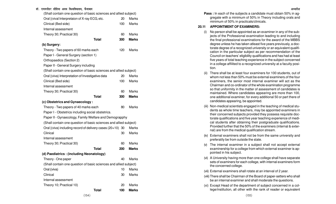#### डॉ. राममनोहर लोहिया अवध विश्वविघालय. फैजाबाद <del>चार का सामान्य का सामान्य का सामान्य का सामान्य का सामान्य का सामान्य का अध्यादेश</del>

| (Shall contain one question of basic sciences and allied subject) |     |              |  |  |
|-------------------------------------------------------------------|-----|--------------|--|--|
| Oral   (vival Interpretaion of X-ray ECG, etc.                    | 20  | Marks        |  |  |
| Clinical (Bed side)                                               | 100 | <b>Marks</b> |  |  |
| Internal assessment                                               |     |              |  |  |
| Theory 30; Practical 30)                                          | 60  | Marks        |  |  |
| <b>Total</b>                                                      | 300 | <b>Marks</b> |  |  |
| (b) Surgery:                                                      |     |              |  |  |
| Theory - Two papers of 60 marks each                              | 120 | Marks        |  |  |
| Paper I - General Surgery (section 1)                             |     |              |  |  |
| Orthopaedics (Section 2)                                          |     |              |  |  |
| Paper II - General Surgery including                              |     |              |  |  |
| (Shall contain one question of basic sciences and allied subject) |     |              |  |  |
| Oral ((viva) Interpretation of Investigative data                 | 20  | Marks        |  |  |
| Clinical (Bed side)                                               | 100 | Marks        |  |  |
| Internal assessment                                               |     |              |  |  |
| Theory 30; Practical 30)                                          | 60  | Marks        |  |  |
| <b>Total</b>                                                      | 300 | <b>Marks</b> |  |  |
| (c) Obstetrics and Gynaecology:                                   |     |              |  |  |
| Theory - Two papers of 40 marks each                              | 80  | Marks        |  |  |
| Paper I - Obstetrics including social obstetrics.                 |     |              |  |  |
| Paper II - Gynaecology, Family Welfare and Demograpphy            |     |              |  |  |
| (Shall contain one question of basic sciences and allied subject) |     |              |  |  |
| Oral ((viva) including record of delivery cases (20+10) 30        |     | Marks        |  |  |
| Clinical                                                          | 30  | Marks        |  |  |
| Internal assessment                                               |     |              |  |  |
| Theory 30; Practical 30)                                          | 60  | Marks        |  |  |
| <b>Total</b>                                                      | 200 | <b>Marks</b> |  |  |
| (d) Paediatrics: (including Neonatology)                          |     |              |  |  |
| Theory - One paper                                                | 40  | Marks        |  |  |
| (Shall contain one question of basic sciences and allied subject) |     |              |  |  |
| Oral (viva)                                                       | 10  | Marks        |  |  |
| Clinical                                                          | 30  | Marks        |  |  |
| Internal assessment                                               |     |              |  |  |
| Theory 10; Practical 10)                                          | 20  | Marks        |  |  |
| <b>Total</b>                                                      | 100 | <b>Marks</b> |  |  |

**Pass :** In each of the subjects a candidate must obtain 50% in aggregate with a minimum of 50% in Theory including orals and minimum of 50% in practicals/clinicals.

#### **20.11 APPOINTMENT OF EXAMINERS:**

- (i) No person shall be appointed as an examiner in any of the subjects of the Professional examination leading to and including the final professional examinations for the award of the MBBS degree unless he has taken atleast five years previously, a doctorate degree of a recognized university or an equivalent qualification in the particular subject as per recommendation of the Council on teachers' eligibility qualifications and has had at least five years of total teaching experience in the subject concerned in a college affilited to a recognized university at a faculty position.
- (ii) There shall be at least four examiners for 100 students, out of whom not less than 50% must be external examiners.of the four examiners, the senior most internal examiner will act as the Chairman and co-ordinator of the whole examination programme so that uniformity in the matter of assessment of candidates is maintained. Where candidates appearing are more than 100, one additional examiner, for every additional 50 or part there of candidates appearing, be appointed.
- (iii) Non-medical scientists engaged in the teaching of medical students as whole time teachers, may be appointed examiners in their concerned subjects provided they possess requisite doctorate qualifications and five year teaching experience of medical students after obtaining their postgraduate qualifications. Provided further that the 50% of the examiners (internal & external) are from the medical qualification stream.
- (iv) External examiners shall not be from the same university and preferatily be from outside the state.
- (v) The internal examiner in a subject shall not accept external examinership for a college from which external examiner is appointed in his subject.
- (vi) A University having more than one college shall have separate sets of examiners for each college, with internal examiners form the concerned college.
- (vii) External examiners shall rotate at an interval of 2 year.
- (viii) There shall be Chairman of the Board of paper-setters who shall be an internal examiner and shall moderate the questions.
- (xi) Except Head of the department of subject concerned in a college/institution, all other with the rank of reader or equivalent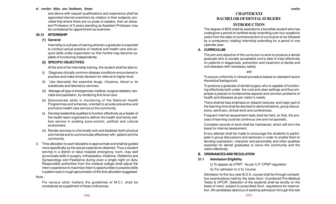### डॉ. राममनोहर लोहिया अवध विश्वविघालय. फैजाबाद <del>चार का सामान्य का सामान्य का सामान्य का सामान्य का सामान्य का सामान्य का अध्यादेश</del>

and above with requisit qualifications and experience shall be appointed internal examiners by rotation in their subjects; provided that where there are no posts of readers, then an Assistant Professor of 5 years standing as Assistant Professor may be considered for appointment as examiner.

## **20.12 INTERNSHIP**

## **(1) General**

Internship is a phase of training wherein a graduate is expected to conduct actual practice of medical and health care and acquire skills under supervision so that he/she may become capable of functioning independently.

## **(2) SPECIFIC OBJECTIVES**

At the end of the internship training, the student shall be able to:

- (i) Diagnose clincally common disease conditions encountered in practice and make timely decision for referral to higher level
- (ii) Use discreetly the essential drugs, infusions, blood or its substitutes and laboratory services.
- (iii) Manage all type of emergencies-medical, surgical obstetric neonatal and paediatric, by rendering first level care:
- (iv) Demonstrate skills in monitoring of the National Health Programmes and schemes, oriented to provide preventive and promotive health care service to the community
- (v) Develop leadership qualities to function effectively as a leader of the health team organised to deliver the health and family welfare service in existing socio-ecomic, political and cultural environment.
- (vi) Render services to chornically sick and disabled (both physical and mental and to communicate effectively with patient and the community.
- 3. Time allocation to each discipline is approximate and shall be guided more specifically by the actual experience obtained. Thus a student serving in a district or taluk hospital emergency room, may well accumulate skills in surgery, orthopaedics, medicine, Obstetrics and Gynaecology and Paediarics during even a single night on duty. Responsible authorities from the medical college shall adjust the intern experience to maximize intern's opportunities to practice skills in patient care in rough aproximation of the time allocation suggested.

### Note :

For various other matters the guidelines of M.C.I. shall be considered as suppliment of these ordinances.

## **CHAPTER XXI BACHELOR OF DENTAL SURGERY**

## **INTRODUCTION**

The degree of BDS shall be awarded to a bonafide student who has undergone a period of certified study extending over four academic years from the date of commencement of curriculum to be followed by a compulsory rotating internship extending for a perod of one calender year.

## **A. CURRICULUM**

The aim and objective of the curriculum is work to produce a dental graduate who is socially acceptable and is able to treat effectively on patients in diaganosis, prevention and treatment of dental and oral diseases with necessary safety.

## and

To eusure uniformity in clinical procedure based on standard recent theoretical background.

To produce a graduate of dental surgery who is capable of functioning effectively both under the rural and uban settings and thus emphasis is placed on fundamental aspects and common problems of health and diseases as per nation's needs.

There shall be less emphasis on didactic lectures; and major part of the learning time shall be devoted to demonstrations, group discussions, seminars, clinical work and conferences.

Frequent internal assessment tests shall be held, so that, the process of learning could be continous one and not sporadic.

Complete records of work shall be maintained, which will form the basis for internal assessment.

Every attempt shall be made to encourage the students to participate in group discussions and seminars in order to enable them to develop expression, character and personality and other qualities essential for dental graduates to serve the community and the nation effectively.

## **B. ORDINANCES AND REGULATION**

## **21.1 Admission Eligibility**

(i) To appear as CPMT : As per U.P. CPMT regulation

## (ii) For admissin to U.G. Course.

Admission to the four year B.D.S. course shall be through competitive examinations held by the state Govt. (Combined Pre-Medical Tests) & UPCAT. Selection of the students shall be strictly on the basis of merit, subject to prescribed Govt. regulations for reservation. All candidates desirous of seeking admission through this test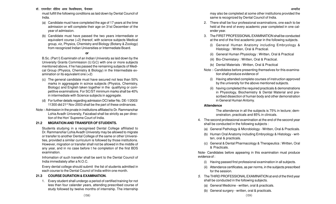डॉ. राममनोहर लोहिया अवध विश्वविघालय, फैजाबाद <del>कार कार्यकार कार्यकार कार्यकार कार्यकार कार्यकार अध्यादेश अध्यादेश</del>

must fulfill the following conditions as laid down by Dental Council of India.

- (a) Candidate must have completed the age of 17 years at the time admission or will complete their age on 31st December of the year of admission.
- (b) Candidate must have passed the two years intermediate or equivalent course (+2) thereof, with science subjects Medical group, viz, Physics, Chemistry and Biology (Botany & Zoology) from recognized Indian Universities or Intermediate Board.

### **or**

B.Sc. (Part I) Examinatin of an Indian University as laid down by the University Grants Commission (U.G.C) with one or more subjects mentioned above, if he has passed the remaining subjects of Medical Group (Physics, Chemistry & Biology) in the Intermediate examination or its equivalent one (+2)

- (c) The general candidate must have secured not less than 50% marks in aggreagate in scince subjects (Physics, Chemistry, Biology) and English taken together in the qualifying or competitive examinations. For SC/ST minimum marks shall be 40% in intermediate with Science subjects in aggregate.
- (d) For further details regarding admission DCI letter No. DE-1/2003/ 11300 did 21<sup>st</sup> Nov 2003 shall be the part of these ordinances.
- Note :- Admission in the prvate in institutions affiliated to Dr. Rammanohar Lohia Avadh University, Faizabad shall be strictly as per direction of the Hon' Supreme Court of India.

## **21.2 MIGRATION AND TRANSFER OF STUDENTS.**

Students studying in a recognised Dental College affiliated to Dr. Rammanohar Lohia Avadh University may be allowed to migrate or transfer to another Dental College of the same or other Universities, provided a similar curriculum is followed by those institutions. However, migration or transfer shall not be allowed in the middle of any year, and in no case before t he completion of the first BDS examination.

Infromation of such transfer shall be sent to the Dental Council of India immediately after a N.O.C.

Every dental college should submit the list of students admitted in each course to the Dental Councl of India within one month.

### **21.3 COURSE DURATION & EXAMINATION.**

1. Every student shall undergo a period of certified training for not less than four calander years, attending prescribed course of study followed by twelve months of internship. The internship

may also be completed at some other institutions provided the same is recognized by Dental Council of India.

- 2. There shall be four professional examinations, one each to be held at the end of every academic year completed in one calender year.
- 3. The FIRST PROFESSIONAL EXAMINATION shall be conducted at the end of the first academic year in the following subjects.
	- (i) General Human Anatomy including Embryology & Histology : Written, Oral & Practical.
	- (ii) General Human Physiology : Written, Oral & Practical
	- (iii) Bio-Chemistary : Written, Oral & Practical.
	- (iv) Dental Materials : Written, Oral & Practical
- Note :- Candidates before presenting themselves for this examination shall produce evidence of
	- (i) Having attended complete courses of instruction approved by the university for the above mentioned subjects.
	- (ii) having completed the required practicals & demonstrations in Physiology, Biochemistry & Dental Material and prescribed dissection of human body and other demonstration in General Human Antomy.

### **Attendence**

The attendence in all the subjects is 75% in lecture; demonstration, practicals and 85% in clinicals.

- 4. The second professional examination at the end of the second year shall be conducted in the following subjects :
	- (a) General Pathology & Microbiology Written, Oral & Practicals.
	- (b) Human Oral Anatomy including Embryology & Histology written, oral & practicals.
	- (c) General & Dental Pharmacology & Therapeutics : Written, Oral & Practicals.

Note- Candidates before appearin g in this examination must produce evidence of :

- (i) Having passed first professional examination in all subjects.
- (ii) Attendance certificates, as per norms, in the subjects prescribed for the session.
- 5. The THIRD PROFESSIONAL EXAMINATION at end of the third year shall be conducted in the following subjects.
	- (a) General Medicine written, oral & practicals.
	- (b) General surgery written, oral & practicals.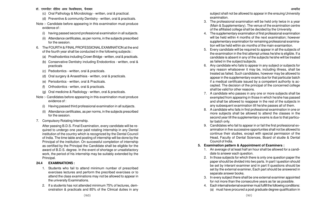## डॉ. राममनोहर लोहिया अवध विश्वविघालय, फैजाबाद <del>कार कार्यकार का सामान्य का सामान्य का सामान्य का सामान्य का सामान्य का अध्यादेश</del>

- (c) Oral Pathology & Microbiology written, oral & practical.
- (d) Preventive & community Dentistry written, oral & practicals.
- Note :- Candidate before appearing in this examination must produce evidence of :
	- (i) having passed second professional examination in all subjects.
	- (ii) Attendance certificates, as per norms, in the subjects prescribed for the session.
- 6. The FOURTH & FINAL PROFESSIONAL EXAMINATION at the end of the fourth year shall be conducted in the following subjects :
	- (a) Prosthodontics including Crown Bridge written, oral & practicals.
	- (b) Conservative Dentistry including Endodontics written, oral & practicals
	- (c) Pedodontics written, oral & practicals.
	- (d) Oral surgery & Anaesthisia written, oral & practicals.
	- (e) Periodontics written, oral & Practicals.
	- (f) Orthodontics wrtten, oral & practicals.
	- (g) Oral medicine & Radiology written, oral & practicals.
- Note :- Candidates before appearing in this examination must produce evidence of :
	- (i) Having passed third professional examination in all subjects.
	- (ii) Attendance certificates, as per norms, in the subjects prescribed for the session.
- 7. Compulsory Rotating Internship.

After passing B.D.S. Final Examination, every candidate will be required to undergo one year paid rotating internship in any Dental institution of the country which is recognized by the Dental Council of India. The time table and posting of internship will be done by the Principal of the institution. On successful completion of internship as certified by the Principal the Candidate shall be eligible for the award of B.D.S. degree. In the event of shortage or unsatisfactory work, the period of his internship may be suitably extended by the Principal.

## **24.4 EXAMINATIONS :**

- 1. Students who fail to attend minimum number of prescribed exercises lectures and perform the precribed exercises or to attend the class examinations may not be allowed to appear in the university Examinations.
- 2. If a students has not attended minimum 75% of lectures, demonstration & practicals and 85% of the Clinical duties in any

subject shall not be allowed to appear in the ensuing University examination.

- 3. The professional examination will be held only twice in a year (Main & Supplementary). The venue of the examination centre of the affiliated college shall be decided by the University.
- 4. The supplementary examination of first professional examination will be held within 4 months of the next examination; however supplementary examination for remaining professional examination will be held within six months of the main examiantion.
- 5. Every candidate will be required to appear in all the subjects of the examination in the first attempt unless he/she is eligible. If a candidate is absent in any of the subjects he/she will be treated as failed in the subject/subjects.
- 6. Any candidate who fails to appear in any subject or subjects for any reason whatsoever it may be, including illness, shall be treated as failed. Such candidates, however may be allowed to appear in the supplementary exams due for that particular batch if a medical certificate issued by a competent authority is accepted. The decision of the principal of the concerned college shall be valid for other reasons.
- 7. A candidate who passes in any one or more subjects shall be exempted from appearing in those in which he/she has passed and shall be allowed to reappear in the rest of the subjects in any subsequent examination till he/she passes all of them.
- 8. A candidate who fails in first professional examination in one or more subjects shall be allowed to attend the classes in the second year till the supplementary exams is due to that particular batch only.
- 9. Candidates who fail to appear in or fail the first professional examination in five successive opportunites shall not be allowed to continue their studies, except with special permission of the Head, Faculty of Dental Sciences, Board of studie & Dental Council of India.
- **5. Examination pattern & Appointment of Examiners :**
	- 1. An average of at least half an hour shall be allowed for a candidate to answer each question.
	- 2. In those subjects for which there is only one question paper the paper should be divided into two parts. In part I question should be set by interanl examiner and in part II questions should be set by the external examiner, Each part should be answered in separate answer books.
	- 3. In every subject there shall be one external examiner appointed for not more than the consecutive years as far as possible.
	- 4. Each internal/external examiner must fulfill the following conditions: (a) must have procured a post graduate degree qualification in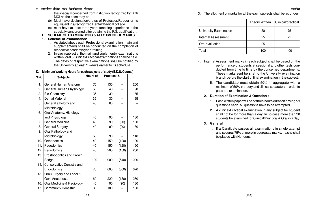#### डॉ. राममनोहर लोहिया अवध विश्वविघालय, फैजाबाद <del>कार कार्यकार का सामान्य का सामान्य का सामान्य का सामान्य का सामान्य का अध्यादेश</del>

the specially concerned from institution recognized by DCI/ MCI as the case may be.

- (b) Must have designation/status of Professor/Reader or its equivalent in a recognized Dental/Medical college.
- (c) must have at least three years teaching experience in the specially concerened after obtaining the P.G. qualification.
- **C. SCHEME OF EXAMINATIONS & ALLOTMENT OF MARKS**

## **1. Scheme of examination:**

- 1. As stated above each Professional examination (main and supplementary) shall be conducted on the completion of respective academic year/training.
- 2. In each subject at the main and suplementry examinations written, oral & Clinical/Practical examnations shall be held. The dates of respective examinations shall be notified by the University at least 2 weaks earlier to its schedule

#### **D. Minimum Working Hours for each subjects of study (B.D.S. Course)**

| S.No. | <b>Subjects</b>            | Hours of | Practical & |       |      |
|-------|----------------------------|----------|-------------|-------|------|
| 1.    | General Human Anatomy      | 70       | 130         |       | 200  |
| 2.    | General Human Physiology   | 50       | 40          |       | 90   |
| 3.    | <b>Bio-Chemistry</b>       | 35       | 30          |       | 65   |
| 4.    | <b>Dental Material</b>     | 35       | 30          |       | 65   |
| 5.    | General athology and       | 45       | 60          |       |      |
|       | Microbiology               |          |             |       |      |
| 6.    | Oral Anatomy, Histology    |          |             |       |      |
|       | and Physiology             | 40       | 90          |       | 130  |
| 7.    | <b>General Medicine</b>    | 40       | 90          | (90)  | 130  |
| 8.    | <b>General Surgery</b>     | 40       | 90          | (90)  | 130  |
| 9.    | Oral Pathology and         |          |             |       |      |
|       | Microbiology               | 50       | 90          |       | 140  |
| 10.   | Orthodontics               | 40       | 150         | (120) | 190  |
| 11.   | Pedodontics                | 40       | 150         | (120) | 190  |
| 12.   | Periodontics               | 45       | 205         | (150) | 250  |
| 13.   | Prosthodontics and Crown   |          |             |       |      |
|       | <b>Bridge</b>              | 100      | 900         | (540) | 1000 |
| 14.   | Conservative Dentistry and |          |             |       |      |
|       | Endodontics                | 70       | 600         | (360) | 670  |
| 15.   | Oral Surgery and Local &   |          |             |       |      |
|       | Gen. Anesthesia            | 60       | 220         | (150) | 280  |
| 16.   | Oral Medicine & Radiology  | 40       | 90          | (90)  | 130  |
| 17.   | <b>Community Dentistry</b> | 30       | 100         |       | 130  |

3. The allotment of marks for all the each subjects shall be as under

|                        | <b>Theory Written</b> | Clinical/practical |
|------------------------|-----------------------|--------------------|
| University Examination | 50                    | 75                 |
| Internal Assessment    | 25                    | 25                 |
| Oral evaluation        | 25                    |                    |
| Total                  | 100                   | 100                |

- 4. Internal Assessment marks in each subject shall be based on the performance of students at sessional and other tests conducted from time to time by the concerned departments. These marks sent be snet to the University examination branch before the start of final examination in the subject.
	- 5. The candidate must obtain 50% in aggregate with a minimum of 50% in theory and clinical separately in order to pass the examination.

### **2. Duration of Examination & Question :**

- 1. Each written paper will be of three hours duration having six questions each. All questions have to be attempted.
- 2. A clinical/Practical examination in any subject for student shall not be for more than a day. In no case more than 20 students be examined for Clinical/Practical & Oral in a day.

### **3. General**

1. If a Candidate passes all examinations in single attempt and secures 75% or more in aggregate marks, he/she shall be placed with Honours.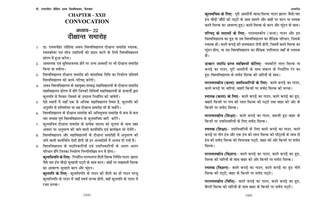# **CHAPTER - XXII CONVOCATION**

# अध्याय– 22 दीक्षान्त समारोह

- 1. डा. राममनोहर लोहिया अवध विश्वविद्यालय दीक्षान्त समारोह स्नातक, स्नातकोत्तर एवं शोध उपाधियों को प्रदान करने के लिये विश्वविद्यालय प्रांगण में हुआ करेगा।
- 2. आवश्यक एवं सुविधाजनक होने पर अन्य अवसरों पर भी दीक्षान्त समारोह किया जा सकेगा।
- 3. विश्वविद्यालय दीक्षान्त समारोह की वास्तविक तिथि का निर्धारण प्रतिवर्ष विश्वविद्यालय की कार्य-परिषद् करेगी।
- 4. अवध विश्वविद्यालय के सहयुक्त/सम्बद्ध महाविद्यालयों के दीक्षान्त समारोह महाविद्यालय प्रांगण में होगे जिनकी तिथियाँ महाविद्यालयों के प्राचार्यो द्वारा कुलपति से विचार-विमर्श के उपरान्त निर्धारित की जायेगी।
- 5. ऐसे स्थानों में जहाँ एक से अधिक महाविद्यालय स्थित है, कुलपति की अनुमति से सम्मिलित या सह दीक्षान्त समारोह भी हो सकेंगे।
- 6. विश्वविद्यालय के दीक्षान्त समारोह की अधिसूचना समारोह से कम से कम चार सप्ताह पूर्व विश्वविद्यालय के कुलसचिव जारी करेंगे।
- 7. कुलसचिव दीक्षान्त समारोह के प्रत्येक सदस्य को सूचना के साथ उक्त अवसर पर अनुसरण की जाने वाली कार्यविधि एवं कार्यकम भी भेजेंगे।
- विश्वविद्यालय और महाविद्यालयों के दीक्षान्त समारोहों में अनुसरण की 8. जाने वाली कार्यविधि ऐसी होगी जो इन अध्यादेशों में अन्यत्र दी गयी है।
- विश्वविद्यालय के पदाधिकारियों एवं उपाधिकारियों के अलग अलग 9. परिधान होंगे जिनका निर्धारण निम्नलिखित रूप में होगा:-क़ुलाधिपति के लिए- निर्धारित परम्परागत शैली सिल्क निर्मित गाउन-झालर जैसे चार इंच चौड़ी सुनहली पट्टी के साथ बटन। बांहों पर मखमली सिल्क का आवारण-सुनहले बटन और फुंदन।

क़ुलपति के लिए- कुलाधिपति के गाउन की शैली का ही गाउन परन्तु क़ुलाधिपति के गाउन में जहाँ स्वर्ण सज्जा होगी, वहाँ कुलपति के गाउन में रजत सज्जा।

कुलसचिव के लिए- पूरी आस्तीनों वाला/सिल्क गाउन झालर जैसी/चार इंच चौड़ी चाँदी की पट्टी के साथ सामने और बाहों पर बटन या स्तवक काले सिल्क का आवरण(हुड) काले सिल्क के बटन और फ़्ंदन के साथ।

अध्यादेश

**परिषद् के सदस्यों के लिए**- परास्नातकीय (कला) गाउन और इस विश्वविद्यालय का हुड या उस विश्वविद्यालय का शैक्षिक परिधान, जिसके स्नातक हों। काले कपड़े की समयाकार टोपी होगी, जिसमें काले सिल्क का फ़ुंदन होगा, या उस विश्वविद्यालय का शैक्षिक उपरिवस्त्र जहाँ के स्नातक हों।

डाक्टर उपाधि प्राप्त व्यक्तियों केलिए- चमकीले लाल सिल्क या कपड़े का गाउन, पूरी आस्तीनों के साथ संकाय के निर्धारित रंग का हुड-विश्वविद्यालय के सफेद सिल्क की धारियों के साथ।

परास्नातकीय (कला) उपाधिधारियों के लिए- काले कपड़े का गाउन, काले कपड़े पर धारियां, बाहरी किनारे पर सफेद सिल्क की सज्जा।

स्नातक (कला) के लिए- काले कपड़े का गाउन, काले कपड़े का हुड, बाहरी किनारे पर यच की लाल सिल्क की पट्टी तथा बाहर की ओर के किनारे पर सफेद सिल्क।

परास्नातकीय (शिक्षा)- काले कपड़े का गाउन, बसन्ती हुड-बाहर के किनारे पर उपाधिधारियों के लिए सफेद सिल्क।

स्नातक (शिक्षा)- उपाधिधारियों के लिए काले कपड़े का गाउन, काले कपड़े पर तीन इंच और एक इंच की लाल सिल्क की पटि्टयों के साथ दो इंच की सफेद सिल्क की विभाजक पट्टी, बाहर की ओर किनारे पर सफेद सिल्क।

**परास्नातकीय (विज्ञान)**- काले कपडे का गाउन, काले कपडे का हड, सिल्क की धारियों के साथ बाहर की ओर किनारे पर सफेद सिल्क।

स्नातक (विज्ञान)- काले कपड़े का गाउन, काले कपड़े का हुड नीले सिल्क की पट्टी, बाहर के किनारे पर सफेद पट्टी।

परास्नातकीय (विधि)- काले कपड़े का गाउन, काले कपड़े का हुड, बैगनी सिल्क की धारियों के साथ बाहर के किनारे पर सफेद पट्टी।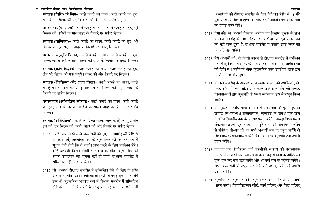स्नातक (विधि) के लिए- काले कपड़े का गाउन, काले कपड़े का हुड, तीन बैगनी सिल्क की पट्टी। बाहर के किनारे पर सफेद पट्टी।

परास्नातक (वाणिज्य)- काले कपड़े का गाउन, काले कपड़े का हुड, भूरे सिल्क की धारियों के साथ बाहर के किनारे पर सफेद सिल्क।

स्नातक (वाणिज्य)- काले कपड़े का गाउन, काले कपड़े का हुड, भूरे सिल्क की एक पट्टी। बाहर के किनारे पर सफेद सिल्क।

परास्नातक (कृषि विज्ञान)- काले कपड़े का गाउन, काले कपड़े का हुड, सिल्क की धारियों के साथ सिल्क की बाहर के किनारे पर सफेट सिल्क।

स्नातक (कृषि विज्ञान)- काले कपड़े का गाउन, काले कपड़े का हुड, तीन भरे सिल्क की एक पटटी। बाहर की ओर किनारे पर सिल्क।

स्नातक (चिकित्सा और शल्य विद्या)- काले कपड़े का गाउन, काले कपड़े की तीन इंच की प्रगाढ नीले रंग की सिल्क की पट्टी, बाहर के किनारे पर सफेद सिल्क।

परास्नातक (अभियंत्रण संकाय)- काले कपड़े का गाउन, काले कपड़े का हुड, पीले सिल्क की धारियों के साथ। बाहर के किनारे पर सफेद सिल्क।

स्नातक (अभियंत्रण)- काले कपड़े का गाउन, काले कपड़े का हुड, तीन इंच की एक सिल्क की पट्टी, बाहर की ओर किनारे पर सफेद सिल्क।

- (10) उपाधि प्राप्त करने वाले अभ्यथियों को दीक्षान्त समारोह की तिथि से 15 दिन पूर्व, विश्वविद्यालय के कुलसचिव को लिखित रूप में सूचना देनी होगी कि वे उपाधि प्राप्त करने के लिए उपस्थित होंगे। कोई अभ्यर्थी जिसने निर्धारित अवधि के भीतर कुलसचिव को अपनी उपस्थिति की सूचना नहीं दी होगी, दीक्षान्त समारोह में सम्मिलित नहीं किया जायेगा।
- (11) जो अभ्यर्थी दीक्षान्त समारोह में सम्मिलित होने के लिए निर्धारित अवधि के भीतर अपने उपस्थित होने की विधिवत् सूचना नहीं देगें उन्हें भी कुलसचिव अपवाद रूप में दीक्षान्त समारोह में सम्मिलित होने की अनुमति दे सकते है परन्तु शर्त यह होगी कि ऐसे सभी

अभ्यर्थियों को दीक्षान्त समारोह के लिए निश्चित तिथि से 48 घंटे पूर्व 50 रूपये विलम्ब शुल्क के साथ अपने आवदेन पत्र कुलसचिव को प्रेषित करने होगें।

अध्यादेश

- (12) ऐसा कोई भी अभ्यर्थी जिसका आवेदन पत्र विलम्ब शुल्क के साथ दीक्षान्त समारोह के लिए निश्चित समय से 48 घंटे पूर्व कुलसचिव को नहीं प्राप्त हुआ है, दीक्षान्त समारोह में उपाधि प्राप्त करने की अनुमति नहीं पायेगा।
- (13) ऐसे अभ्यर्थी को, जो किसी कारण से दीक्षान्त समारोह में उपस्थित नहीं होगा, निर्धारित शुल्क के साथ आवेदन पत्र देने पर, आवेदन पत्र की तिथि से 1 महीने के भीतर कुलसचिव स्वयं उपाधियाँ डाक द्वारा उनके पते पर भेजे देंगे।
- (14) दीक्षान्त समारोह के अवसर पर उच्चतम डाक्टर की उपाधियाँ (डी. लिट. और डी. एस-सी.) प्राप्त करने वाले अभ्यर्थियों को सम्बद्ध विभागाध्यक्षों द्वारा कुलपति के समक्ष व्यक्तिगत रूप से प्रस्तुत किया जायेगा।
- (15) पी-एच.डी. उपाधि प्राप्त करने वाले अभ्यर्थियों के पूरे समूह को सम्बद्ध विभागाध्यक्ष संकायाध्यक्ष, कुलपति के समक्ष एक साथ निर्धारित विभागीय क्रम के अनुसार प्रस्तुत करेंगे। सम्बद्ध विभागाध्यक्ष संकायाध्यक्ष एक–एक करके नाम पढते जायेंगे और जब विभागविशेष से संबंधित पी-एच.डी. के सभी अभ्यर्थी मंच पर पहुँच जायेंगे तो विभागाध्यक्ष/संकायाध्यक्ष के निवेदन करने पर कुलपति उन्हें उपाधि प्रदान करेंगे।
- (16) एल.एल.एम. चिकित्सा एवं तकनीकी संकाय की परास्नातक उपाधि प्राप्त करने वाले अभ्यर्थियों के सम्बद्ध संकायों के अधिष्ठाता एक-एक कर नाम पढ़ते जायेंगे और अभ्यर्थी मंच पर पहुँचते जायेगे। सभी अभ्यर्थियों के प्रस्तुत कर दिये जाने पर कुलपति उन्हें उपाधि प्रदान करेंगे।
- (17) कुलाधिपति, कुलपति और कुलसचिव अपनी विशिष्ट पोशाकें धारण करेंगे। विश्वविद्यालय कोर्ट, कार्य परिषद् और विद्या परिषद्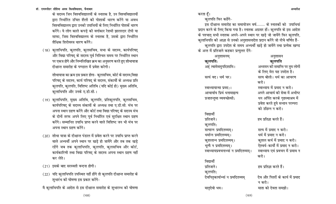के सदस्य जिन विश्वविद्यालयों के स्नातक है, उन विश्वविद्यालयों द्रारा निर्धारित उचित शैली की पोशाकें धारण करेंगे या अवध विश्वविद्यालय द्वारा उनकी उपाधियों के लिए निर्धारित पोशकें धारण करेंगे। ये लोग काले कपड़े की वर्गाकार रेशमी झालरदार टोपी या साफा, जिस विश्वविद्यालय के स्नातक है, उसके द्वारा निर्धारित शैक्षिक शिरोवस्त्र धारण करेंगे।

(18) कुलाधिपति, कुलपति, कुलसचिव, सभा के सदस्य, कार्यपरिषद और विद्या परिषद् के सदस्य पूर्व निश्चित समय पर निर्धारित स्थान पर एकत्र होगे और निम्नलिखित क्रम का अनुसरण करते हुए शोभायात्रा दीक्षान्त समारोह के पण्डाल में प्रवेश करेगी।

शोभायात्रा का क्रम इस प्रकार होगा- कुलसचिव, कोर्ट के सदस्य,विद्या परिषद् के सदस्य, कार्य परिषद् के सदस्य, संकायों के अध्यक्ष प्रति कुलपति, कुलपति, विशिष्ट अतिथि (यदि कोई हो) मुख्य अतिथि, कलाधिपति और उनके ए.डी.सी.।

- (19) कुलाधिपति, मुख्य अतिथि, कुलपति, प्रतिकुलपति, कुलसचिव, कार्यपरिषद् के सदस्य संकायों के अध्यक्ष तथा ए.डी.सी. मंच पर अपना स्थान ग्रहण करेंगे और कोर्ट तथा विद्या परिषद् के सदस्य मंच के दोनों तरफ अपने लिए पूर्व निर्धारित एवं सुरक्षित स्थान ग्रहण करेंगे। सम्मानित उपाधि प्राप्त करने वाले विशिष्ट जन भी मंच पर अपना स्थान ग्रहण करेंगे।
- (20) शोभा यात्रा के दीक्षान्त पंडाल में प्रवेश करने पर उपाधि प्राप्त करने वाले अभ्यर्थी अपने स्थान पर खड़े हो जायेंगे और तब तक खड़े रहेंगे जब तक कुलाधिपति, कुलपति, कुलसचिव और कोर्ट, कार्यकारिणी तथा विद्या परिषद् के सदस्य अपना स्थान ग्रहण नहीं कर लेते।
- (21) इसके बाद सरस्वती वन्दना होगी।
- (22) यदि कुलाधिपति उपस्थित नहीं होंगे तो कुलपति दीक्षान्त समारोह के शुभारंभ की घोषणा इस प्रकार करेंगे-
- मै कुलाधिपति के आदेश से इस दीक्षान्त समारोह के शुभारम्भ की घोषणा

करता हूँ।

# कलपति फिर कहेंगे-

इस दीक्षान्त समारोह का समायोजन वर्ष........ के स्नातकों को उपाधियां प्रदान करने के लिए किया गया है। स्नातक अग्रसर हों। कलपति के इस आदेश के पश्चात सभी स्नातक अपने-अपने स्थान पर खडे जो जायेंगे फिर कुलपति, कुलाधिपति की आज्ञा से उनको अनुशासनादेश प्रदान करेंगे जो नीचे वर्णित हैं-कुलपति द्वारा उपदेश के समय अभ्यर्थी खड़े हो जायेंगे तथा प्रत्येक खण्ड के अन्त में प्रतिजाने कहकर प्रत्युत्तर देंगे-

| अनुशासनम्                              | अनुशासन                           |
|----------------------------------------|-----------------------------------|
| कुलपति <u>ः</u>                        | कुलपति                            |
| अहं त्वामेवमुपदिशामि ।                 | अध्ययन की समाप्ति पर तुम लोगों    |
|                                        | के लिए मेरा यह उपदेश है।          |
| सत्यं वद। धर्मं चर।                    | सत्य बोलो। धर्म का आचरण           |
|                                        | करो।                              |
| स्वाध्यायान्मा प्रमद:।                 | स्वाध्याय में प्रमाद न करो।       |
| आचार्याय प्रियं धनामाहत्य              | अपने आचार्य की सेवा में अभीष्ट    |
| प्रजातन्तुमा व्यवच्छेत्सी:             | धन अर्पित करके गृहस्थाश्रम में    |
|                                        | प्रवेश करते हुये सन्तान परम्परा   |
|                                        | को उछिन्न न करो।                  |
| विद्यार्थी                             |                                   |
| प्रतिजाने ।                            | हम प्रतिज्ञा करते हैं।            |
| कुलपति:                                |                                   |
| सत्यान्न प्रमदितव्यम्।                 | सत्य में प्रमाद न करो।            |
| धर्मान्न प्रमदितव्यम्।                 | धर्म में प्रमाद न करो।            |
| कुशलान्न प्रमदितव्यम्।                 | कुशल कर्म में प्रमाद न करो।       |
| भूत्यै न प्रमदितव्यम्।                 | ऐश्वर्य-कार्यो में प्रमाद न करो।  |
| स्वाध्यायप्रवचनाभ्यां न प्रमदितव्यम् । | स्वाध्याय एवं प्रवचन में प्रमाव न |
|                                        | करो।                              |
| विद्यार्थी                             |                                   |
| प्रतिजाने।                             | हम प्रतिज्ञा करते हैं।            |
| कुलपति:                                |                                   |
| देवपितृकार्याभ्यां न प्रमदितव्यम्      | देव और पितरों के कार्य में प्रमाद |
|                                        | न करो।                            |
| मातृदेवो भव।                           | माता को देवता समझो।               |
| (169)                                  |                                   |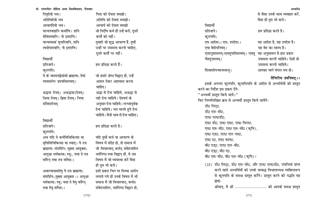| पितृदेवो भव।                | पिता को दे    |
|-----------------------------|---------------|
| अतिथिदेवो भव                | अतिथि को      |
| आचार्यदेवो भव।              | आचार्य को     |
| यान्यनवद्यानि कर्माणि। तानि | जो निर्दोष ग  |
| सेवितव्यानि । नो इतराणि ।   | कर्मो को न    |
| यान्यस्माकं सुचरितानि, तानि | तुम्हारे जो ग |
| त्वयोपास्यानि, नो इतराणि।   | उन्हीं पर उ   |
|                             |               |

## विद्यार्थी

प्रतिजाने । कुलपति:

ये के चास्मच्छेयांसो ब्राह्मणा: तेषां त्वयासनेन प्रश्वसितव्यम् ।

श्रद्धया देयम् । अश्रद्धयाऽदेयम् । श्रिया देयम्। ह्रिया देयम्। भिया संविदादेयम्

### विद्यार्थी

प्रतिजाने। कुलपति:

अथ यदि ते कर्मविचिकित्सा वा वृत्तिविचिकित्सा वा स्यात् । ये तत्र ब्राह्मणा: संमर्शिन: युक्ता आयुक्ता: अलुक्षा धर्मकामा: स्यु:, यथा ते तत्र वर्तेरन् तथा तत्र वर्तेथा:।

अथाभ्याख्यातेषु ये तत्र ब्राह्मणा: संमर्शिन:,युक्ता आयुक्ता :। अलुक्षा धर्मकामा: स्यु: यथा ते तेषु वर्तेरन् तथा तेषु वर्तेथा:।

:ेवता समझो। गे देवता समझो। <sup>े</sup> देवता समझो कर्म हों उन्हें करो, दूसरे नहीं । शुद्ध आचरण हैं, तुम्हें ,<br>धासना करनी चाहिए दूसरे कर्मो पर नहीं।

हम प्रतिज्ञा करते हैं।

जो हमारे श्रेष्ठ विद्वान हों, उन्हें आसन देकर आश्वस्त करना चाहिए। श्रद्धा से देना चाहिये, अश्रद्धा से नही देना चाहिये। ऐश्वर्य के अनुसार देना चाहिये। लज्जापूर्वक देना चाहिये। भय मानते हुये देना चाहिये। मैत्री भाव से देना चाहिए।

## हम प्रतिज्ञा करते है।

यदि तुम्हें कर्म या आचरण के विषय में संदेह हो. तो समाज में जो विचारवान्, कर्मठ, संवेदनशील धर्मनिष्ठ तथा विद्वान् हों, वे उस विषय में जो व्यवस्था करें वैसा ही तुम भी करो। इसी प्रकार जिन पर मिथ्या आरोप लगाये गये हों उनके विषय में भी समाज में जो विचारवान्, कर्मठ संवेदनशील, धर्मनिष्ठ विद्वान हो,

# वे जैसा उनके साथ व्यवहार करें, वैसा ही तुम भी करो।

#### हम प्रतिज्ञा करते है। प्रतिजाने। कलपति: एष आदेश:। एष: उपदेश:। यह आदेश है. यह उपदेश है। एषा वेदोपनिषत। यह वेद का रहस्य है। एतदनुशासनम् ।एवमुपासितव्यम् । एवमु यह अनुशासन है ।इस प्रकार उपासना करनी चाहिये। ऐसी ही चैतदुपास्यम् । उपासना करनी चाहिये। आपका मार्ग मंगल मय हो।

शिवास्तेपन्थानस्सन्तु ।

विद्यार्थी

तैत्तिरीय उपनिषद ।।

अध्यादेश

इसके अनन्तर कुलपति, कुलाधिपति के आदेश से अभ्यर्थियों को प्रस्तुत करने का निर्देश इस प्रकार देंगे-"अभ्यर्थी प्रस्तुत किये जायें।" फिर निम्नलिखित क्रम से अभ्यर्थी प्रस्तुत किये जायेंगे-डी0 लिट0. डी0 एस-सी0, . एल0 एल0डी0 एम0 डी0, एम0 एस0, एम0 फिल0 एम0 एस-सी0, एम0 एस-सी0 (कृषि), एम0 एड0, एल0 एल-एम0, एम0 ए0, एम0 काम0, बी0 एड0, एल0 एल-बी0, बी0 एड्0, बी0 ए0, बी0 एस-सी0, बी0 एस-सी0 (कृषि)। (23) डी0 लिट्0, डी0 एस-सी0, और एल0 एल0डी0, उपाधियां प्राप्त करने वाले अभ्यर्थियों को उनके सम्बद्ध विभागाध्यक्ष व्यक्गितरूप से कुलपति के समक्ष प्रस्तुत करेंगे। प्रस्तुत करने की पद्धति यह होगी–

श्रीमान्, मै श्री .............................. को आपके समक्ष प्रस्तुत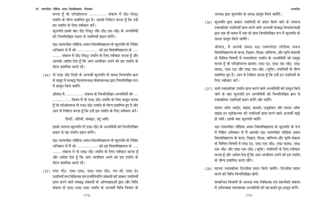करता हूँ जो परीक्षोपरान्त ................ संकाय में डी0 लिट्0 उपाधि के योग्य प्रमाणित हुए है। आपसे निवेदन करता हूँ कि उन्हें इस उपाधि के लिए स्वीकार करें। कुलपति इसके बाद डी0 लिट्0 और डी0 एस-सी0 के अभ्यर्थियों को निम्नलिखित प्रकार से उपाधियाँ प्रदान करेंगे।

डा0 राममनोहर लोहिया अवध विश्वविद्यालय के कुलपति के निहित अधिकार से मैं श्री ................... को इस विश्वविद्यालय के ..... ........ संकाय में डी0 लिट्0 उपाधि के लिए स्वीकार करता हूँ और आपको आदेश देता हूँ कि आप आजीवन अपने को इस उपाधि के योग्य प्रमाणित करते रहें।

(24) पी एच0 डी0 डिग्री के अभ्यर्थी कुलपति के समक्ष विभागाीय क्रम से समृह में सम्बद्ध विभागाध्यक्ष/संकायाध्यक्ष द्वारा निम्नलिखित रूप में प्रस्तुत किये जायेंगे-

श्रीमान् मै ................. संकाय के निम्नलिखित अभ्यर्थियों को .... ................. विषय में पी एच0 डी0 उपाधि के लिए प्रस्तुत करता हूँ जो परीक्षोपरान्त पी एच0 डी0 उपाधि के योग्य प्रमाणित हुए है और आप से निवेदन करता हूँ कि इन्हें इस उपाधि के लिए स्वीकार करें।

हिन्दी, अंग्रेजी, संस्कृत, उर्दू आदि

इसके उपरान्त कुलपति पी एच0 डी0 के अभ्यर्थियों को निम्नलिखित प्रकार से यह उपाधि प्रदान करेंगे।

डा0 राममनोहर लोहिया अवध विश्वविद्यालय के कुलपति के निहित अधिकार से मैं श्री ................... को इस विश्वविद्यालय के ..... ........ संकाय में पी एच0 डी0 उपाधि के लिए स्वीकार करता है और आदेश देता हूँ कि आप आजीवन अपने को इस उपाधि के योग्य प्रमाणित करते रहें।

(25) एम0 डी0, एम0 एस0, एम0 एस0 सी0, एम-सी, एम0 ई0 उपाधियाँ तथ चिकित्सा एवं इन्जीनियरिंग संकायों की डाक्टर उपाधियाँ प्राप्त करने वाले सम्बद्ध संकायों के अधिष्ठाताओं द्वारा और विधि संकाय के एल0 एल0 एम0 उपाधि के अभ्यर्थी विधि विभाग के

अध्यक्ष द्वारा कुलपति के समक्ष प्रस्तुत किये जायेंगें।

(26) कुलपति द्वारा डाक्टर उपाधियों के प्रदान किये जाने के उपरान्त स्नातकोत्तर उपाधियाँ प्राप्त करने वाले अभ्यर्थी सम्बद्ध विभागाध्यक्षों द्वारा एक ही समय में एक ही साथ निम्नलिखित रूप में कुलपति के समक्ष प्रस्तुत किये जायेंगे।

श्रीमान्, मै आपके समक्ष डा0 राममनोहर लोहिया अवध विश्वविद्यालय के कला, विज्ञान, शिक्षा, वाणिज्य, और कृषि संकायों के विविध विषयों में स्नातकोत्तर उपाधि के अभ्यर्थियों को प्रस्तुत करता हैं जो परीक्षोपरान्त क्रमश: एम0 ए0, एम0 एस-सी0, एम0 काम0, एम0 एड और एम0 एस-सी0 (कृषि) उपाधियों के योग्य प्रमाणित हुए है। आप से निवेदन करता हूँ कि इन्हें इन उपाधियों के लिए स्वीकार करें।

(27) सभी स्नातकोत्तर उपाधि प्राप्त करने वाले अभ्यर्थियों को प्रस्तुत किये जाने के बाद कुलपति इन अभ्यर्थियों को निम्नलिखित क्रम से स्नातकोत्तर उपाधियाँ प्रदान करेंगे और कहेंगे:

मास्टर ऑफ आर्ट्स, साइंस, कामर्स, एजूकेशन और मास्टर ऑफ साइंस इन एग्रीकल्चर की उपाधियाँ प्राप्त करने वाले अभ्यर्थी खड़े हो जायें। इसके बाद कलपति कहेंगे-

डा0 राममनोहर लोहिया अवध विश्वविद्यालय के कुलपति के रूप में निहित अधिकार से मैं आपको डा0 राममनोहर लोहिया अवध विश्वविद्यालय के कला, विज्ञान, शिक्षा, वाणिज्य और कृषि संकाय के विविध विषयों में एम0 ए0, एम0 एस-सी0, एम0 काम0, एम0 एस-सी0 और एम0 एस-सी0 (कृषि) उपाधियों के लिए स्वीकार करता हूँ और आदेश देता हूँ कि आप आजीवन अपने को इस उपाधि के योग्य प्रमाणित करते रहेंगे।

(28) तदन्तर स्नातकोत्तर डिप्लोमा प्रदान किये जायेंगे। डिप्लोमा प्रदान करने की विधि निम्नलिखित होगी-

सम्बन्धित विभागों के अध्यक्ष तथा चिकित्सा एवं तकनीकी संकाय में अधिष्ठाता परास्नातक अभ्यर्थियों को यह कहते हुए प्रस्तुत करेंगे-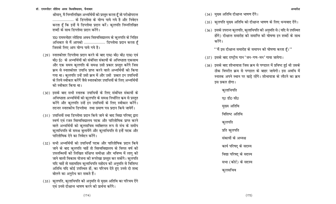श्रीमान, मै निम्नलिखित अभ्यर्थियों को प्रस्तुत करता हँ जो परीक्षोपरान्त .................... के डिप्लोमा के योग्य पाये गये है और निवेदन करता है कि इन्हें ये डिप्लोमा प्रदान करें। कुलपति निम्नलिखित शब्दों के साथ डिप्लोमा प्रदान करेंगे

डा0 राममनोहर लोहिया अवध विश्वविद्यालय के कुलपति के निहित अधिकार से मैं आपको ................... डिप्लोमा प्रदान करता है जिसके लिए आप योग्य पाये गये है।

- (29) स्नातकोत्तर डिप्लोमा प्रदान करने के बाद एम0 बी0 बी0 एस0 एवं बी0 ई0 के अभ्यर्थियों को संबंधित संकायों के अधिष्ठाता एकसाथ और एक समय कुलपति के समक्ष उसी प्रकार प्रस्तुत करेंगे जिस क्रम से स्नातकोत्तर उपाधि प्राप्त करने वाले अभ्यर्थियों को किया गया था। कुलपति उन्हें उसी क्रम में और उसी प्रकार इन उपाधियों के लिये स्वीकार करेंगें जैसे स्नातकोत्तर उपाधियों के लिए अभ्यर्थियों को स्वीकार किया था।
- (30) इसके बाद सभी स्नातक उपाधियों के लिए संबंधित संकायों के अधिष्ठाता अभ्यर्थियों को कुलपति के समक्ष निर्धारित कम से प्रस्तुत करेंगे और कुलपति उन्हें इन उपाधियों के लिए स्वीकार करेंगे। तदन्तर स्नातकीय डिप्लोमा) तथा प्रमाण पत्र प्रदान किये जायेगें।
- (31) उपाधियों तथा डिप्लोमा प्रदान किये जाने के बाद विद्या परिषद द्वारा स्वर्ण एवं रजत विश्वविद्यालय पदक और पारितोषिक प्राप्त करने वाले अभ्यर्थियों को कुलसचिव व्यक्तिगत रूप से मंच के समीप कुलाधिपति के समक्ष बुलायेंगे और कुलाधिपति से इन्हें पदक और पारितोषिक देने का निवेदन करेंगे।
- (32) सभी अभ्यर्थियों को उपाधियाँ पदक और पारितोषिक प्रदान किये जाने के बाद कुलपति चाहें तो विश्वविद्यालय के विगत वर्ष की उपलब्धियों की लिखित संक्षिप्त समीक्षा और भविष्य में लागू की जाने वाली विकास योजना की रूपरेखा प्रस्तुत कर सकेंगे। कुलपति यदि चाहें तो महामहिम कुलाधिपति महोदय की अनुमति से विशिष्ट अतिथि यदि कोई उपस्थित हों, का परिचय देते हुए उनसे दो शब्द बोलने का अनुरोध कर सकते हैं।
- (33) कुलपति, कुलाधिपति की अनुमति से मुख्य अतिथि का परिचय देंगे एवं उनसे दीक्षान्त भाषण करने की प्रार्थना करेंगे।
- (34) मुख्य अतिथि दीक्षान्त भाषण देंगे।
- (35) कुलपति मुख्य अतिथि को दीक्षान्त भाषण के लिए धन्यवाद देंगे।
- (36) इसके उपरान्त कुलपति, कुलाधिपति की अनुमति से (यदि वे उपस्थित होंगे) दीक्षान्त समारोह की समाप्ति की घोषणा इन शब्दों के साथ करेंगे।

"मैं इस दीक्षान्त समारोह के समापन की घोषणा करता हूँ।"

- (37) इसके बाद राष्ट्रीय गान 'जन-गण-मन' गाया जायेगा।
- (38) इसके बाद शोभायात्रा जिस क्रम से पण्डाल में प्रविष्ट हुई थी उसके ठीक विपरीत क्रम से पण्डाल के बाहर जायेगी। इस अवधि में स्नातक अपने स्थान पर खड़े रहेंगे। शोभायात्रा के लौटने का क्रम इस प्रकार होगा।

कुलाधिपति ए0 डी0 सी0 मख्य अतिथि विशिष्ट अतिथि कुलपति प्रति कुलपति संकायों के अध्यक्ष कार्य परिषद के सदस्य विद्या परिषद् के सदस्य सभा (कोर्ट) के सदस्य कुलसचिव